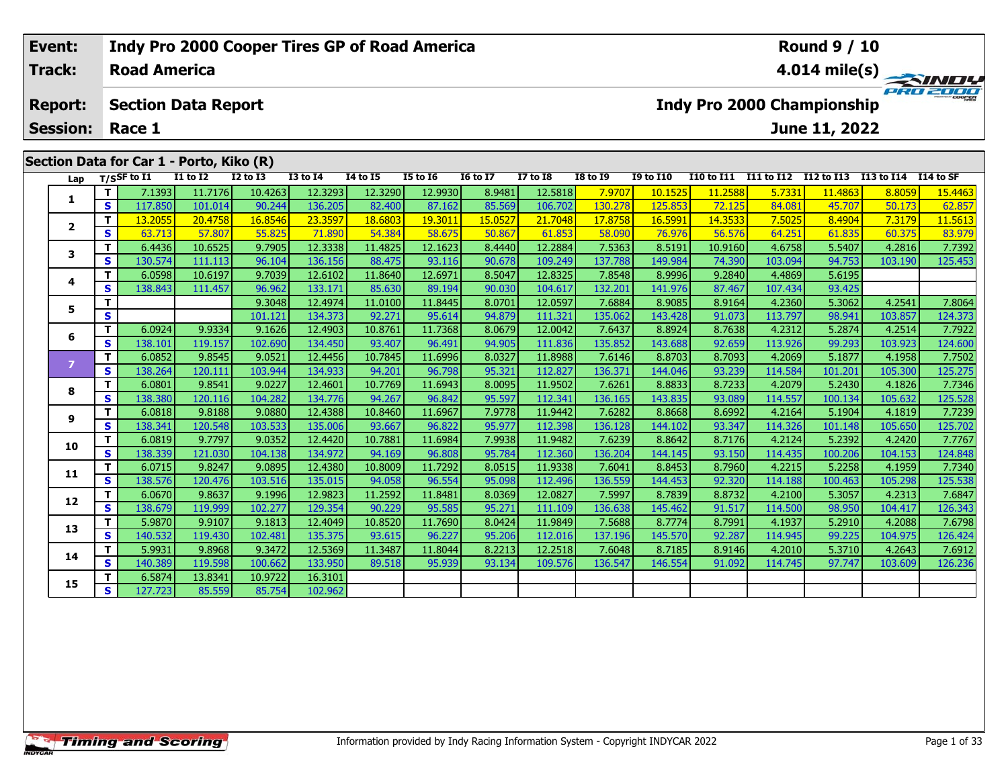## **Event: Indy Pro 2000 Cooper Tires GP of Road America Round 9 / 10Road AmericaTrack:4.014 mile(s)** PRO 2000 **Report: Section Data Report Indy Pro 2000 Championship June 11, 2022 Session: Race 1Section Data for Car 1 - Porto, Kiko (R) Lap T/SSF to I1 I1 to I2 I2 to I3 I3 to I4 I4 to I5 I5 to I6 I6 to I7 I7 to I8 I8 to I9 I9 to I10 I10 to I11 I11 to I12 I12 to I13 I13 to I14 I14 to SF**  1 | T | 7.1393 11.7176 10.4263 12.3293 12.3290 12.9930 8.9481 12.5818 7.9707 10.1525 11.2588 5.7331 11.4863 8.8059 15.4463<br>1 | S | 117.850 101.014 90.244 136.205 82.400 87.162 85.569 106.702 130.278 125.853 72.125 84.081 4 **1**2 | T | 13.2055| 20.4758| 16.8546| 23.3597| 18.6803| 19.3011| 15.0527| 21.7048| 17.8758| 16.5991| 14.3533| 7.5025| 8.4904| 7.3179| 11.5613<br>2 | S | 63.713| 57.807| 55.825| 71.890| 54.384| 58.675| 50.867| 61.853| 58.090| 76. **23**

## 3 T | 6.4436 10.6525 9.7905 12.3338 11.4825 12.1623 8.4440 12.2884 7.5363 8.5191 10.9160 4.6758 5.5407 4.2816 7.7392<br>S | S 130.574 111.113 96.104 136.156 88.475 93.116 90.678 109.249 137.788 149.984 74.390 103.094 94.753 1 **4 <sup>T</sup>** 6.0598 10.6197 9.7039 12.6102 11.8640 12.6971 8.5047 12.8325 7.8548 8.9996 9.2840 4.4869 5.6195 **<sup>S</sup>** 138.843 111.457 96.962 133.171 85.630 89.194 90.030 104.617 132.201 141.976 87.467 107.434 93.42593.425 **5 <sup>T</sup>** 9.3048 12.4974 11.0100 11.8445 8.0701 12.0597 7.6884 8.9085 8.9164 4.2360 5.3062 4.2541 7.8064 **<sup>S</sup>** 101.121 134.373 92.271 95.614 94.879 111.321 135.062 143.428 91.073 113.797 98.941 103.857 124.373**6 <sup>T</sup>** 6.0924 9.9334 9.1626 12.4903 10.8761 11.7368 8.0679 12.0042 7.6437 8.8924 8.7638 4.2312 5.2874 4.2514 7.7922 **<sup>S</sup>** 138.101 119.157 102.690 134.450 93.407 96.491 94.905 111.836 135.852 143.688 92.659 113.926 99.293 103.923 124.6007 | T | 6.0852| 9.8545| 9.0521| 12.4456| 10.7845| 11.6996| 8.0327| 11.8988| 7.6146| 8.8703| 8.7093| 4.2069| 5.1877| 4.1958| 7.7502<br>T S | 138.264| 120.111| 103.944| 134.933| 94.201| 96.798| 95.321| 112.827| 136.371| 144.046 **8**8 T | 6.0801 9.8541 9.0227 12.4601 10.7769 11.6943 8.0095 11.9502 7.6261 8.8833 8.7233 4.2079 5.2430 4.1826 7.7346<br>8 S 138.380 120.116 104.282 134.776 94.267 96.842 95.597 112.341 136.165 143.835 93.089 114.557 100.134 105 **9**7.7239 11 14.2164 12.164 15.1904 11.818 10.8460 11.6967 11.6967 11.9778 11.9442 17.6282 8.8668 17.6992 12.164<br>S 138.341 120.548 103.533 135.006 93.667 96.822 95.977 112.398 136.128 144.102 93.347 114.326 101.148 105.650 1 **10**0 | **T** | 6.0819| 9.7797| 9.0352| 12.4420| 10.7881| 11.6984| 7.9938| 11.9482| 7.6239| 8.8642| 8.7176| 4.2124| 5.2392| 4.2420| 7.7767<br>| S | 138.339| 121.030| 104.138| 134.972| 94.169| 96.808| 95.784| 112.360| 136.204| 144.1 **11 <sup>T</sup>** 6.0715 9.8247 9.0895 12.4380 10.8009 11.7292 8.0515 11.9338 7.6041 8.8453 8.7960 4.2215 5.2258 4.1959 7.7340 **<sup>S</sup>** 138.576 120.476 103.516 135.015 94.058 96.554 95.098 112.496 136.559 144.453 92.320 114.188 100.463 105.298 125.538**12**2 T 6.0670 9.8637 9.1996 12.9823 11.2592 11.8481 8.0369 12.0827 7.5997 8.7839 8.8732 4.2100 5.3057 4.2313 7.6847<br>2 S 138.679 119.999 102.277 129.354 90.229 95.585 95.271 111.109 136.638 145.462 91.517 114.500 98.950 104.41 126.343 **13**3 T 5.9870 9.9107 9.1813 12.4049 10.8520 11.7690 8.0424 11.9849 7.5688 8.7774 8.7991 4.1937 5.2910 4.2088 7.6798<br>S 140.532 119.430 102.481 135.375 93.615 96.227 95.206 112.016 137.196 145.570 92.287 114.945 99.225 104.975 **14 <sup>T</sup>** 5.9931 9.8968 9.3472 12.5369 11.3487 11.8044 8.2213 12.2518 7.6048 8.7185 8.9146 4.2010 5.3710 4.2643 7.6912 **<sup>S</sup>** 140.389 119.598 100.662 133.950 89.518 95.939 93.134 109.576 136.547 146.554 91.092 114.745 97.747 103.609 126.236**15<sup>T</sup>** 6.5874 13.8341 10.9722 16.3101 **<sup>S</sup>** 127.723 85.559 85.754 102.962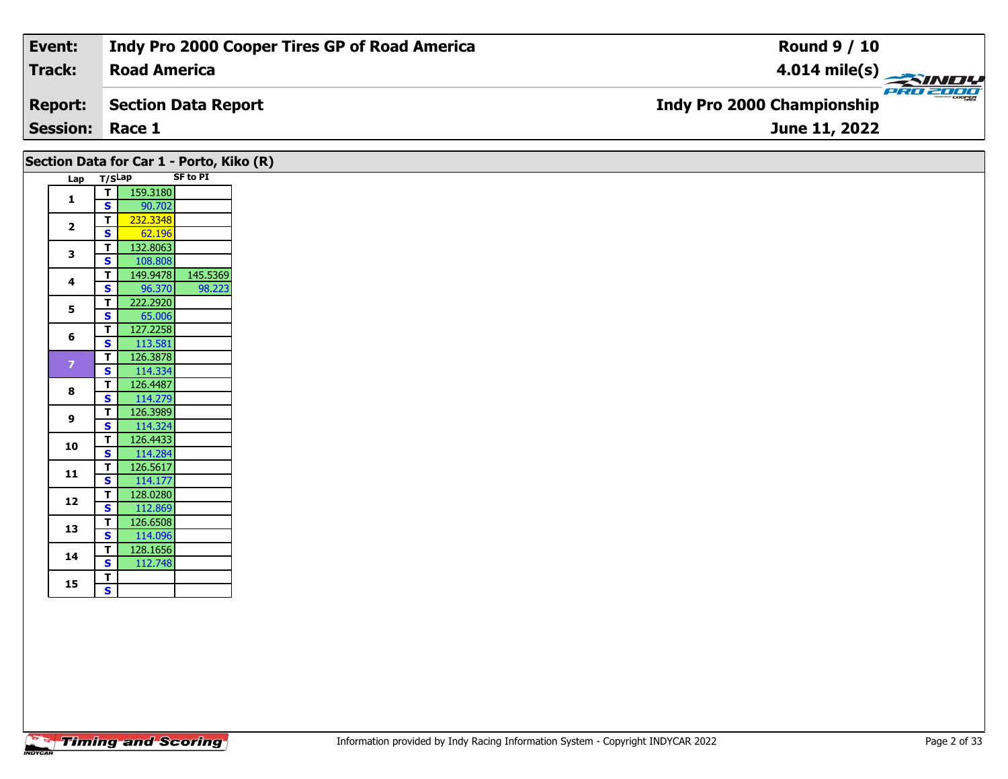| Event:                 | Indy Pro 2000 Cooper Tires GP of Road America | <b>Round 9 / 10</b>                              |
|------------------------|-----------------------------------------------|--------------------------------------------------|
| Track:                 | <b>Road America</b>                           | $\frac{4.014 \text{ mile(s)}}{2.71 \text{ MHz}}$ |
| <b>Report:</b>         | Section Data Report                           | <b>Indy Pro 2000 Championship</b>                |
| <b>Session: Race 1</b> |                                               | <b>June 11, 2022</b>                             |
|                        |                                               |                                                  |

## Lap T/S<sup>Lap</sup> SF to PI **1T** 159.3180 **2T** 232.3348<br>**S** 62.196 62.196 **3 <sup>T</sup>** 132.8063 **<sup>S</sup>** 108.808 **<sup>T</sup>** 149.9478 145.5369 **<sup>S</sup>** 96.370 98.223**4**98.223 **5T** 222.2920 **6 <sup>T</sup>** 127.2258 **<sup>S</sup>** 113.581126.3878 **<sup>T</sup>** 126.3878 **<sup>S</sup>** 114.334 **8 <sup>T</sup>** 126.4487 **<sup>S</sup>** 114.279 **9 <sup>T</sup>** 126.3989 **<sup>S</sup>** 114.324114.324 **10 <sup>T</sup>** 126.4433 **<sup>S</sup>** 114.284 **<sup>T</sup>** 126.5617 **<sup>S</sup>** 114.177**11**114.177 **12 <sup>T</sup>** 128.0280 **<sup>S</sup>** 112.869**13 <sup>T</sup>** 126.6508 **<sup>S</sup>** 114.096114.096 **14 <sup>T</sup>** 128.1656 **<sup>S</sup>** 112.748112.748 15  $\frac{1}{s}$ **Section Data for Car 1 - Porto, Kiko (R)**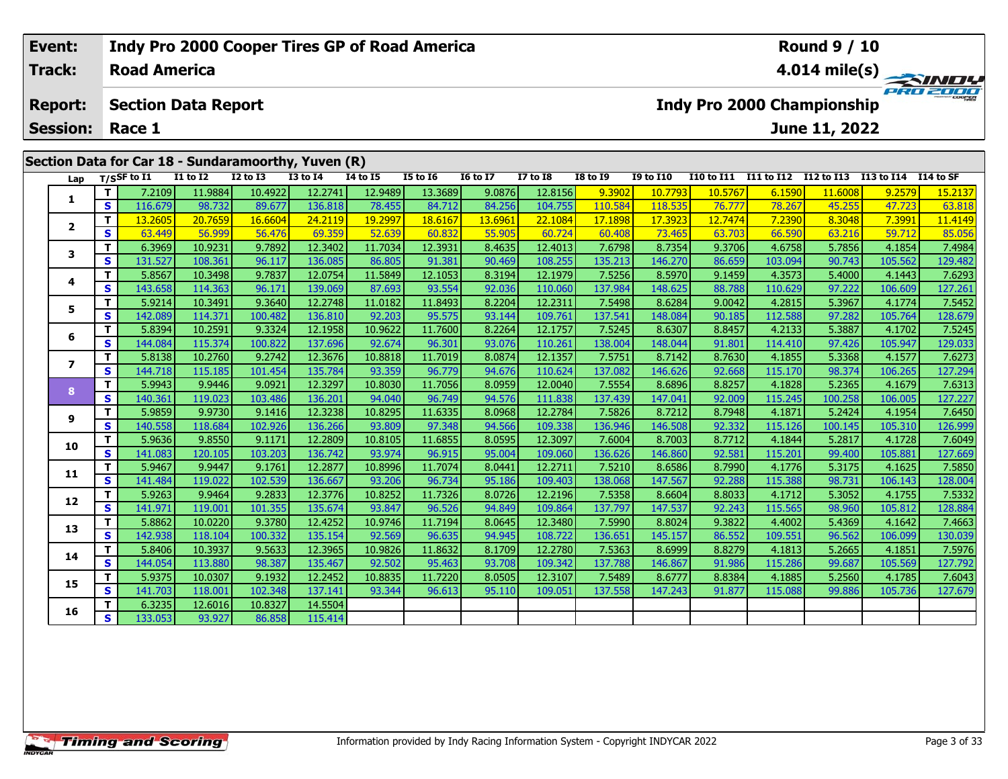| Event:          |    |                     |                            |                 | Indy Pro 2000 Cooper Tires GP of Road America       |                 |          |                 |                 |                 |                  |            |            | Round 9 / 10               |            |           |
|-----------------|----|---------------------|----------------------------|-----------------|-----------------------------------------------------|-----------------|----------|-----------------|-----------------|-----------------|------------------|------------|------------|----------------------------|------------|-----------|
| <b>Track:</b>   |    | <b>Road America</b> |                            |                 |                                                     |                 |          |                 |                 |                 |                  |            |            |                            |            |           |
| <b>Report:</b>  |    |                     | <b>Section Data Report</b> |                 |                                                     |                 |          |                 |                 |                 |                  |            |            | Indy Pro 2000 Championship |            | PRO 2000  |
| <b>Session:</b> |    | Race 1              |                            |                 |                                                     |                 |          |                 |                 |                 |                  |            |            | June 11, 2022              |            |           |
|                 |    |                     |                            |                 |                                                     |                 |          |                 |                 |                 |                  |            |            |                            |            |           |
|                 |    |                     |                            |                 | Section Data for Car 18 - Sundaramoorthy, Yuven (R) |                 |          |                 |                 |                 |                  |            |            |                            |            |           |
| Lap             |    | $T/S$ SF to I1      | <b>I1 to I2</b>            | <b>I2 to I3</b> | <b>I3 to I4</b>                                     | <b>I4 to I5</b> | I5 to 16 | <b>16 to 17</b> | <b>I7 to I8</b> | <b>I8 to I9</b> | <b>I9 to I10</b> | I10 to I11 | I11 to I12 | I12 to I13                 | I13 to I14 | I14 to SF |
|                 |    | 7.2109              | 11.9884                    | 10.4922         | 12.2741                                             | 12.9489         | 13.3689  | 9.0876          | 12.8156         | 9.3902          | 10.7793          | 10.5767    | 6.1590     | 11.6008                    | 9.2579     | 15.2137   |
|                 | S  | 116.679             | 98.732                     | 89.677          | 136.818                                             | 78.455          | 84.712   | 84.256          | 104.755         | 110.584         | 118.535          | 76.777     | 78.267     | 45.255                     | 47.723     | 63.818    |
|                 |    | 13.2605             | 20.7659                    | 16.6604         | 24.2119                                             | 19.2997         | 18.6167  | 13.6961         | 22.1084         | 17.1898         | 17.3923          | 12.7474    | 7.2390     | 8.3048                     | 7.3991     | 11.4149   |
|                 | S. | 63.449              | 56.999                     | 56.476          | 69.359                                              | 52.639          | 60.832   | 55.905          | 60.724          | 60.408          | 73.465           | 63.703     | 66.590     | 63.216                     | 59.712     | 85.056    |
|                 |    | 6.3969              | 10.9231                    | 9.7892          | 12.3402                                             | 11.7034         | 12.3931  | 8.4635          | 12.4013         | 7.6798          | 8.7354           | 9.3706     | 4.6758     | 5.7856                     | 4.1854     | 7.4984    |
|                 | S  | 131.527             | 108.361                    | 96.117          | 136.085                                             | 86.805          | 91.381   | 90.469          | 108.255         | 135.213         | 146.270          | 86.659     | 103.094    | 90.743                     | 105.562    | 129.482   |
|                 |    | 5.8567              | 10.3498                    | 9.7837          | 12.0754                                             | 11.5849         | 12.1053  | 8.3194          | 12.1979         | 7.5256          | 8.5970           | 9.1459     | 4.3573     | 5.4000                     | 4.1443     | 7.6293    |
|                 |    |                     |                            |                 |                                                     |                 |          |                 |                 |                 |                  |            |            |                            |            |           |

|                |    | 7.2109  | 11.9884 | 10.4922 | 12.2741 | 12.9489 | 13.3689 | 9.0876  | 12.81561 | 9.390Z  | 10.7793 | 10.5/6/ | 6.1590  | 11.6008 | 9.2579  | 15.2137 |
|----------------|----|---------|---------|---------|---------|---------|---------|---------|----------|---------|---------|---------|---------|---------|---------|---------|
|                | S  | 116.679 | 98.732  | 89.677  | 136.818 | 78.455  | 84.712  | 84.256  | 104.755  | 110.584 | 118.535 | 76.777  | 78.267  | 45.255  | 47.723  | 63.818  |
| $\overline{2}$ | т  | 13.2605 | 20.7659 | 16.6604 | 24.2119 | 19.2997 | 18.6167 | 13.6961 | 22.1084  | 17.1898 | 17.3923 | 12.7474 | 7.2390  | 8.3048  | 7.3991  | 11.4149 |
|                | S  | 63.449  | 56.999  | 56.476  | 69.359  | 52.639  | 60.832  | 55.905  | 60.724   | 60.408  | 73.465  | 63.703  | 66.590  | 63.216  | 59.712  | 85.056  |
| 3              | T. | 6.3969  | 10.9231 | 9.7892  | 12.3402 | 11.7034 | 12.3931 | 8.4635  | 12.4013  | 7.6798  | 8.7354  | 9.3706  | 4.6758  | 5.7856  | 4.1854  | 7.4984  |
|                | S  | 131.527 | 108.361 | 96.117  | 136.085 | 86.805  | 91.381  | 90.469  | 108.255  | 135.213 | 146.270 | 86.659  | 103.094 | 90.743  | 105.562 | 129.482 |
| 4              | т  | 5.8567  | 10.3498 | 9.7837  | 12.0754 | 11.5849 | 12.1053 | 8.3194  | 12.1979  | 7.5256  | 8.5970  | 9.1459  | 4.3573  | 5.4000  | 4.1443  | 7.6293  |
|                | S  | 143.658 | 114.363 | 96.171  | 139.069 | 87.693  | 93.554  | 92.036  | 110.060  | 137.984 | 148.625 | 88.788  | 110.629 | 97.222  | 106.609 | 127.261 |
| 5              | т  | 5.9214  | 10.3491 | 9.3640  | 12.2748 | 11.0182 | 11.8493 | 8.2204  | 12.2311  | 7.5498  | 8.6284  | 9.0042  | 4.2815  | 5.3967  | 4.1774  | 7.5452  |
|                | S  | 142.089 | 114.371 | 100.482 | 136.810 | 92.203  | 95.575  | 93.144  | 109.761  | 137.541 | 148.084 | 90.185  | 112.588 | 97.282  | 105.764 | 128.679 |
| 6              | т  | 5.8394  | 10.2591 | 9.3324  | 12.1958 | 10.9622 | 11.7600 | 8.2264  | 12.1757  | 7.5245  | 8.6307  | 8.8457  | 4.2133  | 5.3887  | 4.1702  | 7.5245  |
|                | S  | 144.084 | 115.374 | 100.822 | 137.696 | 92.674  | 96.301  | 93.076  | 110.261  | 138.004 | 148.044 | 91.801  | 114.410 | 97.426  | 105.947 | 129.033 |
| 7              | т  | 5.8138  | 10.2760 | 9.2742  | 12.3676 | 10.8818 | 11.7019 | 8.0874  | 12.1357  | 7.5751  | 8.7142  | 8.7630  | 4.1855  | 5.3368  | 4.1577  | 7.6273  |
|                | S  | 144.718 | 115.185 | 101.454 | 135.784 | 93.359  | 96.779  | 94.676  | 110.624  | 137.082 | 146.626 | 92.668  | 115.170 | 98.374  | 106.265 | 127.294 |
| 8              | т  | 5.9943  | 9.9446  | 9.0921  | 12.3297 | 10.8030 | 11.7056 | 8.0959  | 12.0040  | 7.5554  | 8.6896  | 8.8257  | 4.1828  | 5.2365  | 4.1679  | 7.6313  |
|                | S  | 140.361 | 119.023 | 103.486 | 136.201 | 94.040  | 96.749  | 94.576  | 111.838  | 137.439 | 147.041 | 92.009  | 115.245 | 100.258 | 106.005 | 127.227 |
| 9              | т  | 5.9859  | 9.9730  | 9.1416  | 12.3238 | 10.8295 | 11.6335 | 8.0968  | 12.2784  | 7.5826  | 8.7212  | 8.7948  | 4.1871  | 5.2424  | 4.1954  | 7.6450  |
|                | S  | 140.558 | 118.684 | 102.926 | 136.266 | 93.809  | 97.348  | 94.566  | 109.338  | 136.946 | 146.508 | 92.332  | 115.126 | 100.145 | 105.310 | 126.999 |
| 10             | т  | 5.9636  | 9.8550  | 9.1171  | 12.2809 | 10.8105 | 11.6855 | 8.0595  | 12.3097  | 7.6004  | 8.7003  | 8.7712  | 4.1844  | 5.2817  | 4.1728  | 7.6049  |
|                | S  | 141.083 | 120.105 | 103.203 | 136.742 | 93.974  | 96.915  | 95.004  | 109.060  | 136.626 | 146.860 | 92.581  | 115.201 | 99.400  | 105.881 | 127.669 |
| 11             | т  | 5.9467  | 9.9447  | 9.1761  | 12.2877 | 10.8996 | 11.7074 | 8.0441  | 12.2711  | 7.5210  | 8.6586  | 8.7990  | 4.1776  | 5.3175  | 4.1625  | 7.5850  |
|                | S  | 141.484 | 119.022 | 102.539 | 136.667 | 93.206  | 96.734  | 95.186  | 109.403  | 138.068 | 147.567 | 92.288  | 115.388 | 98.731  | 106.143 | 128.004 |
| 12             | т  | 5.9263  | 9.9464  | 9.2833  | 12.3776 | 10.8252 | 11.7326 | 8.0726  | 12.2196  | 7.5358  | 8.6604  | 8.8033  | 4.1712  | 5.3052  | 4.1755  | 7.5332  |
|                | S  | 141.971 | 119.001 | 101.355 | 135.674 | 93.847  | 96.526  | 94.849  | 109.864  | 137.797 | 147.537 | 92.243  | 115.565 | 98.960  | 105.812 | 128.884 |
| 13             | т  | 5.8862  | 10.0220 | 9.3780  | 12.4252 | 10.9746 | 11.7194 | 8.0645  | 12.3480  | 7.5990  | 8.8024  | 9.3822  | 4.4002  | 5.4369  | 4.1642  | 7.4663  |
|                | S  | 142.938 | 118.104 | 100.332 | 135.154 | 92.569  | 96.635  | 94.945  | 108.722  | 136.651 | 145.157 | 86.552  | 109.551 | 96.562  | 106.099 | 130.039 |
| 14             | т  | 5.8406  | 10.3937 | 9.5633  | 12.3965 | 10.9826 | 11.8632 | 8.1709  | 12.2780  | 7.5363  | 8.6999  | 8.8279  | 4.1813  | 5.2665  | 4.1851  | 7.5976  |
|                | S  | 144.054 | 113.880 | 98.387  | 135.467 | 92.502  | 95.463  | 93.708  | 109.342  | 137.788 | 146.867 | 91.986  | 115.286 | 99.687  | 105.569 | 127.792 |
| 15             | T. | 5.9375  | 10.0307 | 9.1932  | 12.2452 | 10.8835 | 11.7220 | 8.0505  | 12.3107  | 7.5489  | 8.6777  | 8.8384  | 4.1885  | 5.2560  | 4.1785  | 7.6043  |
|                | S  | 141.703 | 118.001 | 102.348 | 137.141 | 93.344  | 96.613  | 95.110  | 109.051  | 137.558 | 147.243 | 91.877  | 115.088 | 99.886  | 105.736 | 127.679 |
| 16             | т  | 6.3235  | 12.6016 | 10.8327 | 14.5504 |         |         |         |          |         |         |         |         |         |         |         |
|                | S  | 133.053 | 93.927  | 86.858  | 115.414 |         |         |         |          |         |         |         |         |         |         |         |
|                |    |         |         |         |         |         |         |         |          |         |         |         |         |         |         |         |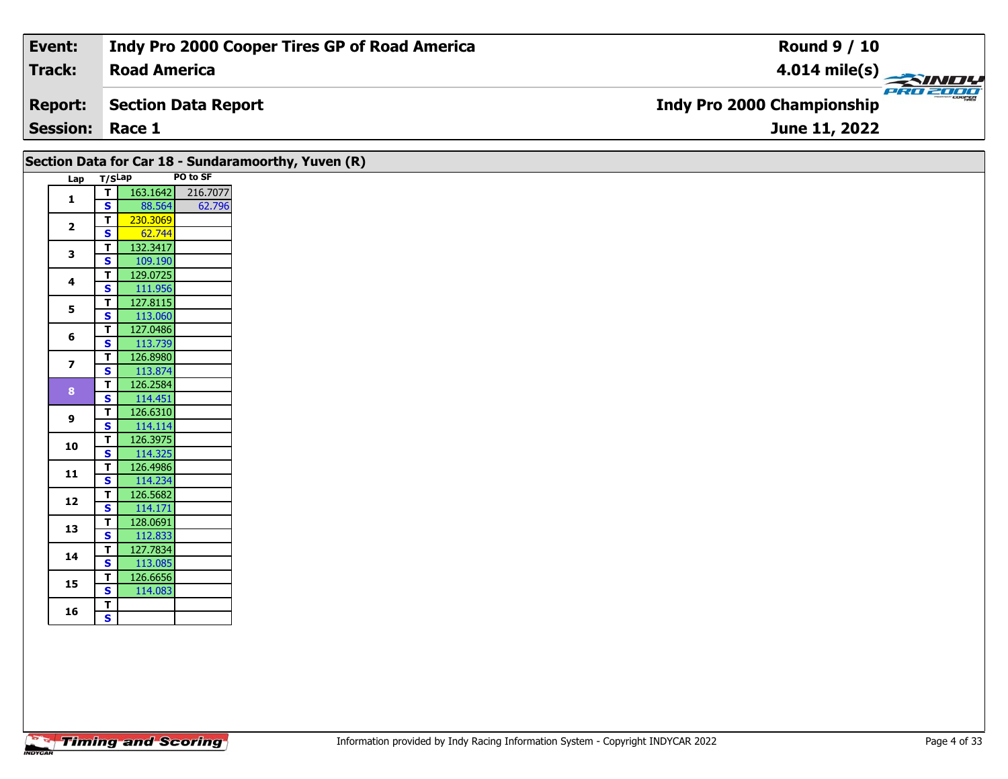| Event:          | Indy Pro 2000 Cooper Tires GP of Road America       | <b>Round 9 / 10</b>                                  |
|-----------------|-----------------------------------------------------|------------------------------------------------------|
| <b>Track:</b>   | <b>Road America</b>                                 |                                                      |
| <b>Report:</b>  | <b>Section Data Report</b>                          | <b>PRO 2000</b><br><b>Indy Pro 2000 Championship</b> |
| <b>Session:</b> | Race 1                                              | June 11, 2022                                        |
|                 | Section Data for Car 18 - Sundaramoorthy, Yuven (R) |                                                      |

|                |        |          | Section Data for Car 18 - Sungarar |  |
|----------------|--------|----------|------------------------------------|--|
| Lap            | T/SLap |          | PO to SF                           |  |
| 1              | т      | 163.1642 | 216.7077                           |  |
|                | S      | 88.564   | 62.796                             |  |
| $\overline{2}$ | т      | 230.3069 |                                    |  |
|                | S      | 62.744   |                                    |  |
| 3              | T      | 132.3417 |                                    |  |
|                | S      | 109.190  |                                    |  |
| 4              | т      | 129.0725 |                                    |  |
|                | S      | 111.956  |                                    |  |
| 5              | т      | 127.8115 |                                    |  |
|                | S      | 113.060  |                                    |  |
| 6              | т      | 127.0486 |                                    |  |
|                | S      | 113.739  |                                    |  |
| 7              | T      | 126.8980 |                                    |  |
|                | S      | 113.874  |                                    |  |
| 8              | T      | 126.2584 |                                    |  |
|                | S      | 114.451  |                                    |  |
| 9              | т      | 126.6310 |                                    |  |
|                | S      | 114.114  |                                    |  |
| 10             | т      | 126.3975 |                                    |  |
|                | S      | 114.325  |                                    |  |
| 11             | т      | 126.4986 |                                    |  |
|                | S      | 114.234  |                                    |  |
| 12             | T      | 126.5682 |                                    |  |
|                | S      | 114.171  |                                    |  |
| 13             | T      | 128.0691 |                                    |  |
|                | S      | 112.833  |                                    |  |
| 14             | T      | 127.7834 |                                    |  |
|                | S      | 113.085  |                                    |  |
| 15             | T      | 126.6656 |                                    |  |
|                | S      | 114.083  |                                    |  |
| 16             | т      |          |                                    |  |
|                | S      |          |                                    |  |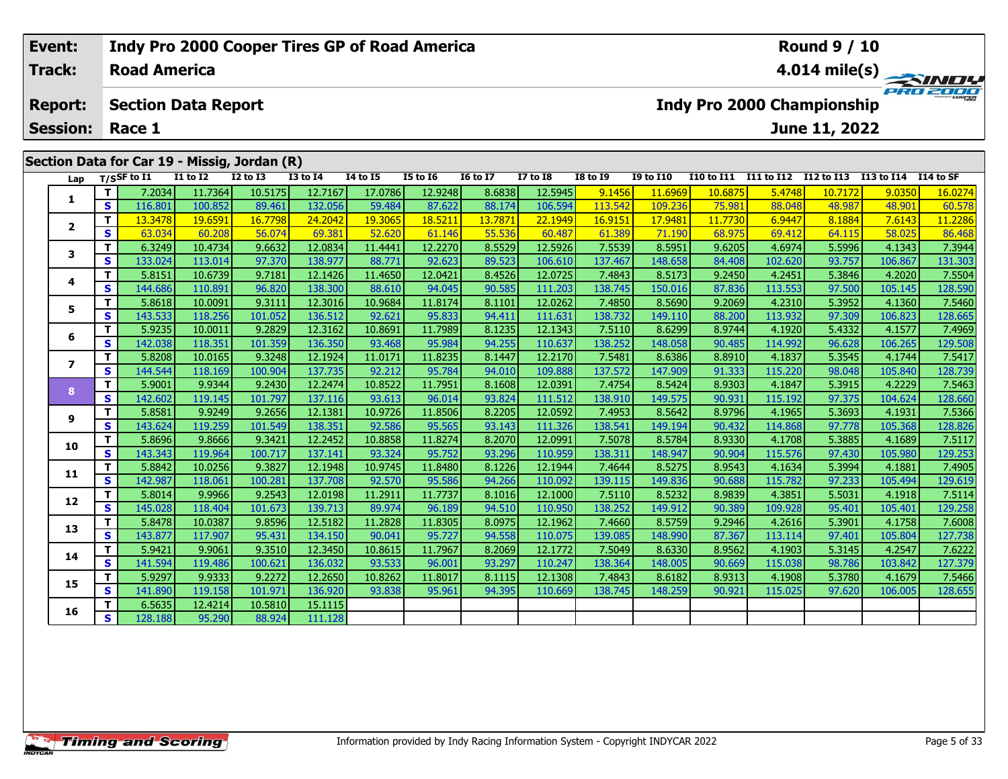#### **Event: Indy Pro 2000 Cooper Tires GP of Road America Round 9 / 10Road AmericaTrack:4.014 mile(s)** PRO 2001 **Section Data Report Indy Pro 2000 Championship Report: June 11, 2022 Session: Race 1Section Data for Car 19 - Missig, Jordan (R) Lap T/SSF to I1 I1 to I2 I2 to I3 I3 to I4 I4 to I5 I5 to I6 I6 to I7 I7 to I8 I8 to I9 I9 to I10 I10 to I11 I11 to I12 I12 to I13 I13 to I14 I14 to SF**  1 | T | 7.2034 11.7364 10.5175 12.7167 17.0786 12.9248 8.6838 12.5945 9.1456 11.6969 10.6875 5.4748 10.7172 9.0350 16.0274<br>1 | S | 116.801 100.852 89.461 132.056 59.484 87.622 88.174 106.594 113.542 109.236 75.981 88.048 4 **1 <sup>T</sup>** 13.3478 19.6591 16.7798 24.2042 19.3065 18.5211 13.7871 22.1949 16.9151 17.9481 11.7730 6.9447 8.1884 7.6143 11.2286 **<sup>S</sup>** 63.034 60.208 56.074 69.381 52.620 61.146 55.536 60.487 61.389 71.190 68.975 69.412 64.115 58.025 86.468**2**

3 T | 6.3249 10.4734 9.6632 12.0834 11.4441 12.2270 8.5529 12.5926 7.5539 8.5951 9.6205 4.6974 5.5996 4.1343 7.3944<br>S | 133.024 113.014 97.370 138.977 88.771 92.623 89.523 106.610 137.467 148.658 84.408 102.620 93.757 106.

4 | T | 5.8151 10.6739 9.7181 12.1426 11.4650 12.0421 8.4526 12.0725 7.4843 8.5173 9.2450 4.2451 5.3846 4.2020 7.5504<br>- S 144.686 110.891 96.820 138.300 88.610 94.045 90.585 111.203 138.745 150.016 87.836 113.553 97.500 10

**<sup>T</sup>** 5.8618 10.0091 9.3111 12.3016 10.9684 11.8174 8.1101 12.0262 7.4850 8.5690 9.2069 4.2310 5.3952 4.1360 7.5460 **<sup>S</sup>** 143.533 118.256 101.052 136.512 92.621 95.833 94.411 111.631 138.732 149.110 88.200 113.932 97.309 106.823 128.665

6 | T | 5.9235 10.0011 9.2829 12.3162 10.8691 11.7989 8.1235 12.1343 7.5110 8.6299 8.9744 4.1920 5.4332 4.1577 7.4969<br>6 | S | 142.038 118.351 101.359 136.350 93.468 95.984 94.255 110.637 138.252 148.058 90.485 114.992 96.6

7 | T | 5.8208| 10.0165| 9.3248| 12.1924| 11.0171| 11.8235| 8.1447| 12.2170| 7.5481| 8.6386| 8.8910| 4.1837| 5.3545| 4.1744| 7.5417<br>7 | S | 144.544| 118.169| 100.904| 137.735| 92.212| 95.784| 94.010| 109.888| 137.572| 147.

8 T | 5.9001 9.9344 9.2430 12.2474 10.8522 11.7951 8.1608 12.0391 7.4754 8.5424 8.9303 4.1847 5.3915 4.2229 7.5463<br>8 S 142.602 119.145 101.797 137.116 93.613 96.014 93.824 111.512 138.910 149.575 90.931 115.192 97.375 104.

7.5366 11931 19.2656 12.1381 10.9726 11.8506 8.2205 12.0592 7.4953 8.5642 8.9796 4.1965 5.3693 4.1931 7.5366 و<br>S 143.624 119.259 101.549 138.351 92.586 95.565 93.143 111.326 138.541 149.194 90.432 114.868 97.778 105.368 1

0 T 5.8696| 9.8666| 9.3421| 12.2452| 10.8858| 11.8274| 8.2070| 12.0991| 7.5078| 8.5784| 8.9330| 4.1708| 5.3885| 4.1689| 7.5117<br>| S 143.343| 119.964| 100.717| 137.141| 93.324| 95.752| 93.296| 110.959| 138.311| 148.947| 90.9

**<sup>T</sup>** 5.8842 10.0256 9.3827 12.1948 10.9745 11.8480 8.1226 12.1944 7.4644 8.5275 8.9543 4.1634 5.3994 4.1881 7.4905 **<sup>S</sup>** 142.987 118.061 100.281 137.708 92.570 95.586 94.266 110.092 139.115 149.836 90.688 115.782 97.233 105.494 129.619

2 | T | 5.8014| 9.9966| 9.2543| 12.0198| 11.2911| 11.7737| 8.1016| 12.1000| 7.5110| 8.5232| 8.9839| 4.3851| 5.5031| 4.1918| 7.5114<br>| S | 145.028| 118.404| 101.673| 139.713| 89.974| 96.189| 94.510| 110.950| 138.252| 149.912

3 T 5.8478 10.0387 9.8596 12.5182 11.2828 11.8305 8.0975 12.1962 7.4660 8.5759 9.2946 4.2616 5.3901 4.1758 7.6008<br>S 143.877 117.907 95.431 134.150 90.041 95.727 94.558 110.075 139.085 148.990 87.367 113.114 97.401 105.804

**<sup>T</sup>** 5.9421 9.9061 9.3510 12.3450 10.8615 11.7967 8.2069 12.1772 7.5049 8.6330 8.9562 4.1903 5.3145 4.2547 7.6222 **<sup>S</sup>** 141.594 119.486 100.621 136.032 93.533 96.001 93.297 110.247 138.364 148.005 90.669 115.038 98.786 103.842 127.379

5 T 5.9297 9.9333 9.2272 12.2650 10.8262 11.8017 8.1115 12.1308 7.4843 8.6182 8.9313 4.1908 5.3780 4.1679 7.5466<br>5 S 141.890 119.158 101.971 136.920 93.838 95.961 94.395 110.669 138.745 148.259 90.921 115.025 97.620 106.00

**<sup>T</sup>** 6.5635 12.4214 10.5810 15.1115 **<sup>S</sup>** 128.188 95.290 88.924 111.128

**3**

**4**

**5**

**6**

**7**

**8**

**9**

**10**

**11**

**12**

**13**

**14**

**15**

**16**

128.59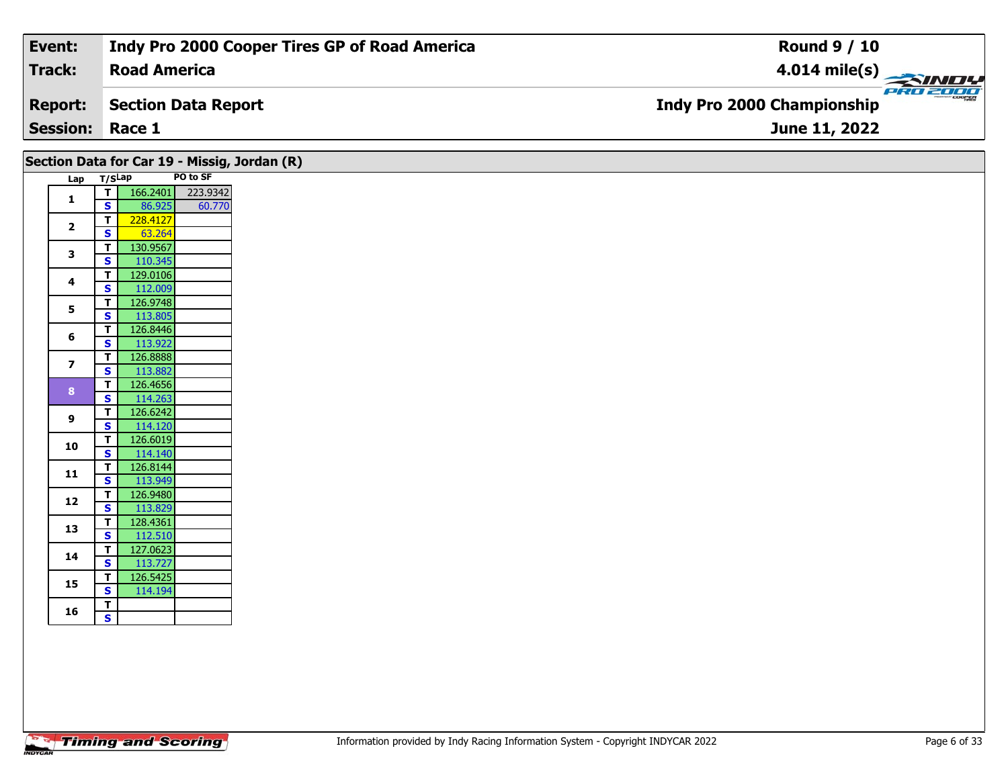| Event:                 | <b>Indy Pro 2000 Cooper Tires GP of Road America</b> | <b>Round 9 / 10</b>                           |
|------------------------|------------------------------------------------------|-----------------------------------------------|
| Track:                 | <b>Road America</b>                                  | $4.014$ mile(s)                               |
| <b>Report:</b>         | Section Data Report                                  | PRO 2000<br><b>Indy Pro 2000 Championship</b> |
| <b>Session: Race 1</b> |                                                      | June 11, 2022                                 |

|                         | Lap T/SLap              |                     | PO to SF |
|-------------------------|-------------------------|---------------------|----------|
| $\mathbf{1}$            | T                       | 166.2401            | 223.9342 |
|                         | S.                      | 86.925              | 60.770   |
| $\overline{\mathbf{2}}$ | T.                      | 228.4127            |          |
|                         | $\overline{\mathbf{s}}$ | 63.264              |          |
| $\mathbf{3}$            | T.                      | 130.9567            |          |
|                         | S                       | 110.345             |          |
| 4                       | T.                      | 129.0106            |          |
|                         | S                       | 112.009             |          |
| 5                       | T                       | 126.9748            |          |
|                         | S.                      | 113.805             |          |
| 6                       | T                       | 126.8446            |          |
|                         | $\mathbf{s}$            | 113.922             |          |
| $\overline{\mathbf{z}}$ | T<br>$\mathbf{s}$       | 126.8888<br>113.882 |          |
|                         | T.                      | 126.4656            |          |
| 8 <sup>°</sup>          |                         | 114.263             |          |
|                         |                         | 126.6242            |          |
| <b>S</b><br>9           |                         | 114.120             |          |
| T.<br>S<br>T.           |                         | 126.6019            |          |
| 10                      | $\overline{\mathbf{s}}$ | 114.140             |          |
|                         | T.                      | 126.8144            |          |
| 11                      | $\mathbf{s}$            | 113.949             |          |
|                         | $\overline{\mathsf{T}}$ | 126.9480            |          |
| 12                      | $\mathbf{s}$            | 113.829             |          |
|                         | T.                      | 128.4361            |          |
| 13                      | S                       | 112.510             |          |
|                         | T.                      | 127.0623            |          |
| 14                      | $\mathbf{s}$            | 113.727             |          |
| 15                      | T.                      | 126.5425            |          |
|                         | S.                      | 114.194             |          |
| 16                      | T                       |                     |          |
|                         | $\overline{\mathbf{s}}$ |                     |          |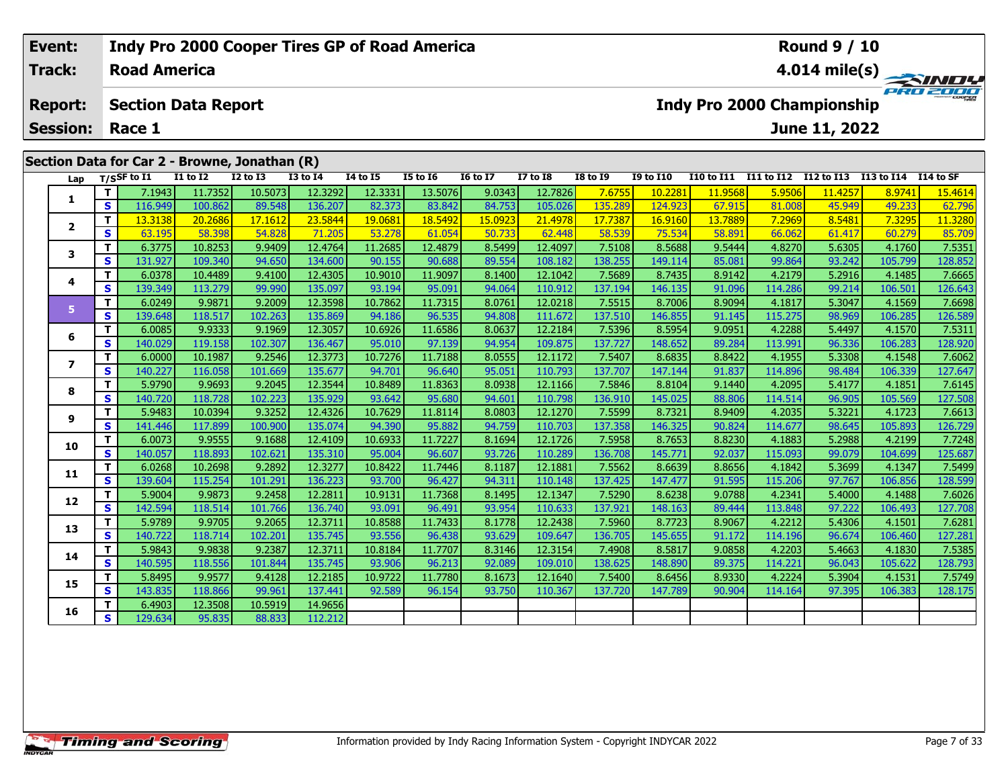## **Event: Indy Pro 2000 Cooper Tires GP of Road America Round 9 / 10Road America4.014 mile(s) Track:** PRO 2001 **Section Data Report Report: Indy Pro 2000 Championship June 11, 2022 Session: Race 1 Section Data for Car 2 - Browne, Jonathan (R)** Lap T/SSF to I1 I1 to I2 I2 to I3 I3 to I4 I4 to I5 I5 to I6 I6 to I7 I7 to I8 I8 to I9 I9 to I10 I10 to I11 I11 to I12 I12 to I13 I13 to I14 I14 to SF 1 | T | 7.1943 11.7352 10.5073 12.3292 12.3331 13.5076 9.0343 12.7826 7.6755 10.2281 11.9568 5.9506 11.4257 8.9741 15.4614<br>1 | S | 116.949 100.862 89.548 136.207 82.373 83.842 84.753 105.026 135.289 124.923 67.915 81.008 4 **1**2 | T | 13.3138| 20.2686| 17.1612| 23.5844| 19.0681| 18.5492| 15.0923| 21.4978| 17.7387| 16.9160| 13.7889| 7.2969| 8.5481| 7.3295| 11.3280<br>2 | S | 63.195| 58.398| 54.828| 71.205| 53.278| 61.054| 50.733| 62.448| 58.539| 75. **2**

| 1                        | Τ.                      | 7.1943  | 11.7352 | 10.5073 | 12.3292 | 12.3331 | 13.5076 | 9.0343  | 12.7826 | 7.6755  | 10.2281 | 11.9568 | 5.9506  | 11.4257 | 8.9741  | 15.4614 |
|--------------------------|-------------------------|---------|---------|---------|---------|---------|---------|---------|---------|---------|---------|---------|---------|---------|---------|---------|
|                          | S.                      | 116.949 | 100.862 | 89.548  | 136.207 | 82.373  | 83.842  | 84.753  | 105.026 | 135.289 | 124.923 | 67.915  | 81.008  | 45.949  | 49.233  | 62.796  |
| $\mathbf{2}$             | T.                      | 13.3138 | 20.2686 | 17.1612 | 23.5844 | 19.0681 | 18.5492 | 15.0923 | 21.4978 | 17.7387 | 16.9160 | 13.7889 | 7.2969  | 8.5481  | 7.3295  | 11.3280 |
|                          | S.                      | 63.195  | 58.398  | 54.828  | 71.205  | 53.278  | 61.054  | 50.733  | 62.448  | 58.539  | 75.534  | 58.891  | 66.062  | 61.417  | 60.279  | 85.709  |
| 3                        | T.                      | 6.3775  | 10.8253 | 9.9409  | 12.4764 | 11.2685 | 12.4879 | 8.5499  | 12.4097 | 7.5108  | 8.5688  | 9.5444  | 4.8270  | 5.6305  | 4.1760  | 7.5351  |
|                          | S                       | 131.927 | 109.340 | 94.650  | 134.600 | 90.155  | 90.688  | 89.554  | 108.182 | 138.255 | 149.114 | 85.081  | 99.864  | 93.242  | 105.799 | 128.852 |
| 4                        | T.                      | 6.0378  | 10.4489 | 9.4100  | 12.4305 | 10.9010 | 11.9097 | 8.1400  | 12.1042 | 7.5689  | 8.7435  | 8.9142  | 4.2179  | 5.2916  | 4.1485  | 7.6665  |
|                          | S                       | 139.349 | 113.279 | 99.990  | 135.097 | 93.194  | 95.091  | 94.064  | 110.912 | 137.194 | 146.135 | 91.096  | 114.286 | 99.214  | 106.501 | 126.643 |
| 5.                       | т                       | 6.0249  | 9.9871  | 9.2009  | 12.3598 | 10.7862 | 11.7315 | 8.0761  | 12.0218 | 7.5515  | 8.7006  | 8.9094  | 4.1817  | 5.3047  | 4.1569  | 7.6698  |
|                          | S                       | 139.648 | 118.517 | 102.263 | 135.869 | 94.186  | 96.535  | 94.808  | 111.672 | 137.510 | 146.855 | 91.145  | 115.275 | 98.969  | 106.285 | 126.589 |
| 6                        | T.                      | 6.0085  | 9.9333  | 9.1969  | 12.3057 | 10.6926 | 11.6586 | 8.0637  | 12.2184 | 7.5396  | 8.5954  | 9.0951  | 4.2288  | 5.4497  | 4.1570  | 7.5311  |
|                          | S                       | 140.029 | 119.158 | 102.307 | 136.467 | 95.010  | 97.139  | 94.954  | 109.875 | 137.727 | 148.652 | 89.284  | 113.991 | 96.336  | 106.283 | 128.920 |
| $\overline{\phantom{a}}$ | T.                      | 6.0000  | 10.1987 | 9.2546  | 12.3773 | 10.7276 | 11.7188 | 8.0555  | 12.1172 | 7.5407  | 8.6835  | 8.8422  | 4.1955  | 5.3308  | 4.1548  | 7.6062  |
|                          | S                       | 140.227 | 116.058 | 101.669 | 135.677 | 94.701  | 96.640  | 95.051  | 110.793 | 137.707 | 147.144 | 91.837  | 114.896 | 98.484  | 106.339 | 127.647 |
| 8                        | T.                      | 5.9790  | 9.9693  | 9.2045  | 12.3544 | 10.8489 | 11.8363 | 8.0938  | 12.1166 | 7.5846  | 8.8104  | 9.1440  | 4.2095  | 5.4177  | 4.1851  | 7.6145  |
|                          | $\overline{\mathbf{s}}$ | 140.720 | 118.728 | 102.223 | 135.929 | 93.642  | 95.680  | 94.601  | 110.798 | 136.910 | 145.025 | 88.806  | 114.514 | 96.905  | 105.569 | 127.508 |
| 9                        | т                       | 5.9483  | 10.0394 | 9.3252  | 12.4326 | 10.7629 | 11.8114 | 8.0803  | 12.1270 | 7.5599  | 8.7321  | 8.9409  | 4.2035  | 5.3221  | 4.1723  | 7.6613  |
|                          | S                       | 141.446 | 117.899 | 100.900 | 135.074 | 94.390  | 95.882  | 94.759  | 110.703 | 137.358 | 146.325 | 90.824  | 114.677 | 98.645  | 105.893 | 126.729 |
| 10                       | T.                      | 6.0073  | 9.9555  | 9.1688  | 12.4109 | 10.6933 | 11.7227 | 8.1694  | 12.1726 | 7.5958  | 8.7653  | 8.8230  | 4.1883  | 5.2988  | 4.2199  | 7.7248  |
|                          | S.                      | 140.057 | 118.893 | 102.621 | 135.310 | 95.004  | 96.607  | 93.726  | 110.289 | 136.708 | 145.771 | 92.037  | 115.093 | 99.079  | 104.699 | 125.687 |
| 11                       | T.                      | 6.0268  | 10.2698 | 9.2892  | 12.3277 | 10.8422 | 11.7446 | 8.1187  | 12.1881 | 7.5562  | 8.6639  | 8.8656  | 4.1842  | 5.3699  | 4.1347  | 7.5499  |
|                          | S                       | 139.604 | 115.254 | 101.291 | 136.223 | 93.700  | 96.427  | 94.311  | 110.148 | 137.425 | 147.477 | 91.595  | 115.206 | 97.767  | 106.856 | 128.599 |
| 12                       | T.                      | 5.9004  | 9.9873  | 9.2458  | 12.2811 | 10.9131 | 11.7368 | 8.1495  | 12.1347 | 7.5290  | 8.6238  | 9.0788  | 4.2341  | 5.4000  | 4.1488  | 7.6026  |
|                          | S.                      | 142.594 | 118.514 | 101.766 | 136.740 | 93.091  | 96.491  | 93.954  | 110.633 | 137.921 | 148.163 | 89.444  | 113.848 | 97.222  | 106.493 | 127.708 |
| 13                       | T.                      | 5.9789  | 9.9705  | 9.2065  | 12.3711 | 10.8588 | 11.7433 | 8.1778  | 12.2438 | 7.5960  | 8.7723  | 8.9067  | 4.2212  | 5.4306  | 4.1501  | 7.6281  |
|                          | S                       | 140.722 | 118.714 | 102.201 | 135.745 | 93.556  | 96.438  | 93.629  | 109.647 | 136.705 | 145.655 | 91.172  | 114.196 | 96.674  | 106.460 | 127.281 |
| 14                       | T.                      | 5.9843  | 9.9838  | 9.2387  | 12.3711 | 10.8184 | 11.7707 | 8.3146  | 12.3154 | 7.4908  | 8.5817  | 9.0858  | 4.2203  | 5.4663  | 4.1830  | 7.5385  |
|                          | S                       | 140.595 | 118.556 | 101.844 | 135.745 | 93.906  | 96.213  | 92.089  | 109.010 | 138.625 | 148.890 | 89.375  | 114.221 | 96.043  | 105.622 | 128.793 |
| 15                       | T.                      | 5.8495  | 9.9577  | 9.4128  | 12.2185 | 10.9722 | 11.7780 | 8.1673  | 12.1640 | 7.5400  | 8.6456  | 8.9330  | 4.2224  | 5.3904  | 4.1531  | 7.5749  |
|                          | S                       | 143.835 | 118.866 | 99.961  | 137.441 | 92.589  | 96.154  | 93.750  | 110.367 | 137.720 | 147.789 | 90.904  | 114.164 | 97.395  | 106.383 | 128.175 |
| 16                       | T.                      | 6.4903  | 12.3508 | 10.5919 | 14.9656 |         |         |         |         |         |         |         |         |         |         |         |
|                          | $\overline{\mathbf{s}}$ | 129.634 | 95.835  | 88.833  | 112.212 |         |         |         |         |         |         |         |         |         |         |         |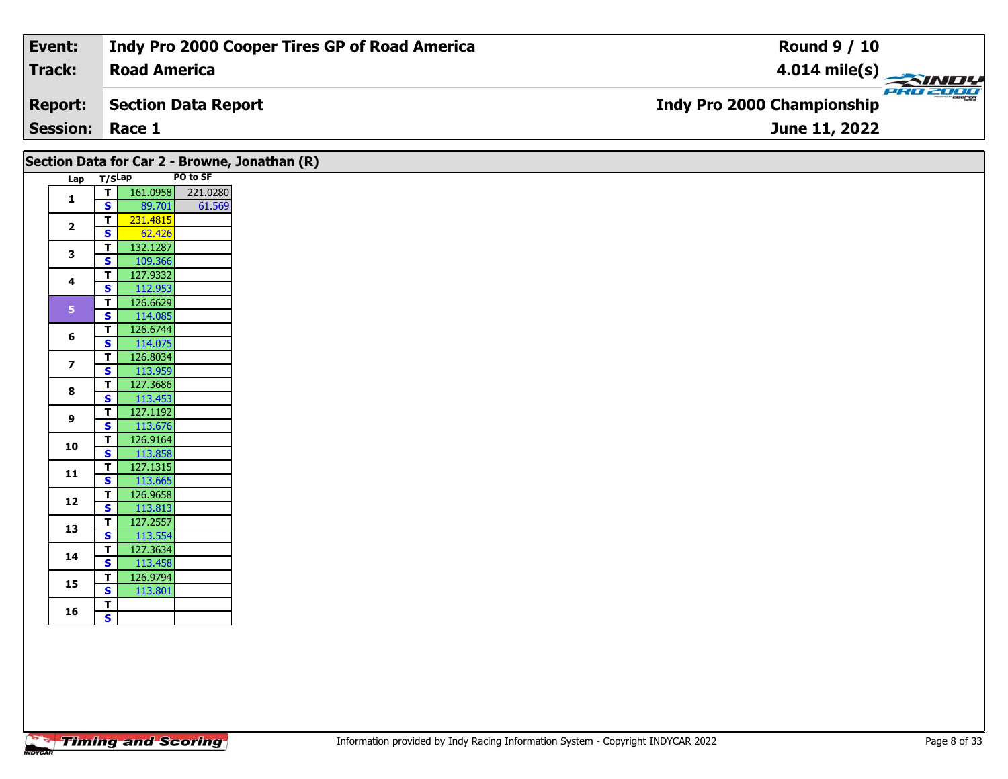| Event:                 | Indy Pro 2000 Cooper Tires GP of Road America | <b>Round 9 / 10</b>                             |
|------------------------|-----------------------------------------------|-------------------------------------------------|
| Track:                 | <b>Road America</b>                           | $\frac{4.014 \text{ mile(s)}}{2.34 \text{ Hz}}$ |
| <b>Report:</b>         | Section Data Report                           | <b>Indy Pro 2000 Championship</b>               |
| <b>Session: Race 1</b> |                                               | <b>June 11, 2022</b>                            |

| Lap T/SLap     |                         |                     | PO to SF |
|----------------|-------------------------|---------------------|----------|
|                | T                       | 161.0958 221.0280   |          |
| 1              | $\mathbf{s}$            | 89.701              | 61.569   |
|                | $\overline{\mathsf{T}}$ | 231.4815            |          |
| $\overline{2}$ | S                       | 62.426              |          |
| 3              | $\mathbf{T}$            | 132.1287            |          |
|                | <b>S</b>                | 109.366             |          |
| 4              | T                       | 127.9332            |          |
|                | S                       | 112.953             |          |
| 5 <sub>1</sub> | $\mathbf{T}$            | 126.6629            |          |
|                | $\mathbf{s}$            | 114.085             |          |
| 6              | T                       | 126.6744            |          |
|                | S                       | 114.075             |          |
| $\overline{z}$ | $\mathbf T$             | 126.8034            |          |
|                | S                       | 113.959             |          |
| 8              | $\mathbf T$             | 127.3686            |          |
|                | S                       | 113.453             |          |
| 9              | $\mathbf T$             | 127.1192            |          |
|                | $\mathbf{s}$            | 113.676             |          |
| 10             | $\mathbf T$             | 126.9164            |          |
|                | $\overline{\mathbf{s}}$ | 113.858             |          |
| 11             | $\mathbf T$             | 127.1315            |          |
|                | S                       | 113.665             |          |
| 12             | $\mathbf T$             | 126.9658            |          |
|                | $\mathbf{s}$            | 113.813             |          |
| 13             | T                       | 127.2557<br>113.554 |          |
|                | $\mathbf{s}$<br>T       | 127.3634            |          |
| 14             | S                       | 113.458             |          |
|                | Т                       | 126.9794            |          |
| 15             | $\overline{\mathbf{s}}$ | 113.801             |          |
|                | T                       |                     |          |
| 16             |                         |                     |          |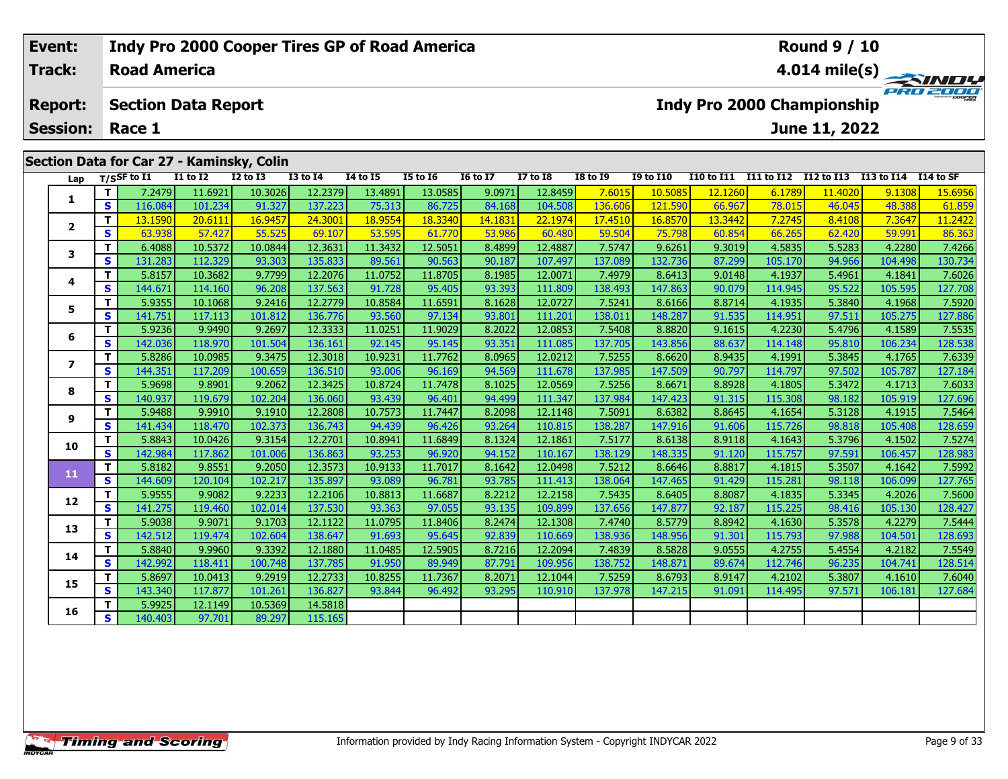#### **Event: Indy Pro 2000 Cooper Tires GP of Road America Round 9 / 10Road AmericaTrack:4.014 mile(s)** PRO 2001 **Section Data Report Indy Pro 2000 Championship Report: June 11, 2022 Session: Race 1Section Data for Car 27 - Kaminsky, Colin Lap T/SSF to I1 I1 to I2 I2 to I3 I3 to I4 I4 to I5 I5 to I6 I6 to I7 I7 to I8 I8 to I9 I9 to I10 I10 to I11 I11 to I12 I12 to I13 I13 to I14 I14 to SF <sup>T</sup>** 7.2479 11.6921 10.3026 12.2379 13.4891 13.0585 9.0971 12.8459 7.6015 10.5085 12.1260 6.1789 11.4020 9.1308 15.6956 **<sup>S</sup>** 116.084 101.234 91.327 137.223 75.313 86.725 84.168 104.508 136.606 121.590 66.967 78.015 46.045 48.388 61.859**1**2 | T | 13.1590 20.6111 16.9457 24.3001 18.9554 18.3340 14.1831 22.1974 17.4510 16.8570 13.3442 7.2745 8.4108 7.3647 11.2422<br>2 | S | 63.938 57.427 55.525 69.107 53.595 61.770 53.986 60.480 59.504 75.798 60.854 66.265 62.42 **2**

3 | T | 6.4088| 10.5372| 10.0844| 12.3631| 11.3432| 12.5051| 8.4899| 12.4887| 7.5747| 9.6261| 9.3019| 4.5835| 5.5283| 4.2280| 7.4266<br>| S | 131.283| 112.329| 93.303| 135.833| 89.561| 90.563| 90.187| 107.497| 137.089| 132.73

**<sup>T</sup>** 5.8157 10.3682 9.7799 12.2076 11.0752 11.8705 8.1985 12.0071 7.4979 8.6413 9.0148 4.1937 5.4961 4.1841 7.6026 **<sup>S</sup>** 144.671 114.160 96.208 137.563 91.728 95.405 93.393 111.809 138.493 147.863 90.079 114.945 95.522 105.595 127.708

**<sup>T</sup>** 5.9355 10.1068 9.2416 12.2779 10.8584 11.6591 8.1628 12.0727 7.5241 8.6166 8.8714 4.1935 5.3840 4.1968 7.5920 **<sup>S</sup>** 141.751 117.113 101.812 136.776 93.560 97.134 93.801 111.201 138.011 148.287 91.535 114.951 97.511 105.275 127.886

**<sup>T</sup>** 5.9236 9.9490 9.2697 12.3333 11.0251 11.9029 8.2022 12.0853 7.5408 8.8820 9.1615 4.2230 5.4796 4.1589 7.5535 **<sup>S</sup>** 142.036 118.970 101.504 136.161 92.145 95.145 93.351 111.085 137.705 143.856 88.637 114.148 95.810 106.234 128.538

7 | T | 5.8286 10.0985 9.3475 12.3018 10.9231 11.7762 8.0965 12.0212 7.5255 8.6620 8.9435 4.1991 5.3845 4.1765 7.6339<br>7 | S | 144.351 117.209 100.659 136.510 93.006 96.169 94.569 111.678 137.985 147.509 90.797 114.797 97.5

8 T | 5.9698 9.8901 9.2062 12.3425 10.8724 11.7478 8.1025 12.0569 7.5256 8.6671 8.8928 4.1805 5.3472 4.1713 7.6033<br>8 S 140.937 119.679 102.204 136.060 93.439 96.401 94.499 111.347 137.984 147.423 91.315 115.308 98.182 105.

7.5464 112.988 112.2808 12.2808 10.7573 11.7447 8.2098 12.1148 7.5091 8.6382 8.8645 4.1654 5.3128 4.1915 7.5464<br>S 141.434 118.470 102.373 136.743 94.439 96.426 93.264 110.815 138.287 147.916 91.606 115.726 98.818 105.408

0 | T | 5.8843| 10.0426| 9.3154| 12.2701| 10.8941| 11.6849| 8.1324| 12.1861| 7.5177| 8.6138| 8.9118| 4.1643| 5.3796| 4.1502| 7.5274<br>| S | 142.984| 117.862| 101.006| 136.863| 93.253| 96.920| 94.152| 110.167| 138.129| 148.33

**<sup>T</sup>** 5.8182 9.8551 9.2050 12.3573 10.9133 11.7017 8.1642 12.0498 7.5212 8.6646 8.8817 4.1815 5.3507 4.1642 7.5992 **<sup>S</sup>** 144.609 120.104 102.217 135.897 93.089 96.781 93.785 111.413 138.064 147.465 91.429 115.281 98.118 106.099 127.765

2 T 5.95551 9.90821 9.22331 12.21061 10.88131 11.66871 8.22121 12.21581 7.54351 8.64051 8.80871 4.18351 5.33451 4.20261 7.5600<br>2 S 141.2751 119.4601 102.014 137.5301 93.3631 97.0551 93.1351 109.8991 137.6561 147.8771 92.18

3 T 5.9038 9.9071 9.1703 12.1122 11.0795 11.8406 8.2474 12.1308 7.4740 8.5779 8.8942 4.1630 5.3578 4.2279 7.5444<br>S 142.512 119.474 102.604 138.647 91.693 95.645 92.839 110.669 138.936 148.956 91.301 115.793 97.988 104.501

4 T 5.8840 9.9960 9.3392 12.1880 11.0485 12.5905 8.7216 12.2094 7.4839 8.5828 9.0555 4.2755 5.4554 4.2182 7.5549<br>- S 142.992 118.411 100.748 137.785 91.950 89.949 87.791 109.956 138.752 148.871 89.674 112.746 96.235 104.74

5 | T | 5.8697| 10.0413| 9.2919| 12.2733| 10.8255| 11.7367| 8.2071| 12.1044| 7.5259| 8.6793| 8.9147| 4.2102| 5.3807| 4.1610| 7.6040<br>| S | 143.340| 117.877| 101.261| 136.827| 93.844| 96.492| 93.295| 110.910| 137.978| 147.21

**<sup>T</sup>** 5.9925 12.1149 10.5369 14.5818 **<sup>S</sup>** 140.403 97.701 89.297 115.165

**3**

**4**

**5**

**6**

**7**

**8**

**9**

**10**

**11**

**12**

**13**

**14**

**15**

**16**

127.70

128.659

127.765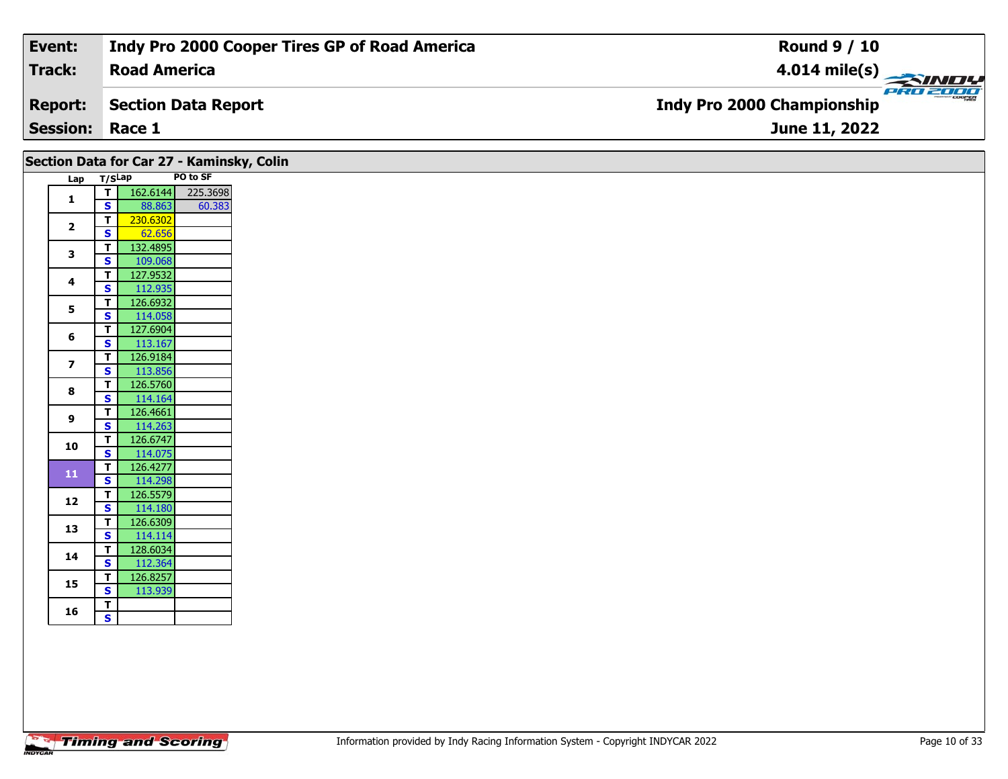| Event:                 | Indy Pro 2000 Cooper Tires GP of Road America | <b>Round 9 / 10</b>                           |
|------------------------|-----------------------------------------------|-----------------------------------------------|
| Track:                 | <b>Road America</b>                           | $4.014 \text{ mile(s)}$                       |
| <b>Report:</b>         | Section Data Report                           | PRO 2000<br><b>Indy Pro 2000 Championship</b> |
| <b>Session: Race 1</b> |                                               | June 11, 2022                                 |

| Section Data for Car 27 - Kaminsky, Colin<br>Lap T/SLap |                                                                  |                     | PO to SF          |
|---------------------------------------------------------|------------------------------------------------------------------|---------------------|-------------------|
|                                                         | $\overline{r}$                                                   |                     | 162.6144 225.3698 |
| 1                                                       | S                                                                | 88.863              | 60.383            |
| $\overline{2}$                                          | $\overline{I}$                                                   | 230.6302            |                   |
|                                                         | S                                                                | 62.656              |                   |
| 3                                                       | T.                                                               | 132.4895            |                   |
|                                                         | $\overline{\mathbf{s}}$                                          | 109.068             |                   |
| 4                                                       | $\mathbf T$<br>S<br>$\mathbf T$<br>$\overline{\mathbf{s}}$<br>T. | 127.9532            |                   |
|                                                         |                                                                  | 112.935             |                   |
| 5                                                       |                                                                  | 126.6932            |                   |
|                                                         |                                                                  | 114.058<br>127.6904 |                   |
| 6                                                       | $\overline{\mathbf{s}}$<br>T                                     | 113.167             |                   |
|                                                         | $\overline{\mathbf{s}}$                                          | 126.9184            |                   |
| $\overline{\mathbf{z}}$                                 |                                                                  | 113.856             |                   |
|                                                         | T.                                                               | 126.5760            |                   |
| 8                                                       | $\mathbf{s}$                                                     | 114.164             |                   |
|                                                         | T.                                                               | 126.4661            |                   |
| 9                                                       | $\mathsf{s}$                                                     | 114.263             |                   |
|                                                         | $\mathbf{T}$                                                     | 126.6747            |                   |
| 10                                                      | $\overline{\mathbf{s}}$                                          | 114.075             |                   |
| 11                                                      | $\mathbf{T}$                                                     | 126.4277            |                   |
|                                                         | S                                                                | 114.298             |                   |
| 12                                                      | $\mathbf{T}$                                                     | 126.5579            |                   |
|                                                         | S                                                                | 114.180             |                   |
| 13                                                      | T.                                                               | 126.6309            |                   |
|                                                         | $\overline{\mathbf{s}}$                                          | 114.114             |                   |
| 14                                                      | T                                                                | 128.6034            |                   |
|                                                         | $\overline{\mathbf{s}}$                                          | 112.364             |                   |
| 15                                                      | $\overline{\mathbf{r}}$                                          | 126.8257            |                   |
|                                                         | $\overline{\mathbf{s}}$                                          | 113.939             |                   |
| 16                                                      | T<br>$\mathbf{s}$                                                |                     |                   |
|                                                         |                                                                  |                     |                   |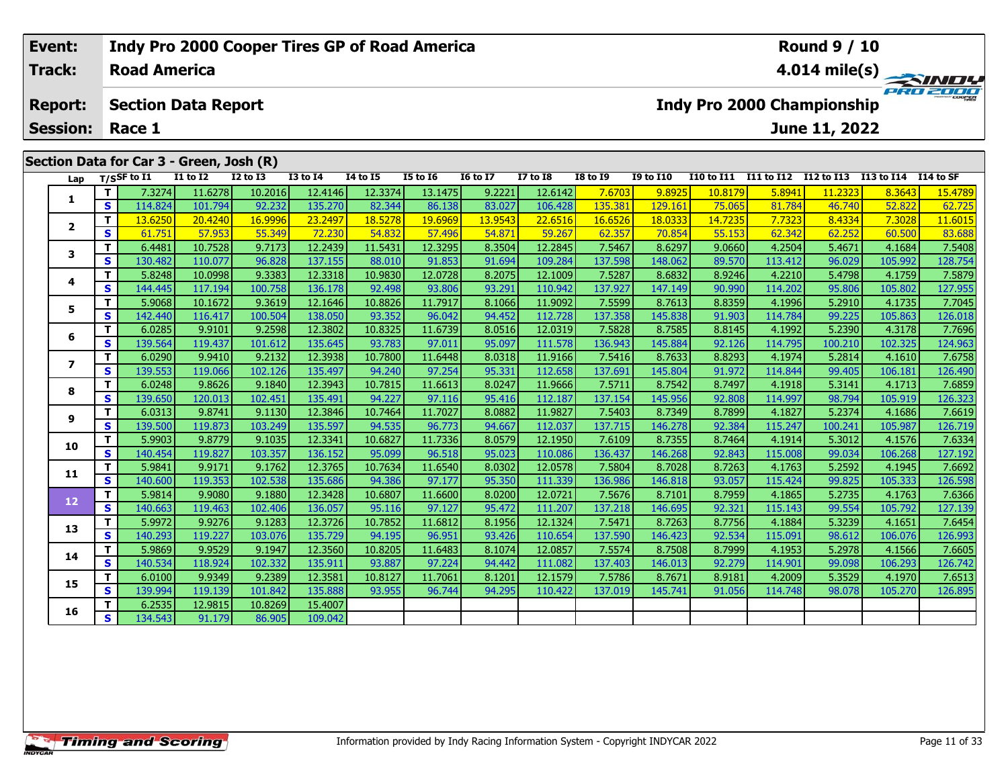## **Event: Indy Pro 2000 Cooper Tires GP of Road America Round 9 / 10Track:Road America4.014 mile(s)** experience **Report: Section Data Report Indy Pro 2000 Championship June 11, 2022 Session: Race 1 Section Data for Car 3 - Green, Josh (R) Lap T/SSF to I1 I1 to I2 I2 to I3 I3 to I4 I4 to I5 I5 to I6 I6 to I7 I7 to I8 I8 to I9 I9 to I10 I10 to I11 I11 to I12 I12 to I13 I13 to I14 I14 to SF <sup>T</sup>** 7.3274 11.6278 10.2016 12.4146 12.3374 13.1475 9.2221 12.6142 7.6703 9.8925 10.8179 5.8941 11.2323 8.3643 15.4789 **<sup>S</sup>** 114.824 101.794 92.232 135.270 82.344 86.138 83.027 106.428 135.381 129.161 75.065 81.784 46.740 52.822 62.725**1**62.725 2 | T | 13.6250 | 20.4240 | 16.9996 | 23.2497 | 18.5278 | 19.6969 | 13.9543 | 22.6516 | 16.6526 | 18.0333 | 14.7235 | 7.7323 | 8.4334 | 7.3028 | 11.6015<br>2 | S | 61.751 | 57.953 | 55.349 | 72.230 | 54.832 | 57.496 | 54.871 **2**

| 3  | T.           | 6.4481  | 10.7528 | 9.7173  | 12.2439 | 11.5431 | 12.3295 | 8.3504 | 12.2845 | 7.5467  | 8.6297  | 9.0660 | 4.2504  | 5.4671  | 4.1684  | 7.5408  |
|----|--------------|---------|---------|---------|---------|---------|---------|--------|---------|---------|---------|--------|---------|---------|---------|---------|
|    | S            | 130.482 | 110.077 | 96.828  | 137.155 | 88.010  | 91.853  | 91.694 | 109.284 | 137.598 | 148.062 | 89.570 | 113.412 | 96.029  | 105.992 | 128.754 |
| 4  | т            | 5.8248  | 10.0998 | 9.3383  | 12.3318 | 10.9830 | 12.0728 | 8.2075 | 12.1009 | 7.5287  | 8.6832  | 8.9246 | 4.2210  | 5.4798  | 4.1759  | 7.5879  |
|    | S            | 144.445 | 117.194 | 100.758 | 136.178 | 92.498  | 93.806  | 93.291 | 110.942 | 137.927 | 147.149 | 90.990 | 114.202 | 95.806  | 105.802 | 127.955 |
| 5  | т            | 5.9068  | 10.1672 | 9.3619  | 12.1646 | 10.8826 | 11.7917 | 8.1066 | 11.9092 | 7.5599  | 8.7613  | 8.8359 | 4.1996  | 5.2910  | 4.1735  | 7.7045  |
|    | S            | 142.440 | 116.417 | 100.504 | 138.050 | 93.352  | 96.042  | 94.452 | 112.728 | 137.358 | 145.838 | 91.903 | 114.784 | 99.225  | 105.863 | 126.018 |
| 6  | т            | 6.0285  | 9.9101  | 9.2598  | 12.3802 | 10.8325 | 11.6739 | 8.0516 | 12.0319 | 7.5828  | 8.7585  | 8.8145 | 4.1992  | 5.2390  | 4.3178  | 7.7696  |
|    | S            | 139.564 | 119.437 | 101.612 | 135.645 | 93.783  | 97.011  | 95.097 | 111.578 | 136.943 | 145.884 | 92.126 | 114.795 | 100.210 | 102.325 | 124.963 |
| 7  | т            | 6.0290  | 9.9410  | 9.2132  | 12.3938 | 10.7800 | 11.6448 | 8.0318 | 11.9166 | 7.5416  | 8.7633  | 8.8293 | 4.1974  | 5.2814  | 4.1610  | 7.6758  |
|    | S            | 139.553 | 119.066 | 102.126 | 135.497 | 94.240  | 97.254  | 95.331 | 112.658 | 137.691 | 145.804 | 91.972 | 114.844 | 99.405  | 106.181 | 126.490 |
| 8  | т            | 6.0248  | 9.8626  | 9.1840  | 12.3943 | 10.7815 | 11.6613 | 8.0247 | 11.9666 | 7.5711  | 8.7542  | 8.7497 | 4.1918  | 5.3141  | 4.1713  | 7.6859  |
|    | S            | 139.650 | 120.013 | 102.451 | 135.491 | 94.227  | 97.116  | 95.416 | 112.187 | 137.154 | 145.956 | 92.808 | 114.997 | 98.794  | 105.919 | 126.323 |
| 9  | т            | 6.0313  | 9.8741  | 9.1130  | 12.3846 | 10.7464 | 11.7027 | 8.0882 | 11.9827 | 7.5403  | 8.7349  | 8.7899 | 4.1827  | 5.2374  | 4.1686  | 7.6619  |
|    | S            | 139.500 | 119.873 | 103.249 | 135.597 | 94.535  | 96.773  | 94.667 | 112.037 | 137.715 | 146.278 | 92.384 | 115.247 | 100.241 | 105.987 | 126.719 |
| 10 | T.           | 5.9903  | 9.8779  | 9.1035  | 12.3341 | 10.6827 | 11.7336 | 8.0579 | 12.1950 | 7.6109  | 8.7355  | 8.7464 | 4.1914  | 5.3012  | 4.1576  | 7.6334  |
|    | S            | 140.454 | 119.827 | 103.357 | 136.152 | 95.099  | 96.518  | 95.023 | 110.086 | 136.437 | 146.268 | 92.843 | 115.008 | 99.034  | 106.268 | 127.192 |
| 11 | T            | 5.9841  | 9.9171  | 9.1762  | 12.3765 | 10.7634 | 11.6540 | 8.0302 | 12.0578 | 7.5804  | 8.7028  | 8.7263 | 4.1763  | 5.2592  | 4.1945  | 7.6692  |
|    | S            | 140.600 | 119.353 | 102.538 | 135.686 | 94.386  | 97.177  | 95.350 | 111.339 | 136.986 | 146.818 | 93.057 | 115.424 | 99.825  | 105.333 | 126.598 |
| 12 | т            | 5.9814  | 9.9080  | 9.1880  | 12.3428 | 10.6807 | 11.6600 | 8.0200 | 12.0721 | 7.5676  | 8.7101  | 8.7959 | 4.1865  | 5.2735  | 4.1763  | 7.6366  |
|    | $\mathbf{s}$ | 140.663 | 119.463 | 102.406 | 136.057 | 95.116  | 97.127  | 95.472 | 111.207 | 137.218 | 146.695 | 92.321 | 115.143 | 99.554  | 105.792 | 127.139 |
| 13 | T            | 5.9972  | 9.9276  | 9.1283  | 12.3726 | 10.7852 | 11.6812 | 8.1956 | 12.1324 | 7.5471  | 8.7263  | 8.7756 | 4.1884  | 5.3239  | 4.1651  | 7.6454  |
|    | S            | 140.293 | 119.227 | 103.076 | 135.729 | 94.195  | 96.951  | 93.426 | 110.654 | 137.590 | 146.423 | 92.534 | 115.091 | 98.612  | 106.076 | 126.993 |
| 14 | т            | 5.9869  | 9.9529  | 9.1947  | 12.3560 | 10.8205 | 11.6483 | 8.1074 | 12.0857 | 7.5574  | 8.7508  | 8.7999 | 4.1953  | 5.2978  | 4.1566  | 7.6605  |
|    | S            | 140.534 | 118.924 | 102.332 | 135.911 | 93.887  | 97.224  | 94.442 | 111.082 | 137.403 | 146.013 | 92.279 | 114.901 | 99.098  | 106.293 | 126.742 |
| 15 | т            | 6.0100  | 9.9349  | 9.2389  | 12.3581 | 10.8127 | 11.7061 | 8.1201 | 12.1579 | 7.5786  | 8.7671  | 8.9181 | 4.2009  | 5.3529  | 4.1970  | 7.6513  |
|    | S            | 139.994 | 119.139 | 101.842 | 135.888 | 93.955  | 96.744  | 94.295 | 110.422 | 137.019 | 145.741 | 91.056 | 114.748 | 98.078  | 105.270 | 126.895 |
| 16 | т            | 6.2535  | 12.9815 | 10.8269 | 15.4007 |         |         |        |         |         |         |        |         |         |         |         |
|    | S            | 134.543 | 91.179  | 86.905  | 109.042 |         |         |        |         |         |         |        |         |         |         |         |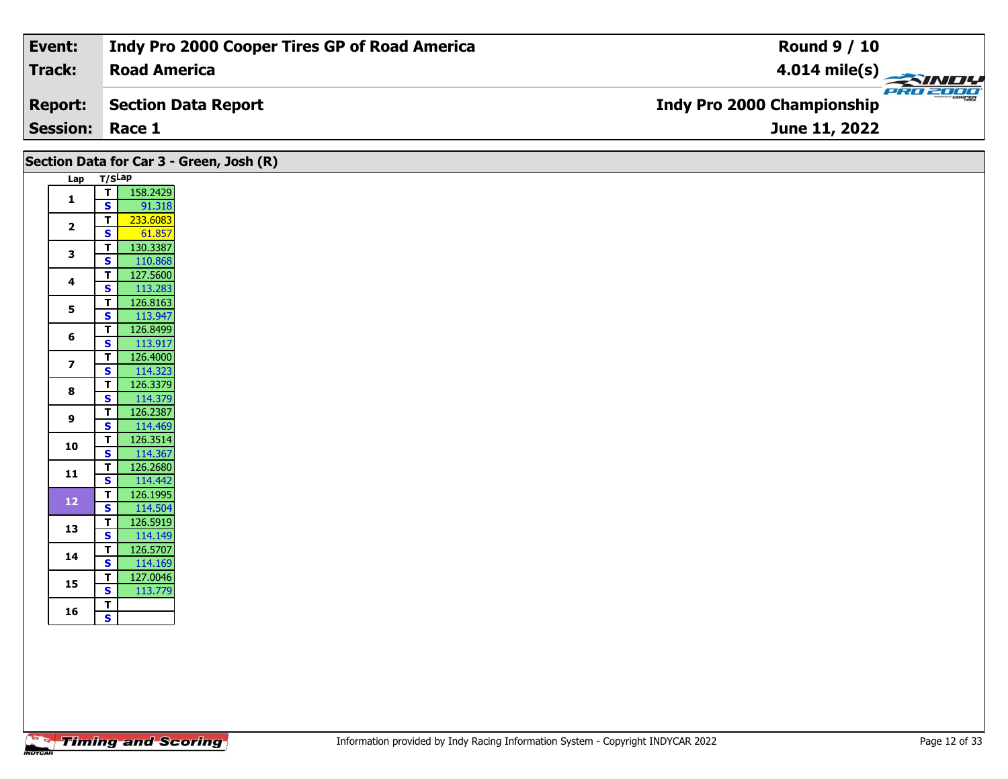| Event:                 | Indy Pro 2000 Cooper Tires GP of Road America | <b>Round 9 / 10</b>                             |
|------------------------|-----------------------------------------------|-------------------------------------------------|
| Track:                 | <b>Road America</b>                           | $\frac{4.014 \text{ mile(s)}}{2.34 \text{ Hz}}$ |
| <b>Report:</b>         | Section Data Report                           | <b>Indy Pro 2000 Championship</b>               |
| <b>Session: Race 1</b> |                                               | <b>June 11, 2022</b>                            |

|                | Section Data for Car 3 - Green, Josh (R)                         |
|----------------|------------------------------------------------------------------|
|                | Lap T/SLap                                                       |
| $\mathbf{1}$   | 158.2429<br>T<br>$\mathbf{s}$<br>91.318                          |
| $\overline{2}$ | 233.6083<br>$\mathbf T$                                          |
|                | $\mathbf{s}$<br>61.857<br>130.3387<br>$\mathbf{T}$               |
| $\mathbf{3}$   | $\overline{\mathbf{s}}$<br>110.868                               |
| 4              | 127.5600<br>$\mathbf T$<br>113.283<br>$\overline{\mathbf{s}}$    |
| 5              | 126.8163<br>$\mathbf{T}$<br>113.947<br>$\overline{\mathbf{s}}$   |
| 6              | $\mathbf T$<br>126.8499                                          |
|                | 113.917<br>$\mathbf{s}$<br>126.4000<br>$\overline{I}$            |
| $\overline{z}$ | 114.323<br>$\mathbf{s}$<br>$\overline{r}$<br>126.3379            |
| 8              | S,<br>114.379                                                    |
| 9              | $\mathbf{I}$<br>126.2387<br>114.469<br>$\mathbf{s}$              |
| 10             | 126.3514<br>$\mathbf{T}$                                         |
| 11             | 114.367<br>$\overline{\mathbf{s}}$<br>126.2680<br>$\mathbf T$    |
|                | $\mathbf{s}$<br>114.442<br>126.1995<br>$\mathbf{T}$              |
| $12$           | $\overline{\mathbf{s}}$<br>114.504                               |
| 13             | T<br>126.5919<br>114.149<br>$\mathbf{s}$                         |
| 14             | 126.5707<br>$\overline{I}$<br>114.169<br>$\overline{\mathbf{s}}$ |
| 15             | 127.0046<br>$\overline{\mathbf{r}}$                              |
|                | 113.779<br>$\mathbf{s}$<br>$\mathbf{T}$                          |
| 16             | $\mathbf{s}$                                                     |
|                |                                                                  |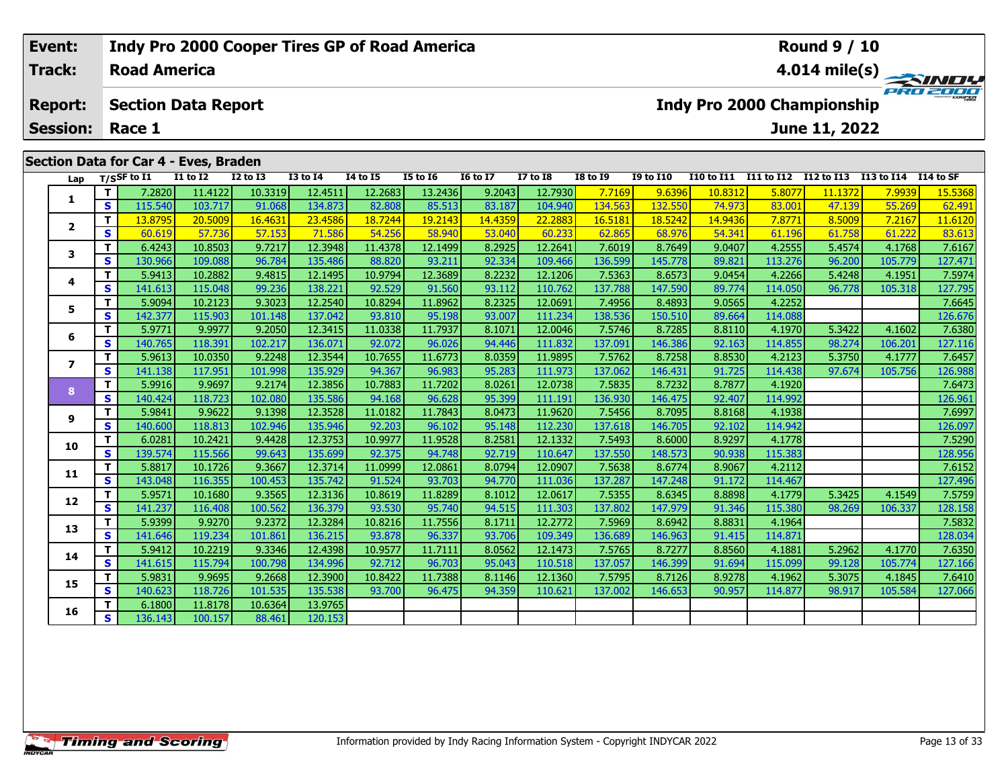## **Event: Indy Pro 2000 Cooper Tires GP of Road America Round 9 / 10Road AmericaTrack:4.014 mile(s)** PRO 2001 **Section Data Report Report: Indy Pro 2000 Championship June 11, 2022 Session: Race 1 Section Data for Car 4 - Eves, Braden Lap T/SSF to I1 I1 to I2 I2 to I3 I3 to I4 I4 to I5 I5 to I6 I6 to I7 I7 to I8 I8 to I9 I9 to I10 I10 to I11 I11 to I12 I12 to I13 I13 to I14 I14 to SF**  1 | T | 7.2820 11.4122 10.3319 12.4511 12.2683 13.2436 9.2043 12.7930 7.7169 9.6396 10.8312 5.8077 11.1372 7.9939 15.5368<br>1 | S | 115.540 103.717 91.068 134.873 82.808 85.513 83.187 104.940 134.563 132.550 74.973 83.001 47 **1**

|                | T                       | 7.2820  | 11.4122 | 10.3319 | 12.4511 | 12.2683 | 13.2436 | 9.2043  | 12.7930 | 7.7169  | 9.6396  | 10.8312 | 5.8077  | 11.1372 | 7.9939  | 15.5368 |
|----------------|-------------------------|---------|---------|---------|---------|---------|---------|---------|---------|---------|---------|---------|---------|---------|---------|---------|
| 1              | S                       | 115.540 | 103.717 | 91.068  | 134.873 | 82.808  | 85.513  | 83.187  | 104.940 | 134.563 | 132.550 | 74.973  | 83.001  | 47.139  | 55.269  | 62.491  |
|                | т                       | 13.8795 | 20.5009 | 16.4631 | 23.4586 | 18.7244 | 19.2143 | 14.4359 | 22.2883 | 16.5181 | 18.5242 | 14.9436 | 7.8771  | 8.5009  | 7.2167  | 11.6120 |
| $\overline{2}$ | S                       | 60.619  | 57.736  | 57.153  | 71.586  | 54.256  | 58.940  | 53.040  | 60.233  | 62.865  | 68.976  | 54.341  | 61.196  | 61.758  | 61.222  | 83.613  |
|                | т                       | 6.4243  | 10.8503 | 9.7217  | 12.3948 | 11.4378 | 12.1499 | 8.2925  | 12.2641 | 7.6019  | 8.7649  | 9.0407  | 4.2555  | 5.4574  | 4.1768  | 7.6167  |
| 3              | $\mathbf{s}$            | 130.966 | 109.088 | 96.784  | 135.486 | 88.820  | 93.211  | 92.334  | 109.466 | 136.599 | 145.778 | 89.821  | 113.276 | 96.200  | 105.779 | 127.471 |
|                | т                       | 5.9413  | 10.2882 | 9.4815  | 12.1495 | 10.9794 | 12.3689 | 8.2232  | 12.1206 | 7.5363  | 8.6573  | 9.0454  | 4.2266  | 5.4248  | 4.1951  | 7.5974  |
| 4              | $\mathbf{s}$            | 141.613 | 115.048 | 99.236  | 138.221 | 92.529  | 91.560  | 93.112  | 110.762 | 137.788 | 147.590 | 89.774  | 114.050 | 96.778  | 105.318 | 127.795 |
| 5              | T                       | 5.9094  | 10.2123 | 9.3023  | 12.2540 | 10.8294 | 11.8962 | 8.2325  | 12.0691 | 7.4956  | 8.4893  | 9.0565  | 4.2252  |         |         | 7.6645  |
|                | S                       | 142.377 | 115.903 | 101.148 | 137.042 | 93.810  | 95.198  | 93.007  | 111.234 | 138.536 | 150.510 | 89.664  | 114.088 |         |         | 126.676 |
| 6              | T.                      | 5.9771  | 9.9977  | 9.2050  | 12.3415 | 11.0338 | 11.7937 | 8.1071  | 12.0046 | 7.5746  | 8.7285  | 8.8110  | 4.1970  | 5.3422  | 4.1602  | 7.6380  |
|                | S                       | 140.765 | 118.391 | 102.217 | 136.071 | 92.072  | 96.026  | 94.446  | 111.832 | 137.091 | 146.386 | 92.163  | 114.855 | 98.274  | 106.201 | 127.116 |
| $\overline{z}$ | T.                      | 5.9613  | 10.0350 | 9.2248  | 12.3544 | 10.7655 | 11.6773 | 8.0359  | 11.9895 | 7.5762  | 8.7258  | 8.8530  | 4.2123  | 5.3750  | 4.1777  | 7.6457  |
|                | S                       | 141.138 | 117.951 | 101.998 | 135.929 | 94.367  | 96.983  | 95.283  | 111.973 | 137.062 | 146.431 | 91.725  | 114.438 | 97.674  | 105.756 | 126.988 |
| 8              | T.                      | 5.9916  | 9.9697  | 9.2174  | 12.3856 | 10.7883 | 11.7202 | 8.0261  | 12.0738 | 7.5835  | 8.7232  | 8.7877  | 4.1920  |         |         | 7.6473  |
|                | S                       | 140.424 | 118.723 | 102.080 | 135.586 | 94.168  | 96.628  | 95.399  | 111.191 | 136.930 | 146.475 | 92.407  | 114.992 |         |         | 126.961 |
| 9              | T.                      | 5.9841  | 9.9622  | 9.1398  | 12.3528 | 11.0182 | 11.7843 | 8.0473  | 11.9620 | 7.5456  | 8.7095  | 8.8168  | 4.1938  |         |         | 7.6997  |
|                | S                       | 140.600 | 118.813 | 102.946 | 135.946 | 92.203  | 96.102  | 95.148  | 112.230 | 137.618 | 146.705 | 92.102  | 114.942 |         |         | 126.097 |
| 10             | T.                      | 6.0281  | 10.2421 | 9.4428  | 12.3753 | 10.9977 | 11.9528 | 8.2581  | 12.1332 | 7.5493  | 8.6000  | 8.9297  | 4.1778  |         |         | 7.5290  |
|                | $\mathbf{s}$            | 139.574 | 115.566 | 99.643  | 135.699 | 92.375  | 94.748  | 92.719  | 110.647 | 137.550 | 148.573 | 90.938  | 115.383 |         |         | 128.956 |
| 11             | T                       | 5.8817  | 10.1726 | 9.3667  | 12.3714 | 11.0999 | 12.0861 | 8.0794  | 12.0907 | 7.5638  | 8.6774  | 8.9067  | 4.2112  |         |         | 7.6152  |
|                | S                       | 143.048 | 116.355 | 100.453 | 135.742 | 91.524  | 93.703  | 94.770  | 111.036 | 137.287 | 147.248 | 91.172  | 114.467 |         |         | 127.496 |
| 12             | T.                      | 5.9571  | 10.1680 | 9.3565  | 12.3136 | 10.8619 | 11.8289 | 8.1012  | 12.0617 | 7.5355  | 8.6345  | 8.8898  | 4.1779  | 5.3425  | 4.1549  | 7.5759  |
|                | $\overline{\mathbf{s}}$ | 141.237 | 116.408 | 100.562 | 136.379 | 93.530  | 95.740  | 94.515  | 111.303 | 137.802 | 147.979 | 91.346  | 115.380 | 98.269  | 106.337 | 128.158 |
| 13             | T.                      | 5.9399  | 9.9270  | 9.2372  | 12.3284 | 10.8216 | 11.7556 | 8.1711  | 12.2772 | 7.5969  | 8.6942  | 8.8831  | 4.1964  |         |         | 7.5832  |
|                | $\overline{\mathbf{s}}$ | 141.646 | 119.234 | 101.861 | 136.215 | 93.878  | 96.337  | 93.706  | 109.349 | 136.689 | 146.963 | 91.415  | 114.871 |         |         | 128.034 |
| 14             | т                       | 5.9412  | 10.2219 | 9.3346  | 12.4398 | 10.9577 | 11.7111 | 8.0562  | 12.1473 | 7.5765  | 8.7277  | 8.8560  | 4.1881  | 5.2962  | 4.1770  | 7.6350  |
|                | S                       | 141.615 | 115.794 | 100.798 | 134.996 | 92.712  | 96.703  | 95.043  | 110.518 | 137.057 | 146.399 | 91.694  | 115.099 | 99.128  | 105.774 | 127.166 |
| 15             | T.                      | 5.9831  | 9.9695  | 9.2668  | 12.3900 | 10.8422 | 11.7388 | 8.1146  | 12.1360 | 7.5795  | 8.7126  | 8.9278  | 4.1962  | 5.3075  | 4.1845  | 7.6410  |
|                | S                       | 140.623 | 118.726 | 101.535 | 135.538 | 93.700  | 96.475  | 94.359  | 110.621 | 137.002 | 146.653 | 90.957  | 114.877 | 98.917  | 105.584 | 127.066 |
| 16             | T.                      | 6.1800  | 11.8178 | 10.6364 | 13.9765 |         |         |         |         |         |         |         |         |         |         |         |
|                | $\overline{\mathbf{s}}$ | 136.143 | 100.157 | 88.461  | 120.153 |         |         |         |         |         |         |         |         |         |         |         |
|                |                         |         |         |         |         |         |         |         |         |         |         |         |         |         |         |         |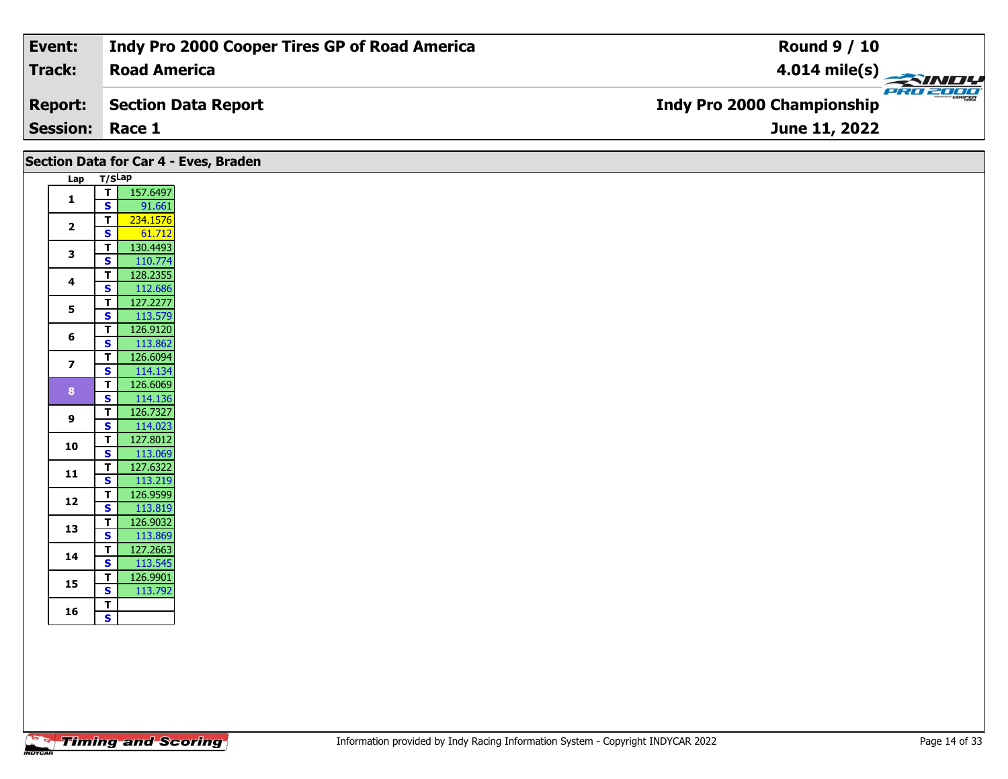| Event:                 | Indy Pro 2000 Cooper Tires GP of Road America | <b>Round 9 / 10</b>                           |
|------------------------|-----------------------------------------------|-----------------------------------------------|
| Track:                 | <b>Road America</b>                           | $4.014 \text{ mile(s)}$                       |
| <b>Report:</b>         | Section Data Report                           | PRO 200e<br><b>Indy Pro 2000 Championship</b> |
| <b>Session: Race 1</b> |                                               | June 11, 2022                                 |

|                         |                                                                  | Section Data for Car 4 - Eves, Braden |
|-------------------------|------------------------------------------------------------------|---------------------------------------|
|                         | Lap T/SLap                                                       |                                       |
| $\mathbf{1}$            | $T$ 157.6497<br>$\mathbf{s}$<br>91.661                           |                                       |
| $\overline{2}$          | 234.1576<br>$\overline{\mathbf{I}}$<br>$\mathbf{s}$<br>61.712    |                                       |
| 3                       | 130.4493<br>T<br>$\mathbf{s}$<br>110.774                         |                                       |
| $\overline{\mathbf{4}}$ | 128.2355<br>$\overline{t}$<br>$\overline{\mathbf{s}}$<br>112.686 |                                       |
| 5                       | 127.2277<br>T                                                    |                                       |
| 6                       | 113.579<br>$\overline{\mathbf{s}}$<br>126.9120<br>T.             |                                       |
| $\overline{\mathbf{z}}$ | 113.862<br>$\mathbf{s}$<br>126.6094<br>T                         |                                       |
|                         | $\vert$ s<br>114.134<br>126.6069<br>T                            |                                       |
| 8                       | $\overline{\mathbf{s}}$<br>114.136<br>126.7327<br>τI             |                                       |
| 9                       | 114.023<br>$\overline{\mathbf{s}}$<br>127.8012<br>$\vert$ T      |                                       |
| 10                      | 113.069<br>$\overline{\mathbf{s}}$                               |                                       |
| 11                      | 127.6322<br>T<br>113.219<br>$\mathbf{s}$                         |                                       |
| 12                      | 126.9599<br>$\mathbf{T}$<br>S<br>113.819                         |                                       |
| 13                      | 126.9032<br>$\mathbf{T}$<br>113.869<br>$\mathbf{s}$              |                                       |
| 14                      | 127.2663<br>T.<br>113.545<br>$\mathbf{s}$                        |                                       |
| 15                      | 126.9901<br>T<br>$\overline{\mathbf{s}}$                         |                                       |
| 16                      | 113.792<br>$\mathbf T$<br>$\mathsf{s}$                           |                                       |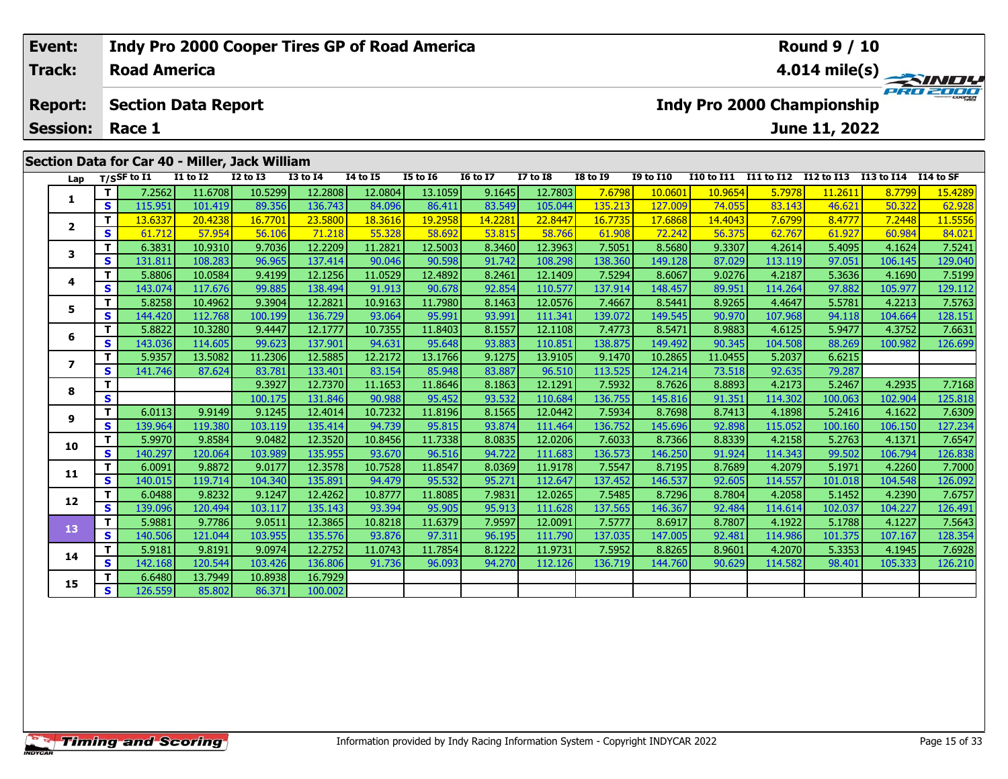|                           | Event:         |  |                     | <b>Indy Pro 2000 Cooper Tires GP of Road America</b> |              |                 |                 |                 |                 |                                               |                 | <b>Round 9 / 10</b> |                   |            |            |            |            |
|---------------------------|----------------|--|---------------------|------------------------------------------------------|--------------|-----------------|-----------------|-----------------|-----------------|-----------------------------------------------|-----------------|---------------------|-------------------|------------|------------|------------|------------|
|                           | Track:         |  | <b>Road America</b> |                                                      |              |                 |                 |                 |                 | $4.014 \text{ mile(s)}$                       |                 |                     |                   |            |            |            |            |
|                           | <b>Report:</b> |  |                     | <b>Section Data Report</b>                           |              |                 |                 |                 |                 | PRO 2000<br><b>Indy Pro 2000 Championship</b> |                 |                     |                   |            |            |            |            |
| <b>Session:</b><br>Race 1 |                |  |                     |                                                      |              |                 |                 |                 |                 |                                               |                 |                     | June 11, 2022     |            |            |            |            |
|                           |                |  |                     | Section Data for Car 40 - Miller, Jack William       |              |                 |                 |                 |                 |                                               |                 |                     |                   |            |            |            |            |
|                           | Lap            |  | T/SSF to I1         | <b>I1 to I2</b>                                      | $I2$ to $I3$ | <b>I3 to I4</b> | <b>I4 to I5</b> | <b>I5 to I6</b> | <b>16 to I7</b> | <b>I7 to I8</b>                               | <b>I8 to 19</b> | <b>I9 to I10</b>    | <b>I10 to I11</b> | I11 to I12 | I12 to I13 | I13 to I14 | I 14 to SF |
|                           |                |  |                     |                                                      |              |                 |                 |                 |                 |                                               |                 |                     |                   |            |            |            |            |
|                           |                |  | 7.2562 l            | 11.6708                                              | 10.5299      | 12.2808         | 12.0804         | 13.1059         | 9.1645          | 12.7803                                       | <b>7.6798</b>   | 10.0601             | 10.9654           | 5.7978     | 11.2611    | 8.7799     | 15.4289    |

| Lap            |          | T/SSF to 11 | 11 to 12 | 12 to 13 | 13 to 14 | 14 to 15 | 15 to 16 | 10 to 1/ | 17 to 18 | <b>18 to 19</b> | 19 to 110 | 110 to 111 | 111 to 112 | 112 to 113 | 113 to 114 | <b>114 to SF</b>     |
|----------------|----------|-------------|----------|----------|----------|----------|----------|----------|----------|-----------------|-----------|------------|------------|------------|------------|----------------------|
| 1.             | T.       | 7.2562      | 11.6708  | 10.5299  | 12.2808  | 12.0804  | 13.1059  | 9.1645   | 12.7803  | 7.6798          | 10.0601   | 10.9654    | 5.7978     | 11.2611    | 8.7799     | <mark>15.4289</mark> |
|                | S.       | 115.951     | 101.419  | 89.356   | 136.743  | 84.096   | 86.411   | 83.549   | 105.044  | 135.213         | 127.009   | 74.055     | 83.143     | 46.621     | 50.322     | 62.928               |
| $\overline{2}$ | T        | 13.6337     | 20,4238  | 16.7701  | 23.5800  | 18.3616  | 19.2958  | 14.2281  | 22.8447  | 16.7735         | 17.6868   | 14.4043    | 7.6799     | 8.4777     | 7.2448     | 11.5556              |
|                | S        | 61.712      | 57.954   | 56.106   | 71.218   | 55.328   | 58.692   | 53.815   | 58.766   | 61.908          | 72.242    | 56.375     | 62.767     | 61.927     | 60.984     | 84.021               |
| 3              | T.       | 6.3831      | 10.9310  | 9.7036   | 12.2209  | 11.2821  | 12.5003  | 8.3460   | 12.3963  | 7.5051          | 8.5680    | 9.3307     | 4.2614     | 5.4095     | 4.1624     | 7.5241               |
|                | S        | 131.811     | 108.283  | 96.965   | 137.414  | 90.046   | 90.598   | 91.742   | 108.298  | 138.360         | 149.128   | 87.029     | 113.119    | 97.051     | 106.145    | 129.040              |
| 4              | т        | 5.8806      | 10.0584  | 9.4199   | 12.1256  | 11.0529  | 12.4892  | 8.2461   | 12.1409  | 7.5294          | 8.6067    | 9.0276     | 4.2187     | 5.3636     | 4.1690     | 7.5199               |
|                | S        | 143.074     | 117.676  | 99.885   | 138.494  | 91.913   | 90.678   | 92.854   | 110.577  | 137.914         | 148.457   | 89.951     | 114.264    | 97.882     | 105.977    | 129.112              |
| 5              | T        | 5.8258      | 10.4962  | 9.3904   | 12.2821  | 10.9163  | 11.7980  | 8.1463   | 12.0576  | 7.4667          | 8.5441    | 8.9265     | 4.4647     | 5.5781     | 4.2213     | 7.5763               |
|                | S        | 144.420     | 112.768  | 100.199  | 136.729  | 93.064   | 95.991   | 93.991   | 111.341  | 139.072         | 149.545   | 90.970     | 107.968    | 94.118     | 104.664    | 128.151              |
| 6              | T.       | 5.8822      | 10.3280  | 9.4447   | 12.1777  | 10.7355  | 11.8403  | 8.1557   | 12.1108  | 7.4773          | 8.5471    | 8.9883     | 4.6125     | 5.9477     | 4.3752     | 7.6631               |
|                | S        | 143.036     | 114.605  | 99.623   | 137.901  | 94.631   | 95.648   | 93.883   | 110.851  | 138.875         | 149.492   | 90.345     | 104.508    | 88.269     | 100.982    | 126.699              |
| 7              | T        | 5.9357      | 13.5082  | 11.2306  | 12.5885  | 12.2172  | 13.1766  | 9.1275   | 13.9105  | 9.1470          | 10.2865   | 11.0455    | 5.2037     | 6.6215     |            |                      |
|                | S        | 141.746     | 87.624   | 83.781   | 133.401  | 83.154   | 85.948   | 83.887   | 96.510   | 113.525         | 124.214   | 73.518     | 92.635     | 79.287     |            |                      |
| 8              | т        |             |          | 9.3927   | 12.7370  | 11.1653  | 11.8646  | 8.1863   | 12.1291  | 7.5932          | 8.7626    | 8.8893     | 4.2173     | 5.2467     | 4.2935     | 7.7168               |
|                | S        |             |          | 100.175  | 131.846  | 90.988   | 95.452   | 93.532   | 110.684  | 136.755         | 145.816   | 91.351     | 114.302    | 100.063    | 102.904    | 125.818              |
| 9              | т        | 6.0113      | 9.9149   | 9.1245   | 12.4014  | 10.7232  | 11.8196  | 8.1565   | 12.0442  | 7.5934          | 8.7698    | 8.7413     | 4.1898     | 5.2416     | 4.1622     | 7.6309               |
|                | <b>S</b> | 139.964     | 119.380  | 103.119  | 135.414  | 94.739   | 95.815   | 93.874   | 111.464  | 136.752         | 145.696   | 92.898     | 115.052    | 100.160    | 106.150    | 127.234              |
| 10             | T.       | 5.9970      | 9.8584   | 9.0482   | 12.3520  | 10.8456  | 11.7338  | 8.0835   | 12.0206  | 7.6033          | 8.7366    | 8.8339     | 4.2158     | 5.2763     | 4.1371     | 7.6547               |
|                | S.       | 140.297     | 120.064  | 103.989  | 135.955  | 93.670   | 96.516   | 94.722   | 111.683  | 136.573         | 146.250   | 91.924     | 114.343    | 99.502     | 106.794    | 126.838              |
| 11             | T.       | 6.0091      | 9.8872   | 9.0177   | 12.3578  | 10.7528  | 11.8547  | 8.0369   | 11.9178  | 7.5547          | 8.7195    | 8.7689     | 4.2079     | 5.1971     | 4.2260     | 7.7000               |
|                | <b>S</b> | 140.015     | 119.714  | 104.340  | 135.891  | 94.479   | 95.532   | 95.271   | 112.647  | 137.452         | 146.537   | 92.605     | 114.557    | 101.018    | 104.548    | 126.092              |
| 12             | T.       | 6.0488      | 9.8232   | 9.1247   | 12.4262  | 10.8777  | 11.8085  | 7.9831   | 12.0265  | 7.5485          | 8.7296    | 8.7804     | 4.2058     | 5.1452     | 4.2390     | 7.6757               |
|                | S        | 139.096     | 120.494  | 103.117  | 135.143  | 93.394   | 95.905   | 95.913   | 111.628  | 137.565         | 146.367   | 92.484     | 114.614    | 102.037    | 104.227    | 126.491              |
| 13             | T.       | 5.9881      | 9.7786   | 9.0511   | 12.3865  | 10.8218  | 11.6379  | 7.9597   | 12.0091  | 7.5777          | 8.6917    | 8.7807     | 4.1922     | 5.1788     | 4.1227     | 7.5643               |
|                | S        | 140.506     | 121.044  | 103.955  | 135.576  | 93.876   | 97.311   | 96.195   | 111.790  | 137.035         | 147.005   | 92.481     | 114.986    | 101.375    | 107.167    | 128.354              |
| 14             | т        | 5.9181      | 9.8191   | 9.0974   | 12.2752  | 11.0743  | 11.7854  | 8.1222   | 11.9731  | 7.5952          | 8.8265    | 8.9601     | 4.2070     | 5.3353     | 4.1945     | 7.6928               |
|                | S        | 142.168     | 120.544  | 103.426  | 136.806  | 91.736   | 96.093   | 94.270   | 112.126  | 136.719         | 144.760   | 90.629     | 114.582    | 98.401     | 105.333    | 126.210              |
| 15             | т        | 6.6480      | 13.7949  | 10.8938  | 16.7929  |          |          |          |          |                 |           |            |            |            |            |                      |
|                | S.       | 126.559     | 85.802   | 86.371   | 100.002  |          |          |          |          |                 |           |            |            |            |            |                      |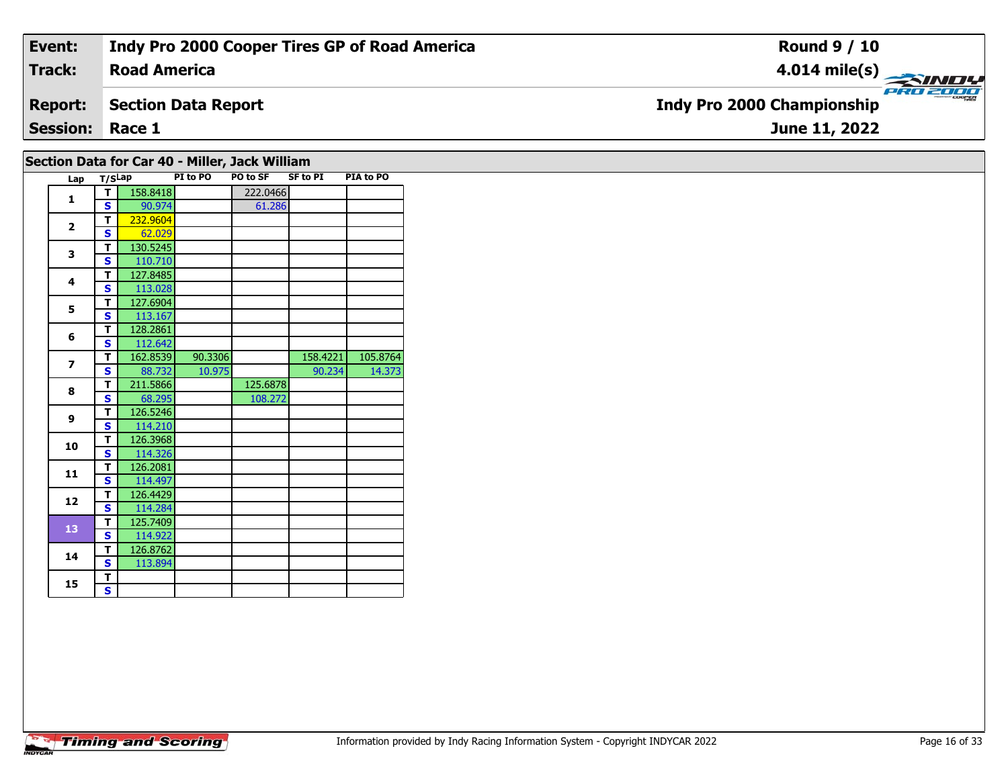| Event:                 | <b>Indy Pro 2000 Cooper Tires GP of Road America</b> | <b>Round 9 / 10</b>                                 |
|------------------------|------------------------------------------------------|-----------------------------------------------------|
| <b>Track:</b>          | <b>Road America</b>                                  | $\frac{4.014 \text{ mile(s)}}{2.014 \text{ miles}}$ |
| <b>Report:</b>         | <b>Section Data Report</b>                           | <b>Indy Pro 2000 Championship</b>                   |
| <b>Session: Race 1</b> |                                                      | June 11, 2022                                       |
|                        | Section Data for Car 40 - Miller, Jack William       |                                                     |

| Lap |        |        | PO to SF             | PIA to PO                             |
|-----|--------|--------|----------------------|---------------------------------------|
|     |        |        |                      |                                       |
|     | 90.974 |        |                      |                                       |
|     |        | T/SLap | PI to PO<br>158.8418 | <b>SF to PI</b><br>222.0466<br>61.286 |

| 1                        | S | 90.974   |         | 61.286   |          |          |
|--------------------------|---|----------|---------|----------|----------|----------|
| $\overline{2}$           | т | 232,9604 |         |          |          |          |
|                          | S | 62.029   |         |          |          |          |
| 3                        | T | 130.5245 |         |          |          |          |
|                          | S | 110.710  |         |          |          |          |
| 4                        | T | 127.8485 |         |          |          |          |
|                          | S | 113.028  |         |          |          |          |
| 5                        | T | 127.6904 |         |          |          |          |
|                          | S | 113.167  |         |          |          |          |
| 6                        | T | 128.2861 |         |          |          |          |
|                          | S | 112.642  |         |          |          |          |
| $\overline{\phantom{a}}$ | T | 162.8539 | 90.3306 |          | 158.4221 | 105.8764 |
|                          | S | 88.732   | 10.975  |          | 90.234   | 14.373   |
| 8                        | T | 211.5866 |         | 125.6878 |          |          |
|                          | S | 68.295   |         | 108.272  |          |          |
| $\mathbf{9}$             | T | 126.5246 |         |          |          |          |
|                          | S | 114.210  |         |          |          |          |
| 10                       | T | 126.3968 |         |          |          |          |
|                          | S | 114.326  |         |          |          |          |
| 11                       | T | 126.2081 |         |          |          |          |
|                          | S | 114.497  |         |          |          |          |
| 12                       | T | 126.4429 |         |          |          |          |
|                          | S | 114.284  |         |          |          |          |
| 13                       | T | 125.7409 |         |          |          |          |
|                          | S | 114.922  |         |          |          |          |
| 14                       | T | 126.8762 |         |          |          |          |
|                          | S | 113.894  |         |          |          |          |
| 15                       | T |          |         |          |          |          |
|                          | Ś |          |         |          |          |          |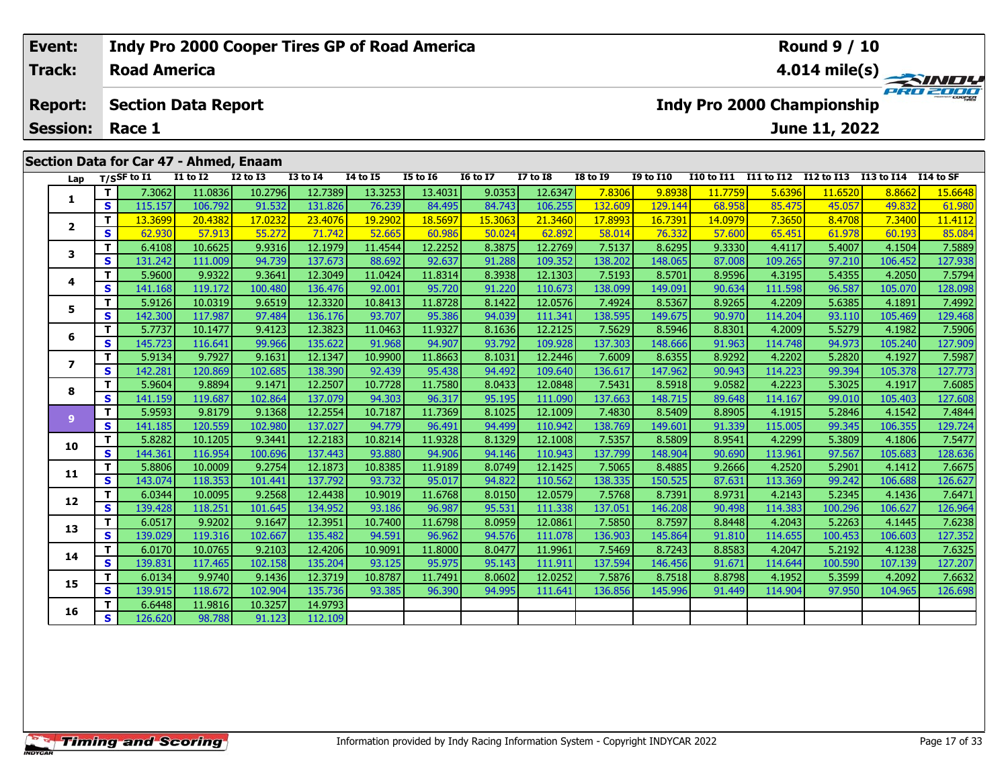| Event:          |                     | Indy Pro 2000 Cooper Tires GP of Road America |                 |              |                 |          |                 |                 | <b>Round 9 / 10</b> |                                   |                   |                                   |               |            |           |  |  |
|-----------------|---------------------|-----------------------------------------------|-----------------|--------------|-----------------|----------|-----------------|-----------------|---------------------|-----------------------------------|-------------------|-----------------------------------|---------------|------------|-----------|--|--|
| <b>Track:</b>   | <b>Road America</b> |                                               |                 |              |                 |          |                 |                 |                     | 4.014 mile(s) $-$<br><b>SINDY</b> |                   |                                   |               |            |           |  |  |
| <b>Report:</b>  |                     | <b>Section Data Report</b>                    |                 |              |                 |          |                 |                 |                     |                                   |                   | <b>Indy Pro 2000 Championship</b> |               |            | PRO 2000  |  |  |
| <b>Session:</b> | Race 1              |                                               |                 |              |                 |          |                 |                 |                     |                                   |                   |                                   | June 11, 2022 |            |           |  |  |
|                 |                     | Section Data for Car 47 - Ahmed, Enaam        |                 |              |                 |          |                 |                 |                     |                                   |                   |                                   |               |            |           |  |  |
| Lap             | $T/S$ SF to $I1$    | <b>I1 to I2</b>                               | <b>I2 to I3</b> | $I3$ to $I4$ | <b>I4 to I5</b> | I5 to 16 | <b>I6 to I7</b> | <b>I7 to I8</b> | <b>I8 to I9</b>     | <b>I9 to I10</b>                  | <b>I10 to I11</b> | I11 to I12                        | I12 to I13    | I13 to I14 | I14 to SF |  |  |
|                 | 7.3062              | 11.0836                                       | 10.2796         | 12.7389      | 13.3253         | 13.4031  | 9.0353          | 12.6347         | 7.8306              | 9.8938                            | 11.7759           | 5.6396                            | 11.6520       | 8.8662     | 15.6648   |  |  |
|                 | 115 157             | 106,702                                       | 01522           | 121.976      | 76,720          | 94.495   | 94.742          | 106255          | ומחם כדו            | 12011                             | <b>GQ OFQ</b>     | $QE$ $A7E$                        | 45057         | 10.832     | 61000     |  |  |

| Lap            |                         | T/SSF to 11 | 11 to 12 | 12 to 13 | 13 to 14 | 14 to 15 | 15 to 16 | 10 to 1/ | 17 to 18 | 18 to 19 | <b>19 to 110</b> | 110 to 111 | 111 to 112 | 112 to 113 | 113 to 114 | 114 to SF |
|----------------|-------------------------|-------------|----------|----------|----------|----------|----------|----------|----------|----------|------------------|------------|------------|------------|------------|-----------|
| 1              | T.                      | 7.3062      | 11.0836  | 10.2796  | 12.7389  | 13.3253  | 13.4031  | 9.0353   | 12.6347  | 7.8306   | 9.8938           | 11.7759    | 5.6396     | 11.6520    | 8.8662     | 15.6648   |
|                | S                       | 115.157     | 106.792  | 91.532   | 131.826  | 76.239   | 84.495   | 84.743   | 106.255  | 132.609  | 129.144          | 68.958     | 85.475     | 45.057     | 49.832     | 61.980    |
|                | т                       | 13.3699     | 20.4382  | 17.0232  | 23,4076  | 19.2902  | 18.5697  | 15.3063  | 21.3460  | 17.8993  | 16.7391          | 14.0979    | 7.3650     | 8.4708     | 7.3400     | 11.4112   |
| $\mathbf{2}$   | S.                      | 62.930      | 57.913   | 55.272   | 71.742   | 52.665   | 60.986   | 50.024   | 62.892   | 58.014   | 76.332           | 57.600     | 65.451     | 61.978     | 60.193     | 85.084    |
| 3              | T.                      | 6.4108      | 10.6625  | 9.9316   | 12.1979  | 11.4544  | 12.2252  | 8.3875   | 12.2769  | 7.5137   | 8.6295           | 9.3330     | 4.4117     | 5.4007     | 4.1504     | 7.5889    |
|                | S                       | 131.242     | 111.009  | 94.739   | 137.673  | 88.692   | 92.637   | 91.288   | 109.352  | 138.202  | 148.065          | 87.008     | 109.265    | 97.210     | 106.452    | 127.938   |
|                | T.                      | 5.9600      | 9.9322   | 9.3641   | 12.3049  | 11.0424  | 11.8314  | 8.3938   | 12.1303  | 7.5193   | 8.5701           | 8.9596     | 4.3195     | 5.4355     | 4.2050     | 7.5794    |
| 4              | S.                      | 141.168     | 119.172  | 100.480  | 136.476  | 92.001   | 95.720   | 91.220   | 110.673  | 138.099  | 149.091          | 90.634     | 111.598    | 96.587     | 105.070    | 128.098   |
| 5              | T.                      | 5.9126      | 10.0319  | 9.6519   | 12.3320  | 10.8413  | 11.8728  | 8.1422   | 12.0576  | 7.4924   | 8.5367           | 8.9265     | 4.2209     | 5.6385     | 4.1891     | 7.4992    |
|                | S                       | 142.300     | 117.987  | 97.484   | 136.176  | 93.707   | 95.386   | 94.039   | 111.341  | 138.595  | 149.675          | 90.970     | 114.204    | 93.110     | 105.469    | 129.468   |
| 6              | т                       | 5.7737      | 10.1477  | 9.4123   | 12.3823  | 11.0463  | 11.9327  | 8.1636   | 12.2125  | 7.5629   | 8.5946           | 8.8301     | 4.2009     | 5.5279     | 4.1982     | 7.5906    |
|                | $\mathbf{s}$            | 145.723     | 116.641  | 99.966   | 135.622  | 91.968   | 94.907   | 93.792   | 109.928  | 137.303  | 148.666          | 91.963     | 114.748    | 94.973     | 105.240    | 127.909   |
| 7              | T.                      | 5.9134      | 9.7927   | 9.1631   | 12.1347  | 10.9900  | 11.8663  | 8.1031   | 12.2446  | 7.6009   | 8.6355           | 8.9292     | 4.2202     | 5.2820     | 4.1927     | 7.5987    |
|                | S                       | 142.281     | 120.869  | 102.685  | 138.390  | 92.439   | 95.438   | 94.492   | 109.640  | 136.617  | 147.962          | 90.943     | 114.223    | 99.394     | 105.378    | 127.773   |
| 8              | т                       | 5.9604      | 9.8894   | 9.1471   | 12.2507  | 10.7728  | 11.7580  | 8.0433   | 12.0848  | 7.5431   | 8.5918           | 9.0582     | 4.2223     | 5.3025     | 4.1917     | 7.6085    |
|                | $\mathbf{s}$            | 141.159     | 119.687  | 102.864  | 137.079  | 94.303   | 96.317   | 95.195   | 111.090  | 137.663  | 148.715          | 89.648     | 114.167    | 99.010     | 105.403    | 127.608   |
| $\overline{9}$ | T.                      | 5.9593      | 9.8179   | 9.1368   | 12.2554  | 10.7187  | 11.7369  | 8.1025   | 12.1009  | 7.4830   | 8.5409           | 8.8905     | 4.1915     | 5.2846     | 4.1542     | 7.4844    |
|                | S.                      | 141.185     | 120.559  | 102.980  | 137.027  | 94.779   | 96.491   | 94.499   | 110.942  | 138.769  | 149.601          | 91.339     | 115.005    | 99.345     | 106.355    | 129.724   |
| 10             | T.                      | 5.8282      | 10.1205  | 9.3441   | 12.2183  | 10.8214  | 11.9328  | 8.1329   | 12.1008  | 7.5357   | 8.5809           | 8.9541     | 4.2299     | 5.3809     | 4.1806     | 7.5477    |
|                | $\overline{\mathbf{s}}$ | 144.361     | 116.954  | 100.696  | 137.443  | 93.880   | 94.906   | 94.146   | 110.943  | 137.799  | 148.904          | 90.690     | 113.961    | 97.567     | 105.683    | 128.636   |
| 11             | T.                      | 5.8806      | 10.0009  | 9.2754   | 12.1873  | 10.8385  | 11.9189  | 8.0749   | 12.1425  | 7.5065   | 8.4885           | 9.2666     | 4.2520     | 5.2901     | 4.1412     | 7.6675    |
|                | $\mathbf{s}$            | 143.074     | 118.353  | 101.441  | 137.792  | 93.732   | 95.017   | 94.822   | 110.562  | 138.335  | 150.525          | 87.631     | 113.369    | 99.242     | 106.688    | 126.627   |
| 12             | т                       | 6.0344      | 10.0095  | 9.2568   | 12.4438  | 10.9019  | 11.6768  | 8.0150   | 12.0579  | 7.5768   | 8.7391           | 8.9731     | 4.2143     | 5.2345     | 4.1436     | 7.6471    |
|                | $\mathbf{s}$            | 139.428     | 118.251  | 101.645  | 134.952  | 93.186   | 96.987   | 95.531   | 111.338  | 137.051  | 146.208          | 90.498     | 114.383    | 100.296    | 106.627    | 126.964   |
| 13             | T.                      | 6.0517      | 9.9202   | 9.1647   | 12.3951  | 10.7400  | 11.6798  | 8.0959   | 12.0861  | 7.5850   | 8.7597           | 8.8448     | 4.2043     | 5.2263     | 4.1445     | 7.6238    |
|                | $\mathbf{s}$            | 139.029     | 119.316  | 102.667  | 135.482  | 94.591   | 96.962   | 94.576   | 111.078  | 136.903  | 145.864          | 91.810     | 114.655    | 100.453    | 106.603    | 127.352   |
| 14             | T.                      | 6.0170      | 10.0765  | 9.2103   | 12.4206  | 10.9091  | 11.8000  | 8.0477   | 11.9961  | 7.5469   | 8.7243           | 8.8583     | 4.2047     | 5.2192     | 4.1238     | 7.6325    |
|                | S.                      | 139.831     | 117.465  | 102.158  | 135.204  | 93.125   | 95.975   | 95.143   | 111.911  | 137.594  | 146.456          | 91.671     | 114.644    | 100.590    | 107.139    | 127.207   |
| 15             | T.                      | 6.0134      | 9.9740   | 9.1436   | 12.3719  | 10.8787  | 11.7491  | 8.0602   | 12.0252  | 7.5876   | 8.7518           | 8.8798     | 4.1952     | 5.3599     | 4.2092     | 7.6632    |
|                | S                       | 139.915     | 118.672  | 102.904  | 135.736  | 93.385   | 96.390   | 94.995   | 111.641  | 136.856  | 145.996          | 91.449     | 114.904    | 97.950     | 104.965    | 126.698   |
| 16             | т                       | 6.6448      | 11.9816  | 10.3257  | 14.9793  |          |          |          |          |          |                  |            |            |            |            |           |
|                | S                       | 126.620     | 98.788   | 91.123   | 112.109  |          |          |          |          |          |                  |            |            |            |            |           |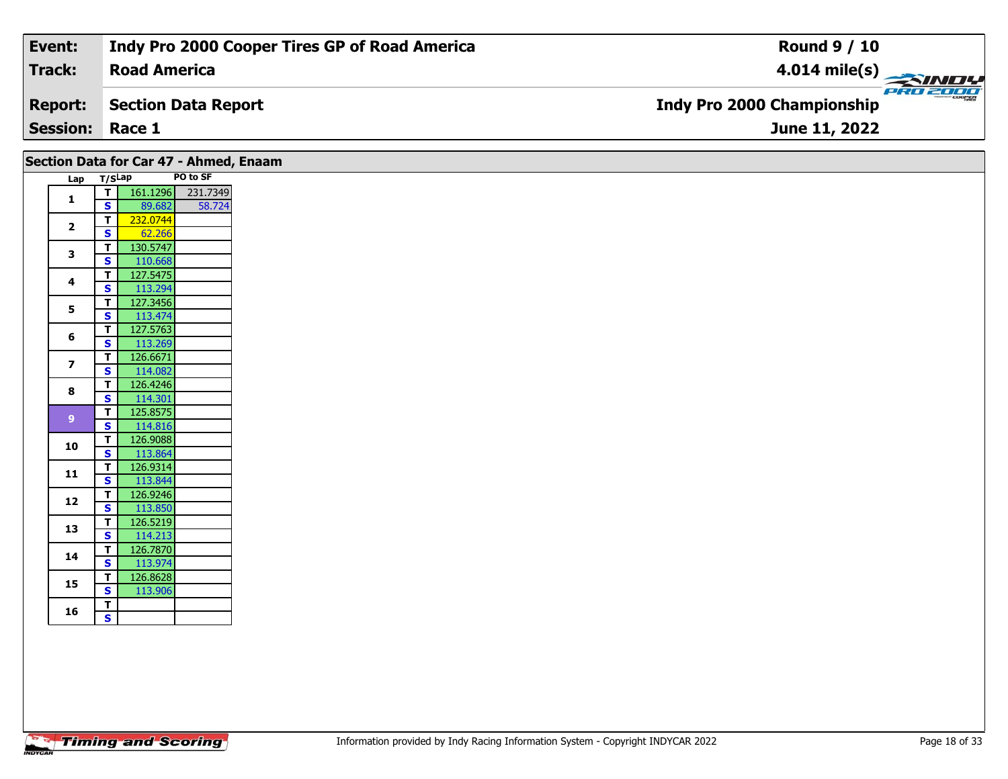| Event:                 | Indy Pro 2000 Cooper Tires GP of Road America | <b>Round 9 / 10</b>                             |
|------------------------|-----------------------------------------------|-------------------------------------------------|
| Track:                 | <b>Road America</b>                           | $\frac{4.014 \text{ mile(s)}}{2.34 \text{ Hz}}$ |
| <b>Report:</b>         | Section Data Report                           | <b>Indy Pro 2000 Championship</b>               |
| <b>Session: Race 1</b> |                                               | June 11, 2022                                   |
|                        |                                               |                                                 |

|                         |                                         | Section Data for Car 47 - Ahmed, Enaam |          |
|-------------------------|-----------------------------------------|----------------------------------------|----------|
| Lap T/SLap              |                                         |                                        | PO to SF |
| $\mathbf{1}$            | $\overline{t}$                          | 161.1296                               | 231.7349 |
|                         | $\mathbf{s}$                            | 89.682                                 | 58.724   |
| $\overline{\mathbf{2}}$ | $\overline{\mathsf{T}}$                 | 232.0744                               |          |
|                         | $\mathbf{s}$                            | 62.266                                 |          |
| 3                       | $\mathbf T$                             | 130.5747                               |          |
|                         | $\mathbf{s}$                            | 110.668                                |          |
| 4                       | $\mathbf T$                             | 127.5475                               |          |
|                         | $\mathbf{s}$                            | 113.294                                |          |
| 5                       | $\mathbf{T}$                            | 127.3456                               |          |
|                         | $\overline{\mathbf{s}}$                 | 113.474                                |          |
| 6                       | $\overline{\mathbf{T}}$<br>$\mathbf{s}$ | 127.5763<br>113.269                    |          |
|                         | $\overline{\mathsf{T}}$                 | 126.6671                               |          |
| $\overline{\mathbf{z}}$ | $\mathbf{s}$                            | 114.082                                |          |
|                         | $\mathbf T$                             | 126.4246                               |          |
| 8                       | $\mathbf{s}$                            | 114.301                                |          |
|                         | $\mathbf{T}$                            | 125.8575                               |          |
| 9 <sup>°</sup>          | $\mathbf{s}$                            | 114.816                                |          |
|                         | $\mathbf{T}$                            | 126.9088                               |          |
| 10                      | $\mathbf{s}$                            | 113.864                                |          |
|                         | T                                       | 126.9314                               |          |
| 11                      | $\mathbf{s}$                            | 113.844                                |          |
|                         | $\mathbf T$                             | 126.9246                               |          |
| 12                      | $\overline{\mathbf{s}}$                 | 113.850                                |          |
| 13                      | T                                       | 126.5219                               |          |
|                         | $\mathbf{s}$                            | 114.213                                |          |
| 14                      | $\mathbf{T}$                            | 126.7870                               |          |
|                         | $\mathbf{s}$                            | 113.974                                |          |
| 15                      | $\mathbf{T}$                            | 126.8628                               |          |
|                         | <b>S</b>                                | 113.906                                |          |
| 16                      | $\mathbf T$                             |                                        |          |
|                         | $\mathbf{s}$                            |                                        |          |
|                         |                                         |                                        |          |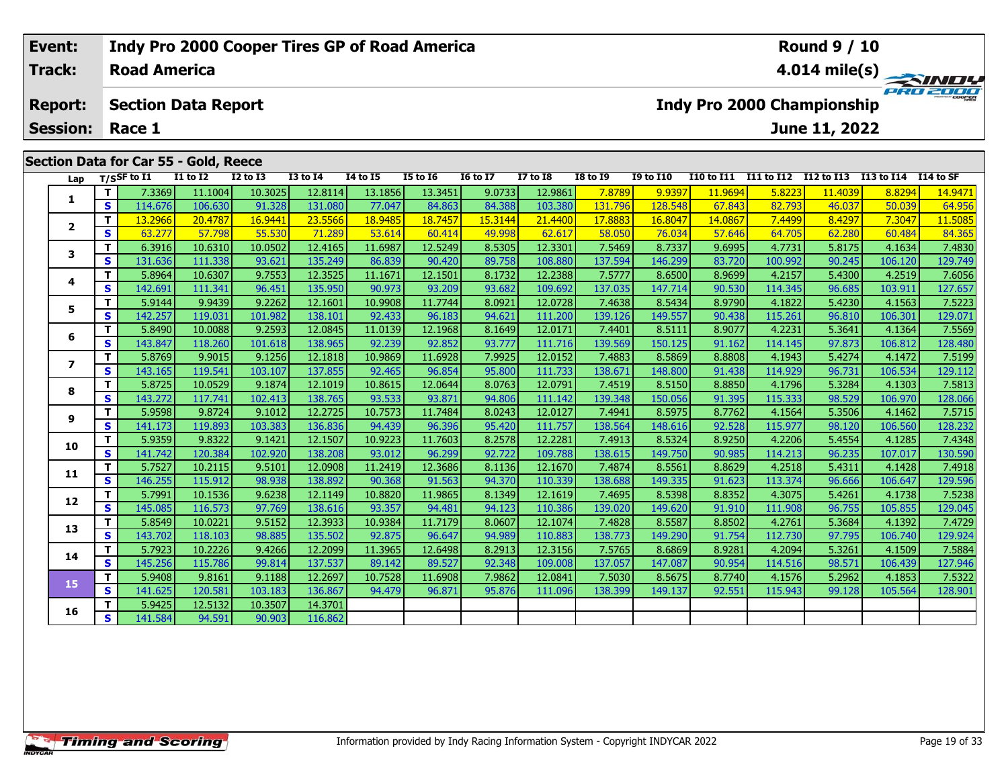#### **Event: Indy Pro 2000 Cooper Tires GP of Road America Round 9 / 10Road AmericaTrack:4.014 mile(s)** PRO 2000 **Section Data Report Indy Pro 2000 Championship Report: June 11, 2022 Session: Race 1Section Data for Car 55 - Gold, Reece Lap T/SSF to I1 I1 to I2 I2 to I3 I3 to I4 I4 to I5 I5 to I6 I6 to I7 I7 to I8 I8 to I9 I9 to I10 I10 to I11 I11 to I12 I12 to I13 I13 to I14 I14 to SF**  1 | T | 7.3369 11.1004 10.3025 12.8114 13.1856 13.3451 9.0733 12.9861 7.8789 9.9397 11.9694 5.8223 11.4039 8.8294 14.9471<br>1 | S | 114.676 106.630 91.328 131.080 77.047 84.863 84.388 103.380 131.796 128.548 67.843 82.793 46 **1 <sup>T</sup>** 13.2966 20.4787 16.9441 23.5566 18.9485 18.7457 15.3144 21.4400 17.8883 16.8047 14.0867 7.4499 8.4297 7.3047 11.5085 **<sup>S</sup>** 63.277 57.798 55.530 71.289 53.614 60.414 49.998 62.617 58.050 76.034 57.646 64.705 62.280 60.484 84.365**2**

3 T | 6.3916| 10.6310| 10.0502| 12.4165| 11.6987| 12.5249| 8.5305| 12.3301| 7.5469| 8.7337| 9.6995| 4.7731| 5.8175| 4.1634| 7.4830<br>S | S | 131.636| 111.338| 93.621| 135.249| 86.839| 90.420| 89.758| 108.880| 137.594| 146.29

**<sup>T</sup>** 5.8964 10.6307 9.7553 12.3525 11.1671 12.1501 8.1732 12.2388 7.5777 8.6500 8.9699 4.2157 5.4300 4.2519 7.6056 **<sup>S</sup>** 142.691 111.341 96.451 135.950 90.973 93.209 93.682 109.692 137.035 147.714 90.530 114.345 96.685 103.911 127.657

5 | T | 5.9144| 9.9439| 9.2262| 12.1601| 10.9908| 11.7744| 8.0921| 12.0728| 7.4638| 8.5434| 8.9790| 4.1822| 5.4230| 4.1563| 7.5223<br>| S | 142.257| 119.031| 101.982| 138.101| 92.433| 96.183| 94.621| 111.200| 139.126| 149.557

6 | T | 5.8490 10.0088 9.2593 12.0845 11.0139 12.1968 8.1649 12.0171 7.4401 8.5111 8.9077 4.2231 5.3641 4.1364 7.5569<br>5 | S | 143.847 118.260 101.618 138.965 92.239 92.852 93.777 111.716 139.569 150.125 91.162 114.145 97.8

7 | T | 5.8769| 9.9015| 9.1256| 12.1818| 10.9869| 11.6928| 7.9925| 12.0152| 7.4883| 8.5869| 8.8808| 4.1943| 5.4274| 4.1472| 7.5199<br>7 | S | 143.165| 119.541| 103.107| 137.855| 92.465| 96.854| 95.800| 111.733| 138.671| 148.8

8 T | 5.8725 10.0529 9.1874 12.1019 10.8615 12.0644 8.0763 12.0791 7.4519 8.5150 8.8850 4.1796 5.3284 4.1303 7.5813<br>8 S 143.272 117.741 102.413 138.765 93.533 93.871 94.806 111.142 139.348 150.056 91.395 115.333 98.529 106

7.5715 | 11 | 19.9598 | 9.8724 | 9.1012 | 12.2725 | 10.7573 | 11.7484 | 8.0243 | 12.0127 | 7.4941 | 8.5975 | 8.7762 | 4.1564 | 5.3506 | 4.1462 | 7.5715 | 9.5715 | 9.5715 | 9.5715 | 9.5715 | 9.5715 | 9.5715 | 9.5715 | 9.57

0 | **T** | 5.9359| 9.8322| 9.1421| 12.1507| 10.9223| 11.7603| 8.2578| 12.2281| 7.4913| 8.5324| 8.9250| 4.2206| 5.4554| 4.1285| 7.4348<br>| S | 141.742| 120.384| 102.920| 138.208| 93.012| 96.299| 92.722| 109.788| 138.615| 149.7

**<sup>T</sup>** 5.7527 10.2115 9.5101 12.0908 11.2419 12.3686 8.1136 12.1670 7.4874 8.5561 8.8629 4.2518 5.4311 4.1428 7.4918 **<sup>S</sup>** 146.255 115.912 98.938 138.892 90.368 91.563 94.370 110.339 138.688 149.335 91.623 113.374 96.666 106.647 129.596

2 T 5.7991 10.1536 9.6238 12.1149 10.8820 11.9865 8.1349 12.1619 7.4695 8.5398 8.8352 4.3075 5.4261 4.1738 7.5238<br>S 145.085 116.573 97.769 138.616 93.357 94.481 94.123 110.386 139.020 149.620 91.910 111.908 96.755 105.855

3 T 5.8549 10.0221 9.5152 12.3933 10.9384 11.7179 8.0607 12.1074 7.4828 8.5587 8.8502 4.2761 5.3684 4.1392 7.4729<br>S 143.702 118.103 98.885 135.502 92.875 96.647 94.989 110.883 138.773 149.290 91.754 112.730 97.795 106.740

4 | **T** | 5.7923| 10.2226| 9.4266| 12.2099| 11.3965| 12.6498| 8.2913| 12.3156| 7.5765| 8.6869| 8.9281| 4.2094| 5.3261| 4.1509| 7.5884<br>| S | 145.256| 115.786| 99.814| 137.537| 89.142| 89.527| 92.348| 109.008| 137.057| 147.0

**<sup>T</sup>** 5.9408 9.8161 9.1188 12.2697 10.7528 11.6908 7.9862 12.0841 7.5030 8.5675 8.7740 4.1576 5.2962 4.1853 7.5322 **<sup>S</sup>** 141.625 120.581 103.183 136.867 94.479 96.871 95.876 111.096 138.399 149.137 92.551 115.943 99.128 105.564 128.901

**<sup>T</sup>** 5.9425 12.5132 10.3507 14.3701 **<sup>S</sup>** 141.584 94.591 90.903 116.862

**3**

**4**

**5**

**6**

**7**

**8**

**9**

**10**

**11**

**12**

**13**

**14**

**15**

**16**

127.946

127.657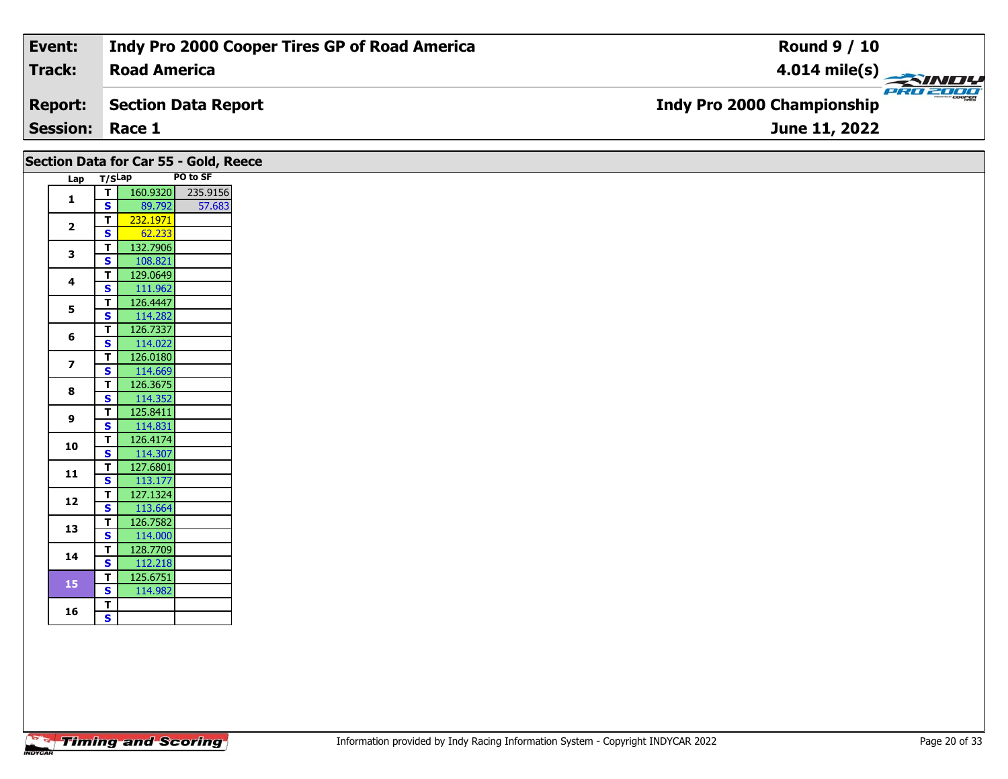| Event:                 | Indy Pro 2000 Cooper Tires GP of Road America | <b>Round 9 / 10</b>                           |
|------------------------|-----------------------------------------------|-----------------------------------------------|
| Track:                 | <b>Road America</b>                           |                                               |
| <b>Report:</b>         | Section Data Report                           | PRO 2000<br><b>Indy Pro 2000 Championship</b> |
| <b>Session: Race 1</b> |                                               | June 11, 2022                                 |
|                        |                                               |                                               |

| Section Data for Car 55 - Gold, Reece |                         |          |                   |
|---------------------------------------|-------------------------|----------|-------------------|
| Lap T/SLap                            |                         |          | PO to SF          |
| $\mathbf{1}$                          | T                       |          | 160.9320 235.9156 |
|                                       | s l                     | 89.792   | 57.683            |
| $\overline{2}$                        | $\overline{\mathbf{r}}$ | 232.1971 |                   |
|                                       | $\mathbf{s}$            | 62.233   |                   |
| $\mathbf{3}$                          | $\mathbf{T}$            | 132.7906 |                   |
|                                       | <b>S</b>                | 108.821  |                   |
| 4                                     | $\mathbf{T}$            | 129.0649 |                   |
|                                       | $\mathbf{s}$            | 111.962  |                   |
| 5                                     | $\mathbf{T}$            | 126.4447 |                   |
|                                       | $\mathbf{s}$            | 114.282  |                   |
| 6                                     | $\mathbf T$             | 126.7337 |                   |
|                                       | <b>S</b>                | 114.022  |                   |
| $\overline{\mathbf{z}}$               | $\mathbf{T}$            | 126.0180 |                   |
|                                       | $\mathbf{s}$            | 114.669  |                   |
| 8                                     | $\mathbf{T}$            | 126.3675 |                   |
|                                       | $\mathbf{s}$            | 114.352  |                   |
| 9                                     | $\mathbf T$             | 125.8411 |                   |
|                                       | S                       | 114.831  |                   |
| 10                                    | $\mathbf{T}$            | 126.4174 |                   |
|                                       | $\overline{\mathbf{s}}$ | 114.307  |                   |
| 11                                    | $\mathbf{T}$            | 127.6801 |                   |
|                                       | $\mathbf{s}$            | 113.177  |                   |
| 12                                    | $\mathbf{T}$            | 127.1324 |                   |
|                                       | $\mathbf{s}$            | 113.664  |                   |
| 13                                    | $\mathbf{T}$            | 126.7582 |                   |
|                                       | $\mathbf{s}$            | 114.000  |                   |
| 14                                    | $\mathbf{T}$            | 128.7709 |                   |
|                                       | $\mathbf{s}$            | 112.218  |                   |
| 15                                    | $\mathbf{T}$            | 125.6751 |                   |
|                                       | <b>S</b>                | 114.982  |                   |
| 16                                    | $rac{1}{s}$             |          |                   |
|                                       |                         |          |                   |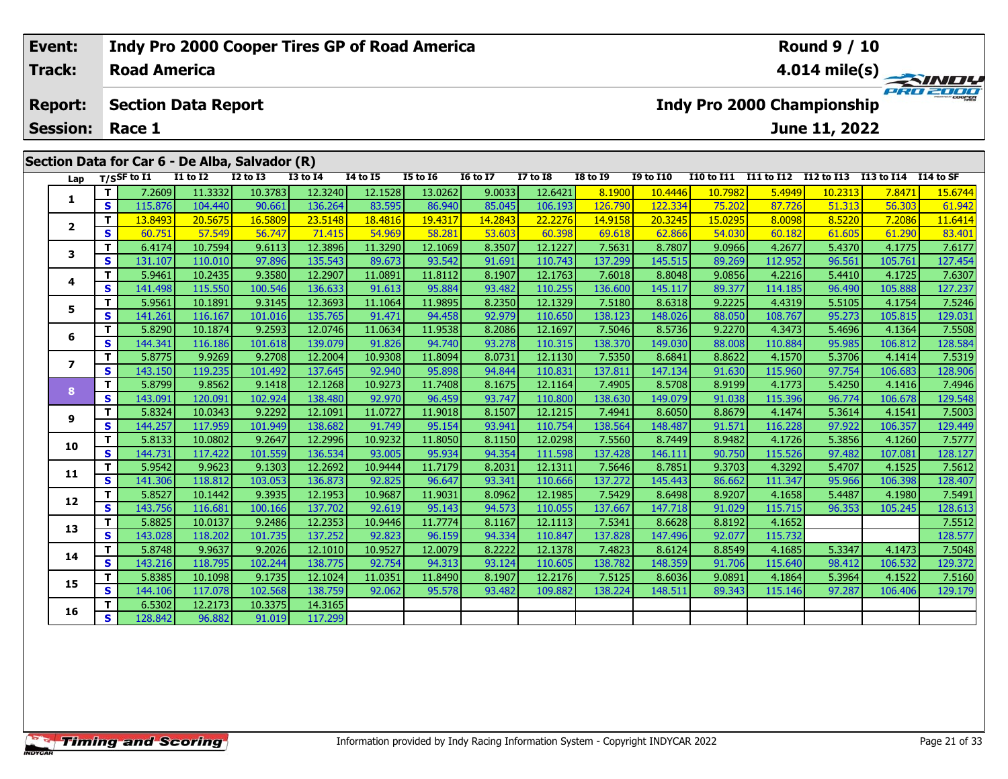| Event:          |    |                     | Indy Pro 2000 Cooper Tires GP of Road America  |                 |               |                 |                |                 |                 |                 |                  |            |            | <b>Round 9 / 10</b>               |            |                         |
|-----------------|----|---------------------|------------------------------------------------|-----------------|---------------|-----------------|----------------|-----------------|-----------------|-----------------|------------------|------------|------------|-----------------------------------|------------|-------------------------|
| <b>Track:</b>   |    | <b>Road America</b> |                                                |                 |               |                 |                |                 |                 |                 |                  |            |            |                                   |            | $4.014 \text{ mile(s)}$ |
| <b>Report:</b>  |    |                     | <b>Section Data Report</b>                     |                 |               |                 |                |                 |                 |                 |                  |            |            | <b>Indy Pro 2000 Championship</b> |            | PRO 2000                |
| <b>Session:</b> |    | Race 1              |                                                |                 |               |                 |                |                 |                 |                 |                  |            |            | June 11, 2022                     |            |                         |
|                 |    |                     | Section Data for Car 6 - De Alba, Salvador (R) |                 |               |                 |                |                 |                 |                 |                  |            |            |                                   |            |                         |
| Lap             |    | $T/S$ SF to I1      | <b>I1 to I2</b>                                | <b>I2 to I3</b> | $I3$ to $I4$  | <b>I4 to I5</b> | I5 to 16       | <b>16 to 17</b> | <b>I7 to I8</b> | <b>I8 to 19</b> | <b>I9 to I10</b> | I10 to I11 | I11 to I12 | I12 to I13                        | I13 to I14 | I14 to SF               |
|                 |    | 7.2609              | 11.3332                                        | 10.3783         | 12.3240       | 12.1528         | 13.0262        | 9.0033          | 12.6421         | 8.1900          | 10.4446          | 10.7982    | 5.4949     | 10.2313                           | 7.8471     | 15.6744                 |
|                 | S. | 115.876             | 104.440                                        | 90.661          | 136.264       | 83.595          | 86.940         | 85.045          | 106.193         | 126.790         | 122.334          | 75.202     | 87.726     | 51.313                            | 56.303     | 61.942                  |
|                 |    | 13.8493             | 20.5675                                        | 16.5809         | 23.5148       | 18.4816         | <b>19.4317</b> | 14.2843         | <b>22.2276</b>  | 14.9158         | 20.3245          | 15.0295    | 8.0098     | 8.5220                            | 7.2086     | 11.6414                 |
| $\mathbf{2}$    | S. | 60.751              | 57.549                                         | 56.747          | <b>71.415</b> | 54.969          | 58.281         | 53.603          | 60.398          | 69.618          | 62.866           | 54.030     | 60.182     | 61.605                            | 61.290     | 83.401                  |

|              | S.                      | 115.876 | 104.440 | 90.661  | 136.264 | 83.595  | 86.940  | 85.045  | 106.193 | 126.790 | 122.334 | 75.202  | 87.726  | 51.313 | 56.303  | 61.942  |
|--------------|-------------------------|---------|---------|---------|---------|---------|---------|---------|---------|---------|---------|---------|---------|--------|---------|---------|
| $\mathbf{2}$ | T.                      | 13.8493 | 20.5675 | 16.5809 | 23.5148 | 18.4816 | 19.4317 | 14.2843 | 22.2276 | 14.9158 | 20.3245 | 15.0295 | 8.0098  | 8.5220 | 7.2086  | 11.6414 |
|              | S.                      | 60.751  | 57.549  | 56.747  | 71.415  | 54.969  | 58.281  | 53.603  | 60.398  | 69.618  | 62.866  | 54.030  | 60.182  | 61.605 | 61.290  | 83.401  |
| 3            | т                       | 6.4174  | 10.7594 | 9.6113  | 12.3896 | 11.3290 | 12.1069 | 8.3507  | 12.1227 | 7.5631  | 8.7807  | 9.0966  | 4.2677  | 5.4370 | 4.1775  | 7.6177  |
|              | S                       | 131.107 | 110.010 | 97.896  | 135.543 | 89.673  | 93.542  | 91.691  | 110.743 | 137.299 | 145.515 | 89.269  | 112.952 | 96.561 | 105.761 | 127.454 |
| 4            | T.                      | 5.9461  | 10.2435 | 9.3580  | 12.2907 | 11.0891 | 11.8112 | 8.1907  | 12.1763 | 7.6018  | 8.8048  | 9.0856  | 4.2216  | 5.4410 | 4.1725  | 7.6307  |
|              | S                       | 141.498 | 115.550 | 100.546 | 136.633 | 91.613  | 95.884  | 93.482  | 110.255 | 136.600 | 145.117 | 89.377  | 114.185 | 96.490 | 105.888 | 127.237 |
| 5            | T.                      | 5.9561  | 10.1891 | 9.3145  | 12.3693 | 11.1064 | 11.9895 | 8.2350  | 12.1329 | 7.5180  | 8.6318  | 9.2225  | 4.4319  | 5.5105 | 4.1754  | 7.5246  |
|              | S                       | 141.261 | 116.167 | 101.016 | 135.765 | 91.471  | 94.458  | 92.979  | 110.650 | 138.123 | 148.026 | 88.050  | 108.767 | 95.273 | 105.815 | 129.031 |
| 6            | т                       | 5.8290  | 10.1874 | 9.2593  | 12.0746 | 11.0634 | 11.9538 | 8.2086  | 12.1697 | 7.5046  | 8.5736  | 9.2270  | 4.3473  | 5.4696 | 4.1364  | 7.5508  |
|              | S                       | 144.341 | 116.186 | 101.618 | 139.079 | 91.826  | 94.740  | 93.278  | 110.315 | 138.370 | 149.030 | 88.008  | 110.884 | 95.985 | 106.812 | 128.584 |
| 7            | T.                      | 5.8775  | 9.9269  | 9.2708  | 12.2004 | 10.9308 | 11.8094 | 8.0731  | 12.1130 | 7.5350  | 8.6841  | 8.8622  | 4.1570  | 5.3706 | 4.1414  | 7.5319  |
|              | S                       | 143.150 | 119.235 | 101.492 | 137.645 | 92.940  | 95.898  | 94.844  | 110.831 | 137.811 | 147.134 | 91.630  | 115.960 | 97.754 | 106.683 | 128.906 |
| 8            | T.                      | 5.8799  | 9.8562  | 9.1418  | 12.1268 | 10.9273 | 11.7408 | 8.1675  | 12.1164 | 7.4905  | 8.5708  | 8.9199  | 4.1773  | 5.4250 | 4.1416  | 7.4946  |
|              | S                       | 143.091 | 120.091 | 102.924 | 138.480 | 92.970  | 96.459  | 93.747  | 110.800 | 138.630 | 149.079 | 91.038  | 115.396 | 96.774 | 106.678 | 129.548 |
| 9            | т                       | 5.8324  | 10.0343 | 9.2292  | 12.1091 | 11.0727 | 11.9018 | 8.1507  | 12.1215 | 7.4941  | 8.6050  | 8.8679  | 4.1474  | 5.3614 | 4.1541  | 7.5003  |
|              | S                       | 144.257 | 117.959 | 101.949 | 138.682 | 91.749  | 95.154  | 93.941  | 110.754 | 138.564 | 148.487 | 91.571  | 116.228 | 97.922 | 106.357 | 129.449 |
| 10           | T.                      | 5.8133  | 10.0802 | 9.2647  | 12.2996 | 10.9232 | 11.8050 | 8.1150  | 12.0298 | 7.5560  | 8.7449  | 8.9482  | 4.1726  | 5.3856 | 4.1260  | 7.5777  |
|              | $\overline{\mathbf{s}}$ | 144.731 | 117.422 | 101.559 | 136.534 | 93.005  | 95.934  | 94.354  | 111.598 | 137.428 | 146.111 | 90.750  | 115.526 | 97.482 | 107.081 | 128.127 |
| 11           | T.                      | 5.9542  | 9.9623  | 9.1303  | 12.2692 | 10.9444 | 11.7179 | 8.2031  | 12.1311 | 7.5646  | 8.7851  | 9.3703  | 4.3292  | 5.4707 | 4.1525  | 7.5612  |
|              | S                       | 141.306 | 118.812 | 103.053 | 136.873 | 92.825  | 96.647  | 93.341  | 110.666 | 137.272 | 145.443 | 86.662  | 111.347 | 95.966 | 106.398 | 128.407 |
| 12           | т                       | 5.8527  | 10.1442 | 9.3935  | 12.1953 | 10.9687 | 11.9031 | 8.0962  | 12.1985 | 7.5429  | 8.6498  | 8.9207  | 4.1658  | 5.4487 | 4.1980  | 7.5491  |
|              | S.                      | 143.756 | 116.681 | 100.166 | 137.702 | 92.619  | 95.143  | 94.573  | 110.055 | 137.667 | 147.718 | 91.029  | 115.715 | 96.353 | 105.245 | 128.613 |
| 13           | T.                      | 5.8825  | 10.0137 | 9.2486  | 12.2353 | 10.9446 | 11.7774 | 8.1167  | 12.1113 | 7.5341  | 8.6628  | 8.8192  | 4.1652  |        |         | 7.5512  |
|              | S                       | 143.028 | 118.202 | 101.735 | 137.252 | 92.823  | 96.159  | 94.334  | 110.847 | 137.828 | 147.496 | 92.077  | 115.732 |        |         | 128.577 |
| 14           | т                       | 5.8748  | 9.9637  | 9.2026  | 12.1010 | 10.9527 | 12.0079 | 8.2222  | 12.1378 | 7.4823  | 8.6124  | 8.8549  | 4.1685  | 5.3347 | 4.1473  | 7.5048  |
|              | S                       | 143.216 | 118.795 | 102.244 | 138.775 | 92.754  | 94.313  | 93.124  | 110.605 | 138.782 | 148.359 | 91.706  | 115.640 | 98.412 | 106.532 | 129.372 |
| 15           | т                       | 5.8385  | 10.1098 | 9.1735  | 12.1024 | 11.0351 | 11.8490 | 8.1907  | 12.2176 | 7.5125  | 8.6036  | 9.0891  | 4.1864  | 5.3964 | 4.1522  | 7.5160  |
|              | S.                      | 144.106 | 117.078 | 102.568 | 138.759 | 92.062  | 95.578  | 93.482  | 109.882 | 138.224 | 148.511 | 89.343  | 115.146 | 97.287 | 106.406 | 129.179 |
| 16           | T.                      | 6.5302  | 12.2173 | 10.3375 | 14.3165 |         |         |         |         |         |         |         |         |        |         |         |
|              | S                       | 128.842 | 96.882  | 91.019  | 117.299 |         |         |         |         |         |         |         |         |        |         |         |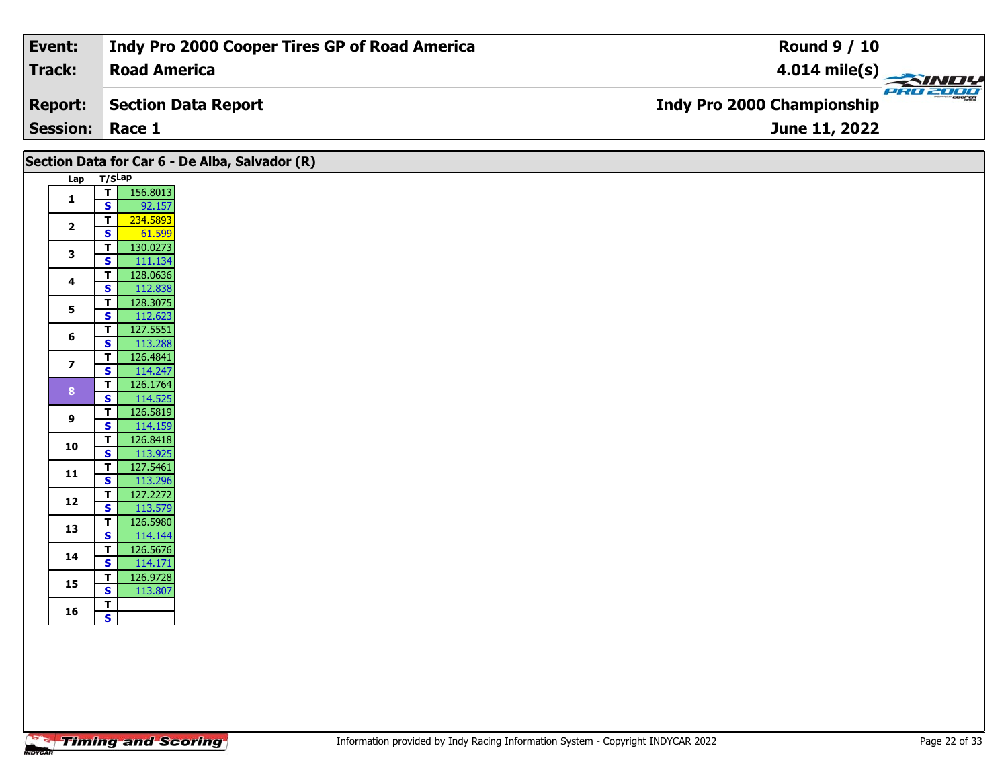| Event:                 | Indy Pro 2000 Cooper Tires GP of Road America | <b>Round 9 / 10</b>                           |
|------------------------|-----------------------------------------------|-----------------------------------------------|
| Track:                 | <b>Road America</b>                           | $4.014$ mile(s)                               |
| <b>Report:</b>         | Section Data Report                           | PRO 2000<br><b>Indy Pro 2000 Championship</b> |
| <b>Session: Race 1</b> |                                               | June 11, 2022                                 |

|                         |                                                    | Section Data for Car 6 - De Alba, Salvador (R) |
|-------------------------|----------------------------------------------------|------------------------------------------------|
|                         | Lap T/SLap                                         |                                                |
| $\mathbf{1}$            | T<br>$\overline{\mathbf{s}}$                       | 156.8013<br>92.157                             |
| $\overline{2}$          | $\overline{\mathsf{r}}$<br>$\mathbf{s}$            | 234.5893<br>61.599                             |
| 3                       | $\overline{\mathsf{r}}$<br>$\overline{\mathbf{s}}$ | 130.0273<br>111.134                            |
| 4                       | $\mathbf{T}$<br>$\mathbf{s}$                       | 128.0636<br>112.838                            |
| $5\phantom{.0}$         | $\mathbf{T}$<br>$\overline{\mathbf{s}}$            | 128.3075<br>112.623                            |
| 6                       | $\mathbf{T}$<br>$\overline{\mathbf{s}}$            | 127.5551<br>113.288                            |
| $\overline{\mathbf{z}}$ | $\overline{t}$<br>$\overline{\mathbf{s}}$          | 126.4841<br>114.247                            |
| 8 <sup>1</sup>          | $\overline{\mathbf{r}}$<br>$\mathbf{s}$            | 126.1764<br>114.525                            |
| 9                       | $\overline{1}$<br>$\mathbf{s}$                     | 126.5819<br>114.159                            |
| 10                      | $\overline{\mathsf{r}}$<br>$\overline{\mathbf{s}}$ | 126.8418<br>113.925                            |
| 11                      | $\overline{\mathbf{r}}$<br>$\mathbf{s}$            | 127.5461<br>113.296                            |
| 12                      | $\overline{\mathsf{r}}$<br>$\mathsf{s}$            | 127.2272<br>113.579                            |
| 13                      | $\mathbf{T}$<br>$\overline{\mathbf{s}}$            | 126.5980<br>114.144                            |
| 14                      | $\mathbf{T}$<br>$\mathbf{s}$                       | 126.5676<br>114.171                            |
| 15                      | $\mathbf{T}$<br>$\overline{\mathbf{s}}$            | 126.9728<br>113.807                            |
| 16                      | $\mathbf{T}$<br>$\mathsf{s}$                       |                                                |
|                         |                                                    |                                                |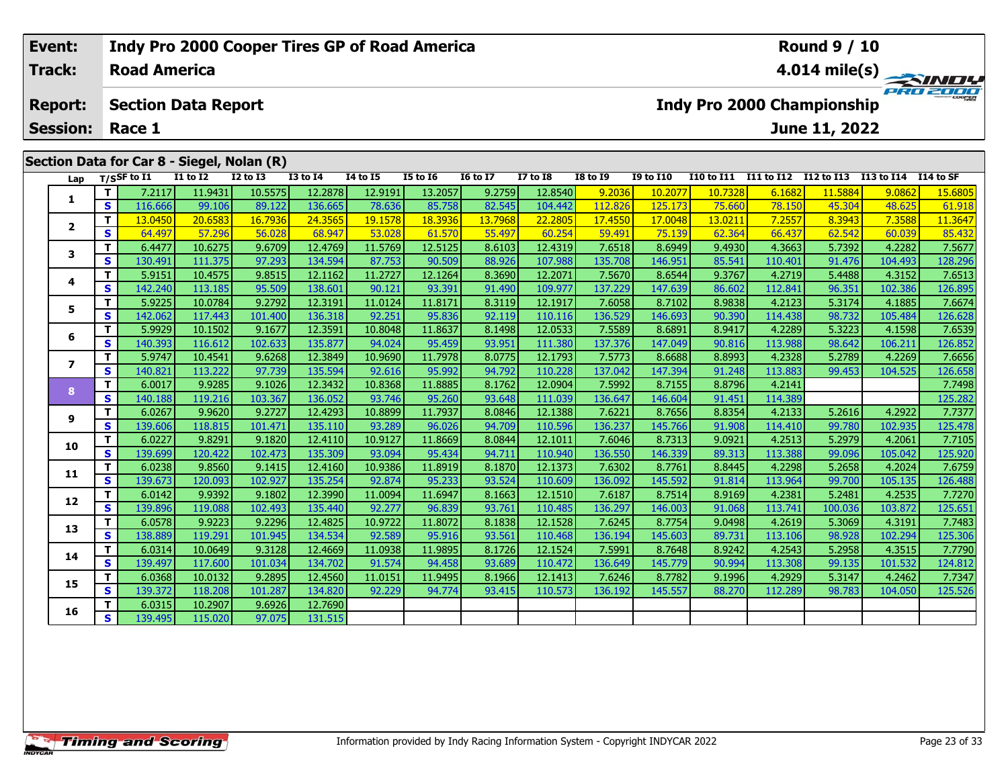## **Event: Indy Pro 2000 Cooper Tires GP of Road America Round 9 / 10Road America4.014 mile(s) Track: PRO 2001 Section Data Report Report: Indy Pro 2000 Championship June 11, 2022 Session: Race 1 Section Data for Car 8 - Siegel, Nolan (R)** Lap T/SSF to I1 I1 to I2 I2 to I3 I3 to I4 I4 to I5 I5 to I6 I6 to I7 I7 to I8 I8 to I9 I9 to I10 I10 to I11 I11 to I12 I12 to I13 I13 to I14 I14 to SF **<sup>T</sup>** 7.2117 11.9431 10.5575 12.2878 12.9191 13.2057 9.2759 12.8540 9.2036 10.2077 10.7328 6.1682 11.5884 9.0862 15.6805 **<sup>S</sup>** 116.666 99.106 89.122 136.665 78.636 85.758 82.545 104.442 112.826 125.173 75.660 78.150 45.304 48.625 61.918**1**2 | T | 13.0450 | 20.6583 | 16.7936 | 24.3565 | 19.1578 | 18.3936 | 13.7968 | 22.2805 | 17.4550 | 17.0048 | 13.0211 | 7.2557 | 8.3943 | 7.3588 | 11.3647<br>2 | S | 64.497 | 57.296 | 56.028 | 68.947 | 53.028 | 61.570 | 55.497 **2**

| 1              | T.       | 7.2117  | 11.9431 | 10.5575 | 12.2878 | 12.9191 | 13.2057 | 9.2759  | 12.8540 | 9.2036  | 10.2077 | 10.7328 | 6.1682  | 11.5884 | 9.0862  | 15.6805 |
|----------------|----------|---------|---------|---------|---------|---------|---------|---------|---------|---------|---------|---------|---------|---------|---------|---------|
|                | S        | 116.666 | 99.106  | 89.122  | 136.665 | 78.636  | 85.758  | 82.545  | 104.442 | 112.826 | 125.173 | 75.660  | 78.150  | 45.304  | 48.625  | 61.918  |
| $\mathbf{2}$   | т        | 13.0450 | 20.6583 | 16.7936 | 24.3565 | 19.1578 | 18.3936 | 13.7968 | 22,2805 | 17,4550 | 17,0048 | 13.0211 | 7.2557  | 8.3943  | 7.3588  | 11.3647 |
|                | <b>S</b> | 64.497  | 57.296  | 56.028  | 68.947  | 53.028  | 61.570  | 55.497  | 60.254  | 59.491  | 75.139  | 62.364  | 66.437  | 62.542  | 60.039  | 85.432  |
| 3              | T.       | 6.4477  | 10.6275 | 9.6709  | 12.4769 | 11.5769 | 12.5125 | 8.6103  | 12.4319 | 7.6518  | 8.6949  | 9.4930  | 4.3663  | 5.7392  | 4.2282  | 7.5677  |
|                | S.       | 130.491 | 111.375 | 97.293  | 134.594 | 87.753  | 90.509  | 88.926  | 107.988 | 135.708 | 146.951 | 85.541  | 110.401 | 91.476  | 104.493 | 128.296 |
| 4              | T.       | 5.9151  | 10.4575 | 9.8515  | 12.1162 | 11.2727 | 12.1264 | 8.3690  | 12.2071 | 7.5670  | 8.6544  | 9.3767  | 4.2719  | 5.4488  | 4.3152  | 7.6513  |
|                | S        | 142.240 | 113.185 | 95.509  | 138.601 | 90.121  | 93.391  | 91.490  | 109.977 | 137.229 | 147.639 | 86.602  | 112.841 | 96.351  | 102.386 | 126.895 |
| 5              | т        | 5.9225  | 10.0784 | 9.2792  | 12.3191 | 11.0124 | 11.8171 | 8.3119  | 12.1917 | 7.6058  | 8.7102  | 8.9838  | 4.2123  | 5.3174  | 4.1885  | 7.6674  |
|                | S        | 142.062 | 117.443 | 101.400 | 136.318 | 92.251  | 95.836  | 92.119  | 110.116 | 136.529 | 146.693 | 90.390  | 114.438 | 98.732  | 105.484 | 126.628 |
| 6              | T.       | 5.9929  | 10.1502 | 9.1677  | 12.3591 | 10.8048 | 11.8637 | 8.1498  | 12.0533 | 7.5589  | 8.6891  | 8.9417  | 4.2289  | 5.3223  | 4.1598  | 7.6539  |
|                | S        | 140.393 | 116.612 | 102.633 | 135.877 | 94.024  | 95.459  | 93.951  | 111.380 | 137.376 | 147.049 | 90.816  | 113.988 | 98.642  | 106.211 | 126.852 |
| $\overline{ }$ | T.       | 5.9747  | 10.4541 | 9.6268  | 12.3849 | 10.9690 | 11.7978 | 8.0775  | 12.1793 | 7.5773  | 8.6688  | 8.8993  | 4.2328  | 5.2789  | 4.2269  | 7.6656  |
|                | S        | 140.821 | 113.222 | 97.739  | 135.594 | 92.616  | 95.992  | 94.792  | 110.228 | 137.042 | 147.394 | 91.248  | 113.883 | 99.453  | 104.525 | 126.658 |
| 8              | т        | 6.0017  | 9.9285  | 9.1026  | 12.3432 | 10.8368 | 11.8885 | 8.1762  | 12.0904 | 7.5992  | 8.7155  | 8.8796  | 4.2141  |         |         | 7.7498  |
|                | S.       | 140.188 | 119.216 | 103.367 | 136.052 | 93.746  | 95.260  | 93.648  | 111.039 | 136.647 | 146.604 | 91.451  | 114.389 |         |         | 125.282 |
| 9              | T.       | 6.0267  | 9.9620  | 9.2727  | 12.4293 | 10.8899 | 11.7937 | 8.0846  | 12.1388 | 7.6221  | 8.7656  | 8.8354  | 4.2133  | 5.2616  | 4.2922  | 7.7377  |
|                | S        | 139.606 | 118.815 | 101.471 | 135.110 | 93.289  | 96.026  | 94.709  | 110.596 | 136.237 | 145.766 | 91.908  | 114.410 | 99.780  | 102.935 | 125.478 |
| 10             | T.       | 6.0227  | 9.8291  | 9.1820  | 12.4110 | 10.9127 | 11.8669 | 8.0844  | 12.1011 | 7.6046  | 8.7313  | 9.0921  | 4.2513  | 5.2979  | 4.2061  | 7.7105  |
|                | S        | 139.699 | 120.422 | 102.473 | 135.309 | 93.094  | 95.434  | 94.711  | 110.940 | 136.550 | 146.339 | 89.313  | 113.388 | 99.096  | 105.042 | 125.920 |
| 11             | T.       | 6.0238  | 9.8560  | 9.1415  | 12.4160 | 10.9386 | 11.8919 | 8.1870  | 12.1373 | 7.6302  | 8.7761  | 8.8445  | 4.2298  | 5.2658  | 4.2024  | 7.6759  |
|                | S        | 139.673 | 120.093 | 102.927 | 135.254 | 92.874  | 95.233  | 93.524  | 110.609 | 136.092 | 145.592 | 91.814  | 113.964 | 99.700  | 105.135 | 126.488 |
| 12             | T.       | 6.0142  | 9.9392  | 9.1802  | 12.3990 | 11.0094 | 11.6947 | 8.1663  | 12.1510 | 7.6187  | 8.7514  | 8.9169  | 4.2381  | 5.2481  | 4.2535  | 7.7270  |
|                | S.       | 139.896 | 119.088 | 102.493 | 135.440 | 92.277  | 96.839  | 93.761  | 110.485 | 136.297 | 146.003 | 91.068  | 113.741 | 100.036 | 103.872 | 125.651 |
| 13             | T.       | 6.0578  | 9.9223  | 9.2296  | 12.4825 | 10.9722 | 11.8072 | 8.1838  | 12.1528 | 7.6245  | 8.7754  | 9.0498  | 4.2619  | 5.3069  | 4.3191  | 7.7483  |
|                | S.       | 138.889 | 119.291 | 101.945 | 134.534 | 92.589  | 95.916  | 93.561  | 110.468 | 136.194 | 145.603 | 89.731  | 113.106 | 98.928  | 102.294 | 125.306 |
| 14             | T.       | 6.0314  | 10.0649 | 9.3128  | 12.4669 | 11.0938 | 11.9895 | 8.1726  | 12.1524 | 7.5991  | 8.7648  | 8.9242  | 4.2543  | 5.2958  | 4.3515  | 7.7790  |
|                | S        | 139.497 | 117.600 | 101.034 | 134.702 | 91.574  | 94.458  | 93.689  | 110.472 | 136.649 | 145.779 | 90.994  | 113.308 | 99.135  | 101.532 | 124.812 |
| 15             | T.       | 6.0368  | 10.0132 | 9.2895  | 12.4560 | 11.0151 | 11.9495 | 8.1966  | 12.1413 | 7.6246  | 8.7782  | 9.1996  | 4.2929  | 5.3147  | 4.2462  | 7.7347  |
|                | S.       | 139.372 | 118.208 | 101.287 | 134.820 | 92.229  | 94.774  | 93.415  | 110.573 | 136.192 | 145.557 | 88.270  | 112.289 | 98.783  | 104.050 | 125.526 |
| 16             | T.       | 6.0315  | 10.2907 | 9.6926  | 12.7690 |         |         |         |         |         |         |         |         |         |         |         |
|                | S.       | 139.495 | 115.020 | 97.075  | 131.515 |         |         |         |         |         |         |         |         |         |         |         |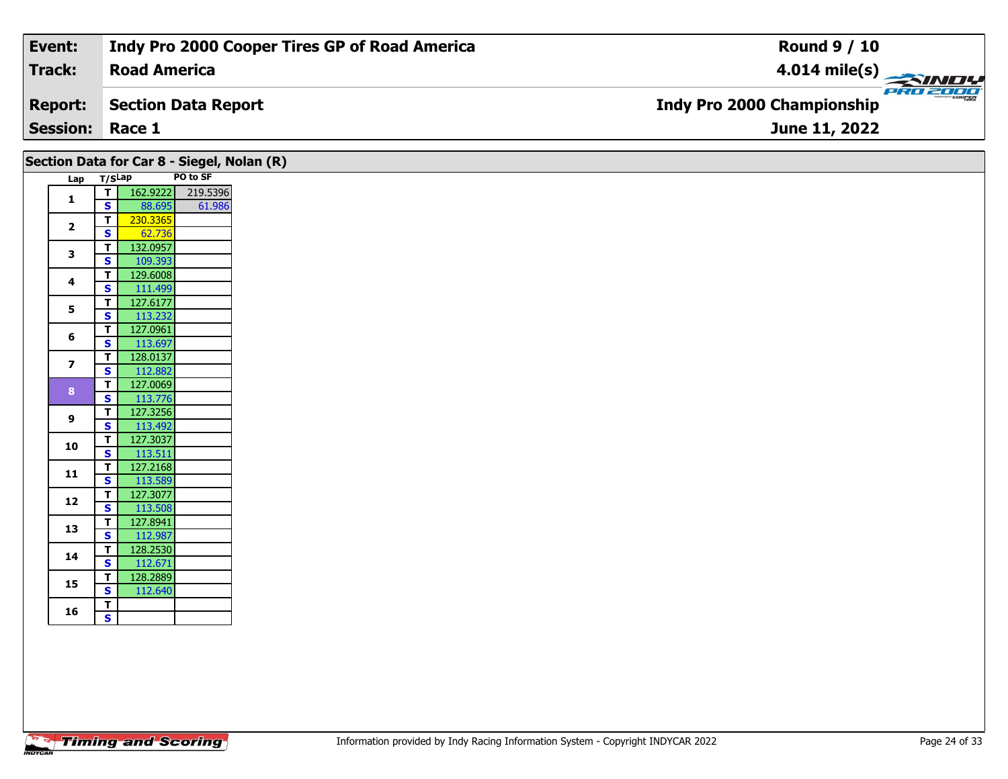| Event:                 | Indy Pro 2000 Cooper Tires GP of Road America | <b>Round 9 / 10</b>                           |
|------------------------|-----------------------------------------------|-----------------------------------------------|
| Track:                 | <b>Road America</b>                           | $4.014 \text{ mile(s)}$                       |
| <b>Report:</b>         | Section Data Report                           | PRO 2000<br><b>Indy Pro 2000 Championship</b> |
| <b>Session: Race 1</b> |                                               | June 11, 2022                                 |

| Section Data for Car 8 - Siegel, Nolan (R) |                         |                     |          |
|--------------------------------------------|-------------------------|---------------------|----------|
| Lap T/SLap                                 |                         |                     | PO to SF |
| $\mathbf{1}$                               | T                       | 162.9222            | 219.5396 |
|                                            | $\mathbf{s}$            | 88.695              | 61.986   |
| $\overline{2}$                             | T                       | 230.3365            |          |
|                                            | $\mathbf{s}$            | 62.736              |          |
| $\mathbf{3}$                               | T                       | 132.0957            |          |
|                                            | <b>S</b>                | 109.393<br>129.6008 |          |
| 4                                          | Т<br>S                  | 111.499             |          |
|                                            | $\mathbf T$             | 127.6177            |          |
| 5                                          | $\overline{\mathbf{s}}$ | 113.232             |          |
|                                            | $\mathbf T$             | 127.0961            |          |
| 6                                          | S                       | 113.697             |          |
|                                            | $\mathbf{T}$            | 128.0137            |          |
| $\overline{\mathbf{z}}$                    | $\mathbf{s}$            | 112.882             |          |
|                                            | T.                      | 127.0069            |          |
| 8                                          | $\mathbf{s}$            | 113.776             |          |
|                                            | T                       | 127.3256            |          |
| 9                                          | $\mathbf{s}$            | 113.492             |          |
| 10                                         | $\mathbf{T}$            | 127.3037            |          |
|                                            | $\overline{\mathbf{s}}$ | 113.511             |          |
| 11                                         | T.                      | 127.2168            |          |
|                                            | S                       | 113.589             |          |
| 12                                         | T.                      | 127.3077            |          |
|                                            | S                       | 113.508             |          |
| 13                                         | Т                       | 127.8941            |          |
|                                            | $\mathbf{s}$            | 112.987             |          |
| 14                                         | T.                      | 128.2530            |          |
|                                            | $\overline{\mathbf{s}}$ | 112.671             |          |
| 15                                         | T.                      | 128.2889            |          |
|                                            | $\mathbf{s}$            | 112.640             |          |
| 16                                         | T<br>$\mathbf{s}$       |                     |          |
|                                            |                         |                     |          |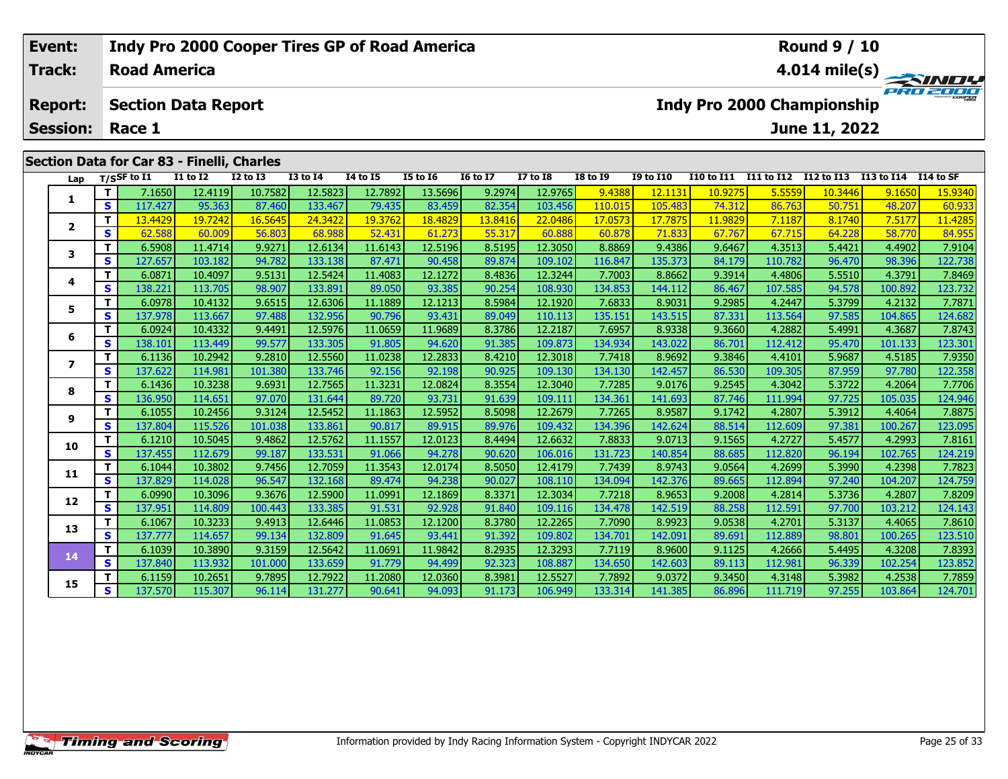### **Event: Indy Pro 2000 Cooper Tires GP of Road America Round 9 / 10Road AmericaTrack:4.014 mile(s)** PRO 2000 **Report: Section Data Report Indy Pro 2000 Championship June 11, 2022 Session: Race 1Section Data for Car 83 - Finelli, Charles Lap T/SSF to I1 I1 to I2 I2 to I3 I3 to I4 I4 to I5 I5 to I6 I6 to I7 I7 to I8 I8 to I9 I9 to I10 I10 to I11 I11 to I12 I12 to I13 I13 to I14 I14 to SF**  1 | T | 7.1650 12.4119 10.7582 12.5823 12.7892 13.5696 9.2974 12.9765 9.4388 12.1131 10.9275 5.5559 10.3446 9.1650 15.9340<br>1 | S | 117.427 | 95.363 | 87.460 133.467 | 79.435 | 83.459 | 82.354 103.456 110.015 105.483 74.312 **1<sup>T</sup>** 13.4429 19.7242 16.5645 24.3422 19.3762 18.4829 13.8416 22.0486 17.0573 17.7875 11.9829 7.1187 8.1740 7.5177 11.4285 **<sup>S</sup>** 62.588 60.009 56.803 68.988 52.431 61.273 55.317 60.888 60.878 71.833 67.767 67.715 64.228 58.770 84.955

**<sup>T</sup>** 6.5908 11.4714 9.9271 12.6134 11.6143 12.5196 8.5195 12.3050 8.8869 9.4386 9.6467 4.3513 5.4421 4.4902 7.9104 **<sup>S</sup>** 127.657 103.182 94.782 133.138 87.471 90.458 89.874 109.102 116.847 135.373 84.179 110.782 96.470 98.396 122.738

**<sup>T</sup>** 6.0871 10.4097 9.5131 12.5424 11.4083 12.1272 8.4836 12.3244 7.7003 8.8662 9.3914 4.4806 5.5510 4.3791 7.8469 **<sup>S</sup>** 138.221 113.705 98.907 133.891 89.050 93.385 90.254 108.930 134.853 144.112 86.467 107.585 94.578 100.892 123.732

**<sup>T</sup>** 6.0978 10.4132 9.6515 12.6306 11.1889 12.1213 8.5984 12.1920 7.6833 8.9031 9.2985 4.2447 5.3799 4.2132 7.7871 **<sup>S</sup>** 137.978 113.667 97.488 132.956 90.796 93.431 89.049 110.113 135.151 143.515 87.331 113.564 97.585 104.865 124.682

**<sup>T</sup>** 6.0924 10.4332 9.4491 12.5976 11.0659 11.9689 8.3786 12.2187 7.6957 8.9338 9.3660 4.2882 5.4991 4.3687 7.8743 **<sup>S</sup>** 138.101 113.449 99.577 133.305 91.805 94.620 91.385 109.873 134.934 143.022 86.701 112.412 95.470 101.133 123.301

7 | T | 6.1136| 10.2942| 9.2810| 12.5560| 11.0238| 12.2833| 8.4210| 12.3018| 7.7418| 8.9692| 9.3846| 4.4101| 5.9687| 4.5185| 7.9350<br>7 | S | 137.622 114.981 101.380 133.746 92.156 92.198 90.925 109.130 134.130 142.457 86.53

8 | T | 6.1436 10.3238 9.6931 12.7565 11.3231 12.0824 8.3554 12.3040 7.7285 9.0176 9.2545 4.3042 5.3722 4.2064 7.7706<br>8 | S | 136.950 114.651 97.070 131.644 89.720 93.731 91.639 109.111 134.361 141.693 87.746 111.994 97.72

5.8875 | 10.2456 | 10.2456 | 11.35452 | 11.1863 | 12.5952 | 16.5098 | 12.2679 | 17.265 | 18.59587 | 9.1742 | 4.2807 |<br>S | 137.804 | 115.526 | 101.038 | 133.861 | 90.817 | 89.915 | 89.976 | 109.432 | 134.396 | 142.624 | 88

0 | T | 6.1210| 10.5045| 9.4862| 12.5762| 11.1557| 12.0123| 8.4494| 12.6632| 7.8833| 9.0713| 9.1565| 4.2727| 5.4577| 4.2993| 7.8161<br>| S | 137.455| 112.679| 99.187| 133.531| 91.066| 94.278| 90.620| 106.016| 131.723| 140.854

**<sup>T</sup>** 6.1044 10.3802 9.7456 12.7059 11.3543 12.0174 8.5050 12.4179 7.7439 8.9743 9.0564 4.2699 5.3990 4.2398 7.7823 **<sup>S</sup>** 137.829 114.028 96.547 132.168 89.474 94.238 90.027 108.110 134.094 142.376 89.665 112.894 97.240 104.207 124.759

2 T 6.0990 10.3096 9.3676 12.5900 11.0991 12.1869 8.3371 12.3034 7.7218 8.9653 9.2008 4.2814 5.3736 4.2807 7.8209<br>2 S 137.951 114.809 100.443 133.385 91.531 92.928 91.840 109.116 134.478 142.519 88.258 112.591 97.700 103.2

3 | T | 6.1067| 10.3233| 9.4913| 12.6446| 11.0853| 12.1200| 8.3780| 12.2265| 7.7090| 8.9923| 9.0538| 4.2701| 5.3137| 4.4065| 7.8610<br>| S | 137.777| 114.657| 99.134| 132.809| 91.645| 93.441| 91.392| 109.802| 134.701| 142.091

4 | T | 6.1039| 10.3890| 9.3159| 12.5642| 11.0691| 11.9842| 8.2935| 12.3293| 7.7119| 8.9600| 9.1125| 4.2666| 5.4495| 4.3208| 7.8393<br>- S | 137.840| 113.932| 101.000| 133.659| 91.779| 94.499| 92.323| 108.887| 134.650| 142.60

**<sup>T</sup>** 6.1159 10.2651 9.7895 12.7922 11.2080 12.0360 8.3981 12.5527 7.7892 9.0372 9.3450 4.3148 5.3982 4.2538 7.7859 **<sup>S</sup>** 137.570 115.307 96.114 131.277 90.641 94.093 91.173 106.949 133.314 141.385 86.896 111.719 97.255 103.864 124.701

**2**

**3**

**4**

**5**

**6**

**7**

**8**

**9**

**10**

**11**

**12**

**13**

**14**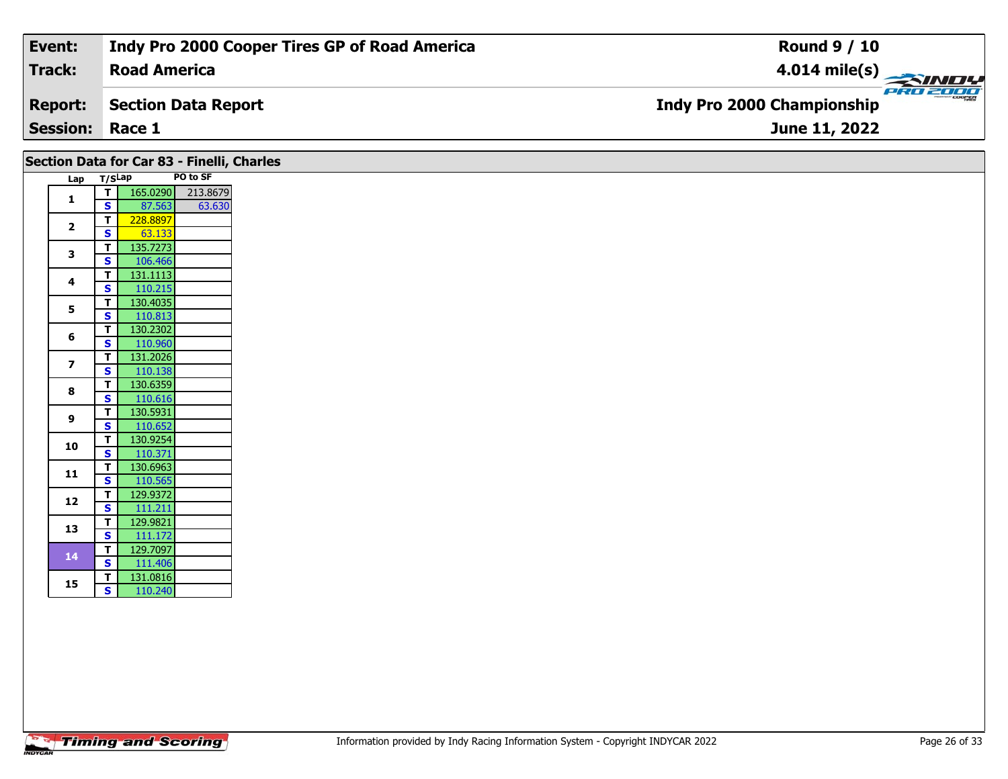| Event:                 | Indy Pro 2000 Cooper Tires GP of Road America | <b>Round 9 / 10</b>                             |
|------------------------|-----------------------------------------------|-------------------------------------------------|
| Track:                 | <b>Road America</b>                           | $\frac{4.014 \text{ mile(s)}}{2.34 \text{ Hz}}$ |
| <b>Report:</b>         | Section Data Report                           | <b>Indy Pro 2000 Championship</b>               |
| <b>Session: Race 1</b> |                                               | June 11, 2022                                   |

|                         |                         | Section Data for Car 83 - Finelli, Charles |          |
|-------------------------|-------------------------|--------------------------------------------|----------|
| Lap                     | T/SLap                  |                                            | PO to SF |
| $\mathbf{1}$            | $\mathbf{T}$            | 165.0290                                   | 213.8679 |
|                         | $\overline{\mathbf{s}}$ | 87.563                                     | 63.630   |
| $\overline{\mathbf{2}}$ | $\mathbf T$             | 228.8897                                   |          |
|                         | S                       | 63.133                                     |          |
| 3                       | $\mathbf T$             | 135.7273                                   |          |
|                         | <b>S</b>                | 106.466                                    |          |
| 4                       | T                       | 131.1113                                   |          |
|                         | S                       | 110.215                                    |          |
| 5                       | T                       | 130.4035                                   |          |
|                         | $\overline{\mathbf{s}}$ | 110.813                                    |          |
| 6                       | T                       | 130.2302                                   |          |
|                         | S                       | 110.960                                    |          |
| $\overline{\mathbf{z}}$ | T                       | 131.2026                                   |          |
|                         | $\mathbf{s}$            | 110.138                                    |          |
| 8                       | $\mathbf T$             | 130.6359                                   |          |
|                         | $\mathbf{s}$            | 110.616                                    |          |
| 9                       | T                       | 130.5931                                   |          |
|                         | S                       | 110.652                                    |          |
| 10                      | T                       | 130.9254                                   |          |
|                         | $\mathbf{s}$            | 110.371                                    |          |
| 11                      | $\mathbf{T}$            | 130.6963                                   |          |
|                         | $\overline{\mathbf{s}}$ | 110.565                                    |          |
|                         | T                       | 129.9372                                   |          |
| 12                      | $\overline{\mathbf{s}}$ | 111.211                                    |          |
|                         | T                       | 129.9821                                   |          |
| 13                      | $\mathbf{s}$            | 111.172                                    |          |
|                         | $\mathbf{T}$            | 129.7097                                   |          |
| 14                      | $\mathbf{s}$            | 111.406                                    |          |
|                         |                         |                                            |          |
| 15                      | $\mathbf{T}$            | 131.0816                                   |          |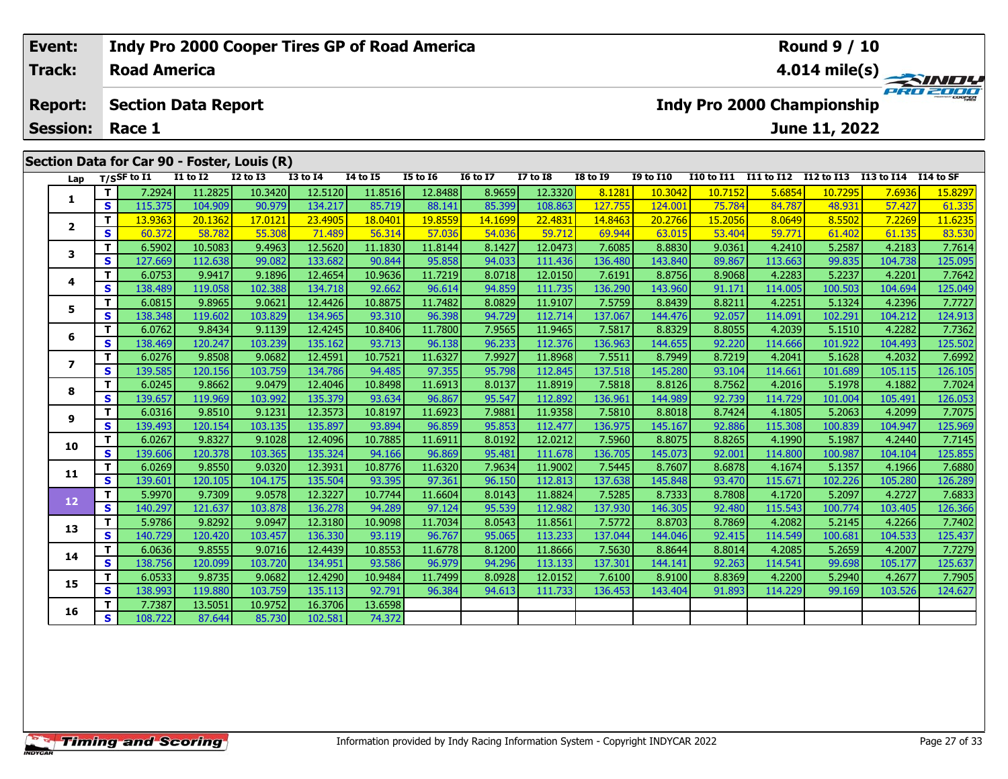## **Event: Indy Pro 2000 Cooper Tires GP of Road America Round 9 / 10Road America4.014 mile(s) Track:** PRO 2001 **Section Data Report Report: Indy Pro 2000 Championship June 11, 2022 Session: Race 1 Section Data for Car 90 - Foster, Louis (R)** Lap T/SSF to I1 I1 to I2 I2 to I3 I3 to I4 I4 to I5 I5 to I6 I6 to I7 I7 to I8 I8 to I9 I9 to I10 I10 to I11 I11 to I12 I12 to I13 I13 to I14 I14 to SF 1 | T | 7.2924 11.2825 10.3420 12.5120 11.8516 12.8488 8.9659 12.3320 8.1281 10.3042 10.7152 5.6854 10.7295 7.6936 15.8297<br>1 | S | 115.375 104.909 90.979 134.217 85.719 88.141 85.399 108.863 127.755 124.001 75.784 84.787 4 **12**

| 1              | Τ.       | 7.2924  | 11.2825 | 10.3420 | 12.5120 | 11.8516 | 12.8488 | 8.9659  | 12.3320 | 8.1281  | 10,3042 | 10.7152 | 5.6854  | 10.7295 | 7.6936  | 15.8297 |
|----------------|----------|---------|---------|---------|---------|---------|---------|---------|---------|---------|---------|---------|---------|---------|---------|---------|
|                | S        | 115.375 | 104.909 | 90.979  | 134.217 | 85.719  | 88.141  | 85.399  | 108.863 | 127.755 | 124.001 | 75.784  | 84.787  | 48.931  | 57.427  | 61.335  |
|                | т        | 13.9363 | 20.1362 | 17.0121 | 23,4905 | 18.0401 | 19.8559 | 14.1699 | 22,4831 | 14.8463 | 20,2766 | 15.2056 | 8.0649  | 8.5502  | 7.2269  | 11.6235 |
| $\mathbf{2}$   | S        | 60.372  | 58.782  | 55.308  | 71.489  | 56.314  | 57.036  | 54.036  | 59.712  | 69.944  | 63.015  | 53.404  | 59.771  | 61.402  | 61.135  | 83.530  |
| 3              | T.       | 6.5902  | 10.5083 | 9.4963  | 12.5620 | 11.1830 | 11.8144 | 8.1427  | 12.0473 | 7.6085  | 8.8830  | 9.0361  | 4.2410  | 5.2587  | 4.2183  | 7.7614  |
|                | S        | 127.669 | 112.638 | 99.082  | 133.682 | 90.844  | 95.858  | 94.033  | 111.436 | 136.480 | 143.840 | 89.867  | 113.663 | 99.835  | 104.738 | 125.095 |
| 4              | T.       | 6.0753  | 9.9417  | 9.1896  | 12.4654 | 10.9636 | 11.7219 | 8.0718  | 12.0150 | 7.6191  | 8.8756  | 8.9068  | 4.2283  | 5.2237  | 4.2201  | 7.7642  |
|                | s        | 138.489 | 119.058 | 102.388 | 134.718 | 92.662  | 96.614  | 94.859  | 111.735 | 136.290 | 143.960 | 91.171  | 114.005 | 100.503 | 104.694 | 125.049 |
| 5.             | т        | 6.0815  | 9.8965  | 9.0621  | 12.4426 | 10.8875 | 11.7482 | 8.0829  | 11.9107 | 7.5759  | 8.8439  | 8.8211  | 4.2251  | 5.1324  | 4.2396  | 7.7727  |
|                | S        | 138.348 | 119.602 | 103.829 | 134.965 | 93.310  | 96.398  | 94.729  | 112.714 | 137.067 | 144.476 | 92.057  | 114.091 | 102.291 | 104.212 | 124.913 |
| 6              | T.       | 6.0762  | 9.8434  | 9.1139  | 12.4245 | 10.8406 | 11.7800 | 7.9565  | 11.9465 | 7.5817  | 8.8329  | 8.8055  | 4.2039  | 5.1510  | 4.2282  | 7.7362  |
|                | S        | 138.469 | 120.247 | 103.239 | 135.162 | 93.713  | 96.138  | 96.233  | 112.376 | 136.963 | 144.655 | 92.220  | 114.666 | 101.922 | 104.493 | 125.502 |
| $\overline{ }$ | T.       | 6.0276  | 9.8508  | 9.0682  | 12.4591 | 10.7521 | 11.6327 | 7.9927  | 11.8968 | 7.5511  | 8.7949  | 8.7219  | 4.2041  | 5.1628  | 4.2032  | 7.6992  |
|                | S        | 139.585 | 120.156 | 103.759 | 134.786 | 94.485  | 97.355  | 95.798  | 112.845 | 137.518 | 145.280 | 93.104  | 114.661 | 101.689 | 105.115 | 126.105 |
| 8              | T.       | 6.0245  | 9.8662  | 9.0479  | 12.4046 | 10.8498 | 11.6913 | 8.0137  | 11.8919 | 7.5818  | 8.8126  | 8.7562  | 4.2016  | 5.1978  | 4.1882  | 7.7024  |
|                | S        | 139.657 | 119.969 | 103.992 | 135.379 | 93.634  | 96.867  | 95.547  | 112.892 | 136.961 | 144.989 | 92.739  | 114.729 | 101.004 | 105.491 | 126.053 |
| 9              | т        | 6.0316  | 9.8510  | 9.1231  | 12.3573 | 10.8197 | 11.6923 | 7.9881  | 11.9358 | 7.5810  | 8.8018  | 8.7424  | 4.1805  | 5.2063  | 4.2099  | 7.7075  |
|                | S        | 139.493 | 120.154 | 103.135 | 135.897 | 93.894  | 96.859  | 95.853  | 112.477 | 136.975 | 145.167 | 92.886  | 115.308 | 100.839 | 104.947 | 125.969 |
| 10             | т        | 6.0267  | 9.8327  | 9.1028  | 12.4096 | 10.7885 | 11.6911 | 8.0192  | 12.0212 | 7.5960  | 8.8075  | 8.8265  | 4.1990  | 5.1987  | 4.2440  | 7.7145  |
|                | s        | 139.606 | 120.378 | 103.365 | 135.324 | 94.166  | 96.869  | 95.481  | 111.678 | 136.705 | 145.073 | 92.001  | 114,800 | 100.987 | 104.104 | 125.855 |
| 11             | T.       | 6.0269  | 9.8550  | 9.0320  | 12.3931 | 10.8776 | 11.6320 | 7.9634  | 11.9002 | 7.5445  | 8.7607  | 8.6878  | 4.1674  | 5.1357  | 4.1966  | 7.6880  |
|                | S        | 139.601 | 120.105 | 104.175 | 135.504 | 93.395  | 97.361  | 96.150  | 112.813 | 137.638 | 145.848 | 93.470  | 115.671 | 102.226 | 105.280 | 126.289 |
| 12             | T.       | 5.9970  | 9.7309  | 9.0578  | 12.3227 | 10.7744 | 11.6604 | 8.0143  | 11.8824 | 7.5285  | 8.7333  | 8.7808  | 4.1720  | 5.2097  | 4.2727  | 7.6833  |
|                | <b>S</b> | 140.297 | 121.637 | 103.878 | 136.278 | 94.289  | 97.124  | 95.539  | 112.982 | 137.930 | 146.305 | 92.480  | 115.543 | 100.774 | 103.405 | 126.366 |
| 13             | T.       | 5.9786  | 9.8292  | 9.0947  | 12.3180 | 10.9098 | 11.7034 | 8.0543  | 11.8561 | 7.5772  | 8.8703  | 8.7869  | 4.2082  | 5.2145  | 4.2266  | 7.7402  |
|                | s        | 140.729 | 120.420 | 103.457 | 136.330 | 93.119  | 96.767  | 95.065  | 113.233 | 137.044 | 144.046 | 92.415  | 114.549 | 100.681 | 104.533 | 125.437 |
| 14             | T.       | 6.0636  | 9.8555  | 9.0716  | 12.4439 | 10.8553 | 11.6778 | 8.1200  | 11.8666 | 7.5630  | 8.8644  | 8.8014  | 4.2085  | 5.2659  | 4.2007  | 7.7279  |
|                | S        | 138.756 | 120.099 | 103.720 | 134.951 | 93.586  | 96.979  | 94.296  | 113.133 | 137.301 | 144.141 | 92.263  | 114.541 | 99.698  | 105.177 | 125.637 |
| 15             | T.       | 6.0533  | 9.8735  | 9.0682  | 12.4290 | 10.9484 | 11.7499 | 8.0928  | 12.0152 | 7.6100  | 8.9100  | 8.8369  | 4.2200  | 5.2940  | 4.2677  | 7.7905  |
|                | S        | 138.993 | 119.880 | 103.759 | 135.113 | 92.791  | 96.384  | 94.613  | 111.733 | 136.453 | 143.404 | 91.893  | 114.229 | 99.169  | 103.526 | 124.627 |
| 16             | т        | 7.7387  | 13.5051 | 10.9752 | 16.3706 | 13.6598 |         |         |         |         |         |         |         |         |         |         |
|                | S        | 108.722 | 87.644  | 85.730  | 102.581 | 74.372  |         |         |         |         |         |         |         |         |         |         |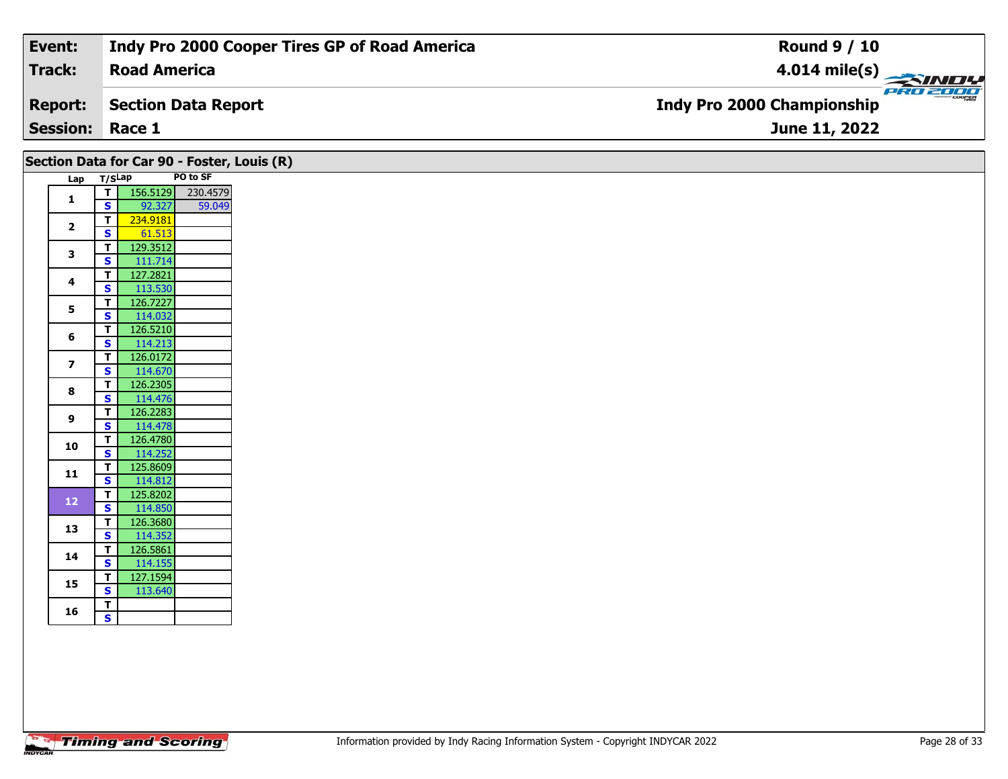| Event:                 | Indy Pro 2000 Cooper Tires GP of Road America | <b>Round 9 / 10</b>                                 |
|------------------------|-----------------------------------------------|-----------------------------------------------------|
| Track:                 | <b>Road America</b>                           | $\frac{4.014 \text{ mile(s)}}{4.014 \text{ miles}}$ |
| <b>Report:</b>         | Section Data Report                           | <b>Indy Pro 2000 Championship</b>                   |
| <b>Session: Race 1</b> |                                               | June 11, 2022                                       |

|                         |                              |                     |          | Section Data for Car 90 - Foster, Louis (R) |
|-------------------------|------------------------------|---------------------|----------|---------------------------------------------|
| Lap T/SLap              |                              |                     | PO to SF |                                             |
|                         |                              | $T$ 156.5129        | 230.4579 |                                             |
| $\mathbf{1}$            | S                            | 92.327              | 59.049   |                                             |
| $\overline{\mathbf{2}}$ | T                            | 234.9181            |          |                                             |
|                         | $\mathbf{s}$                 | 61.513              |          |                                             |
| 3                       | T                            | 129.3512            |          |                                             |
|                         | $\mathbf{s}$                 | 111.714             |          |                                             |
| 4                       | T                            | 127.2821            |          |                                             |
|                         | $\mathbf{s}$                 | 113.530             |          |                                             |
| 5                       | $\overline{I}$               | 126.7227            |          |                                             |
|                         | $\overline{\mathbf{s}}$      | 114.032             |          |                                             |
| 6                       | $\mathbf T$                  | 126.5210            |          |                                             |
|                         | $\mathbf{s}$                 | 114.213<br>126.0172 |          |                                             |
| $\overline{\mathbf{z}}$ | T<br>$\overline{\mathbf{s}}$ | 114.670             |          |                                             |
|                         | T                            | 126.2305            |          |                                             |
| 8                       | $\mathbf{s}$                 | 114.476             |          |                                             |
|                         | T                            | 126.2283            |          |                                             |
| 9                       | $\mathbf{s}$                 | 114.478             |          |                                             |
|                         | $\overline{\mathsf{r}}$      | 126.4780            |          |                                             |
| 10                      | $\mathbf{s}$                 | 114.252             |          |                                             |
| $11$                    | T                            | 125.8609            |          |                                             |
|                         | $\mathbf{s}$                 | 114.812             |          |                                             |
| $12$                    | $\overline{\mathbf{r}}$      | 125.8202            |          |                                             |
|                         | S                            | 114.850             |          |                                             |
| 13                      | T                            | 126.3680            |          |                                             |
|                         | $\mathbf{s}$                 | 114.352             |          |                                             |
| 14                      | $\mathbf T$                  | 126.5861            |          |                                             |
|                         | $\mathbf{s}$<br>$\mathbf{T}$ | 114.155<br>127.1594 |          |                                             |
| 15                      | $\overline{\mathbf{s}}$      | 113.640             |          |                                             |
|                         | T                            |                     |          |                                             |
| 16                      | $\overline{\mathbf{s}}$      |                     |          |                                             |
|                         |                              |                     |          |                                             |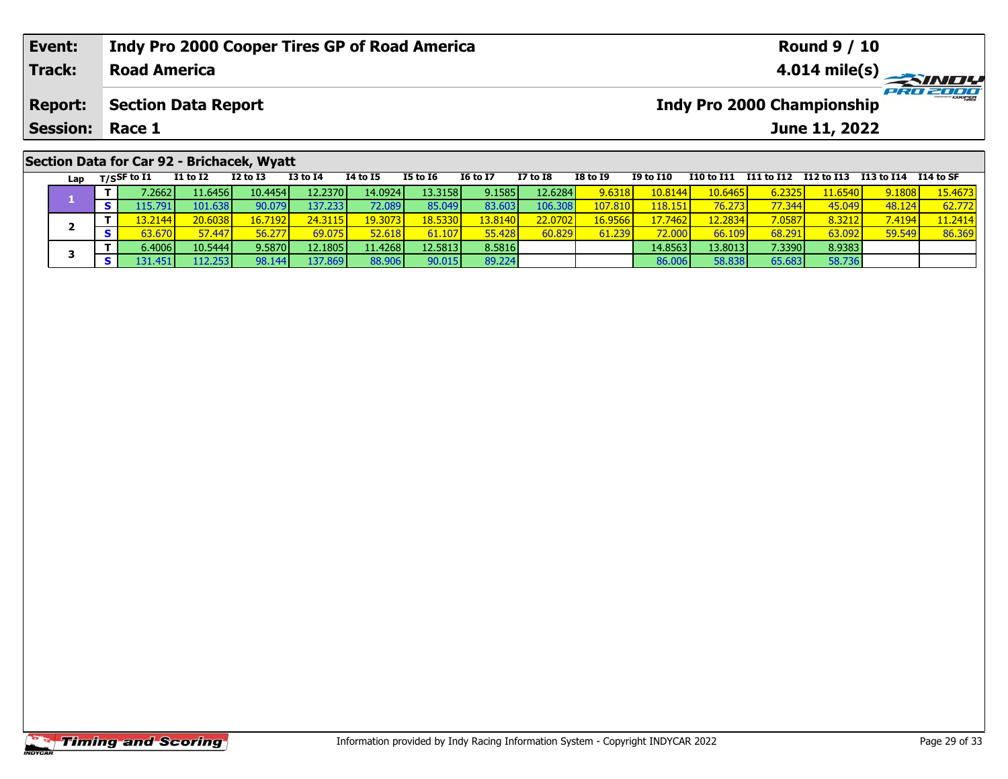| Event:                                     | Indy Pro 2000 Cooper Tires GP of Road America | <b>Round 9 / 10</b>                           |  |  |  |  |  |  |  |
|--------------------------------------------|-----------------------------------------------|-----------------------------------------------|--|--|--|--|--|--|--|
| Track:                                     | <b>Road America</b>                           | 4.014 mile(s) $\rightarrow$                   |  |  |  |  |  |  |  |
| <b>Report:</b>                             | Section Data Report                           | PRO 2000<br><b>Indy Pro 2000 Championship</b> |  |  |  |  |  |  |  |
| <b>Session: Race 1</b>                     |                                               | June 11, 2022                                 |  |  |  |  |  |  |  |
| Section Data for Car 92 - Brichacek, Wyatt |                                               |                                               |  |  |  |  |  |  |  |

| Lap | T/SSF to I1     | <b>I1 to I2</b> | <b>I2 to I3</b> | <b>I3 to I4</b> | 14 to 15          | <b>I5 to 16</b> | <b>16 to 17</b>  | <b>I7 to I8</b>  | <b>I8 to 19</b> | <b>I9 to I10</b> | I10 to I11 I11 to I12 |                     | I12 to I13 I13 to I14 |        | I 14 to SF |
|-----|-----------------|-----------------|-----------------|-----------------|-------------------|-----------------|------------------|------------------|-----------------|------------------|-----------------------|---------------------|-----------------------|--------|------------|
|     | 7.2662 <b>l</b> | 11.6456 l       | 10.4454         | 12.2370         | 14.0924           | 13.3158         | 9.1585           | 12.6284          | 9.6318          | 10.8144          | 10.6465               | 6.2325              | l <b>1.6540 l</b>     | 9.1808 | 15.4673    |
|     | L <b>15.791</b> | 101.638         | 90.079          | 137.2331        | 72.089            | 85.049          | 83.603           | 106.308          | .07.810         | 118.15           | 76.273                | 77.344 <sub>h</sub> | 45.049                | 48.124 | 62.772     |
|     | 13.2144         | 20.6038         | 16.7192         | 24.3115         | <u> 19.3073 l</u> | 18.5330         | 13.8140 <b> </b> | 22.0702 <b>1</b> | 16.9566         | 17.7462          | <b>2.2834</b>         | 7.0587              | 8.3212                | 7.4194 | 11.2414    |
|     | 53.670          | 57.447          | 56.277          | 69.075          | 52.618            | 61.107          | 55.428           | 60.829           | 61.239          | 72.000           | 66.109                | 68.291              | 63.092                | 59.549 | 86.369     |
|     | 6.4006          | 10.5444         | 9.5870          | 12.1805         | 11.4268           | 12.5813         | 8.5816           |                  |                 | 14.8563          | 13.80131              | 7.3390              | 8.9383                |        |            |
|     |                 |                 | 98.144          | 137.869         | 88.906            | 90.015          | 89.224           |                  |                 | 86.006           | 58.838                | 65.683              | 58.736                |        |            |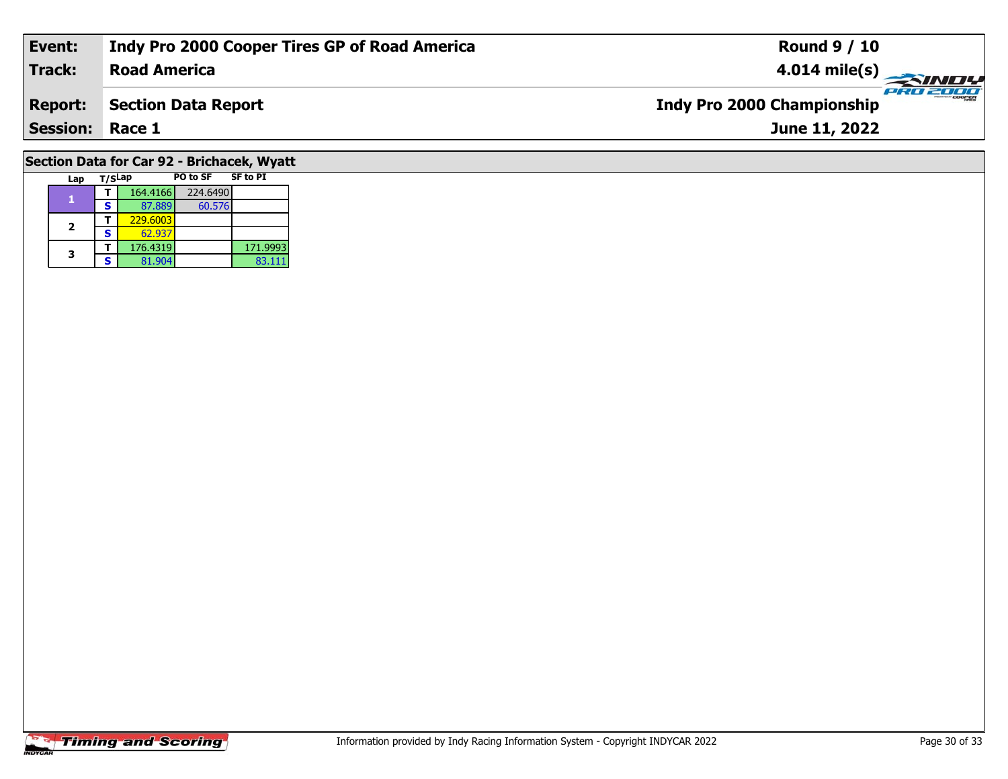| Event:                                     | Indy Pro 2000 Cooper Tires GP of Road America                   | <b>Round 9 / 10</b> |  |  |  |  |  |  |  |
|--------------------------------------------|-----------------------------------------------------------------|---------------------|--|--|--|--|--|--|--|
| Track:                                     | <b>Road America</b>                                             | PRO 2000            |  |  |  |  |  |  |  |
| <b>Report:</b>                             | <b>Indy Pro 2000 Championship</b><br><b>Section Data Report</b> |                     |  |  |  |  |  |  |  |
| <b>Session: Race 1</b>                     |                                                                 | June 11, 2022       |  |  |  |  |  |  |  |
| Section Data for Car 92 - Brichacek, Wyatt |                                                                 |                     |  |  |  |  |  |  |  |

# **Timing and Scoring**

**Lap T/SLap PO to SF SF to PI** 

**<sup>T</sup>** 164.4166 224.6490 **<sup>S</sup>** 87.889 60.576

**T** 229.6003<br>**S** 62.937 62.937<br>176.4319 60.576

83.111

**T** 176.4319 171.9993<br> **S** 81.904 83.111

**1**

**2**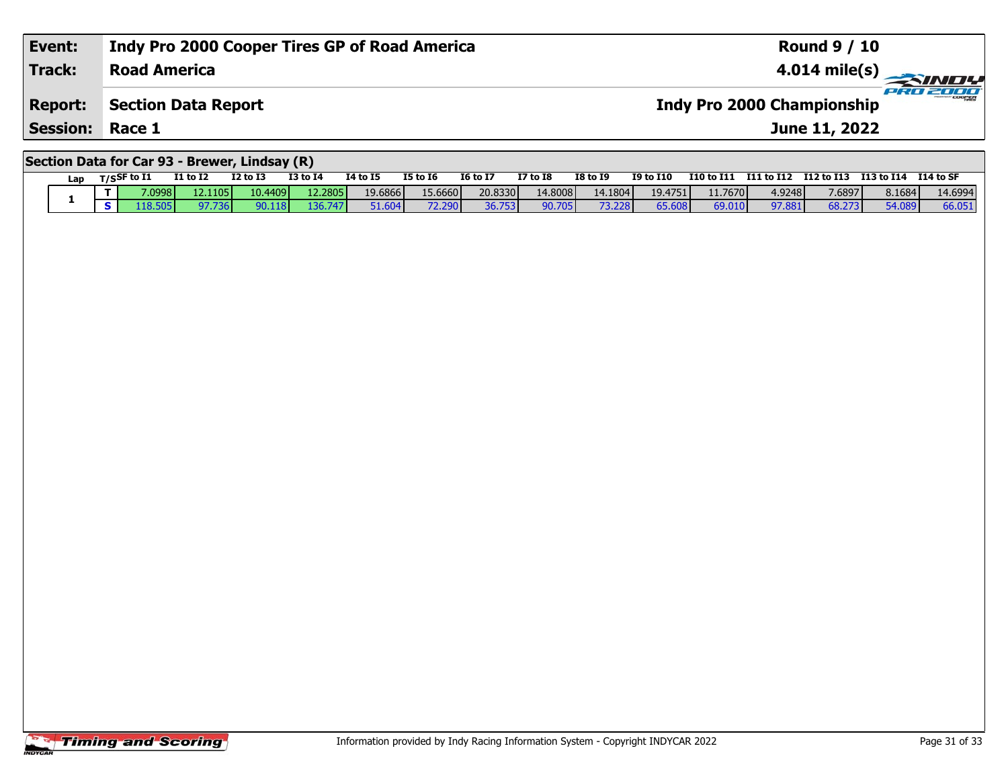| Event:                                        | Indy Pro 2000 Cooper Tires GP of Road America | <b>Round 9 / 10</b>                              |  |  |  |  |  |  |  |
|-----------------------------------------------|-----------------------------------------------|--------------------------------------------------|--|--|--|--|--|--|--|
| <b>Track:</b>                                 | <b>Road America</b>                           | $\frac{4.014 \text{ mile(s)}}{666 \text{ days}}$ |  |  |  |  |  |  |  |
| <b>Report:</b>                                | <b>Section Data Report</b>                    | <b>Indy Pro 2000 Championship</b>                |  |  |  |  |  |  |  |
| <b>Session: Race 1</b>                        |                                               | June 11, 2022                                    |  |  |  |  |  |  |  |
| Section Data for Car 93 - Brewer, Lindsay (R) |                                               |                                                  |  |  |  |  |  |  |  |

|     |               |          | -----           |              |          |                 |                 |                 |                 |                  |                   |            |            |            |            |
|-----|---------------|----------|-----------------|--------------|----------|-----------------|-----------------|-----------------|-----------------|------------------|-------------------|------------|------------|------------|------------|
| Lap | T/SSF to $I1$ | I1 to I2 | <b>I2 to I3</b> | $I3$ to $I4$ | 14 to 15 | <b>I5 to 16</b> | <b>16 to 17</b> | <b>I7 to I8</b> | <b>I8 to 19</b> | <b>I9 to I10</b> | <b>I10 to I11</b> | I11 to I12 | I12 to I13 | I13 to I14 | I 14 to SF |
|     | 7.0998 N      | 12.11051 | 10.4409         | 12.2805      | 19.6866  | 15.6660         | 20.8330         | 14.8008         | 14.1804         | 19.4751          | 11.7670           | 4.9248     | 7.6897     | 8.1684     | 14.6994    |
|     | .18.505       | 97.736   | 90.118          | 136.747      | 51.604   | 72.290          | 36.753          | 90.705          | 73.228          | 65.608           | 69.010            | 97.881     | 68.273     | 54.089     | 66.051     |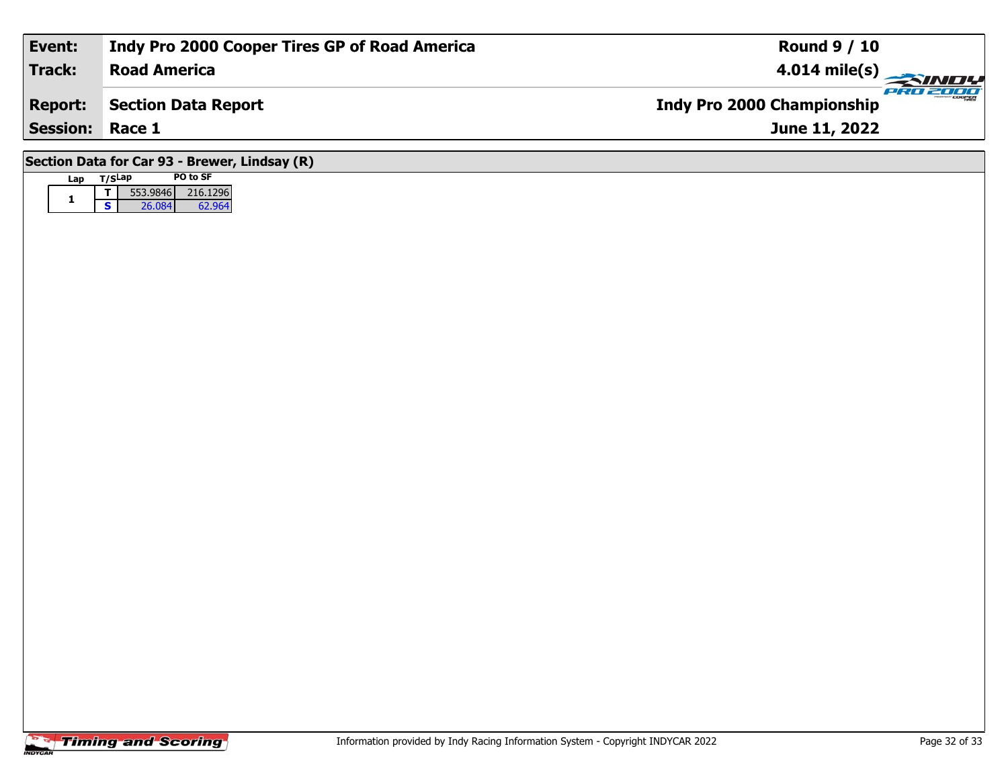| Event:                                        | Indy Pro 2000 Cooper Tires GP of Road America | <b>Round 9 / 10</b>                           |  |  |  |  |  |  |  |
|-----------------------------------------------|-----------------------------------------------|-----------------------------------------------|--|--|--|--|--|--|--|
| Track:                                        | <b>Road America</b>                           | 4.014 mile(s) $\rightarrow$                   |  |  |  |  |  |  |  |
| <b>Report:</b>                                | Section Data Report                           | PRO 2000<br><b>Indy Pro 2000 Championship</b> |  |  |  |  |  |  |  |
| <b>Session: Race 1</b>                        |                                               | June 11, 2022                                 |  |  |  |  |  |  |  |
| Section Data for Car 93 - Brewer, Lindsay (R) |                                               |                                               |  |  |  |  |  |  |  |

# **Timing and Scoring**

**Lap T/SLap PO to SF** 

**<sup>T</sup>** 553.9846 216.1296 **<sup>S</sup>** 26.084 62.964

62.964